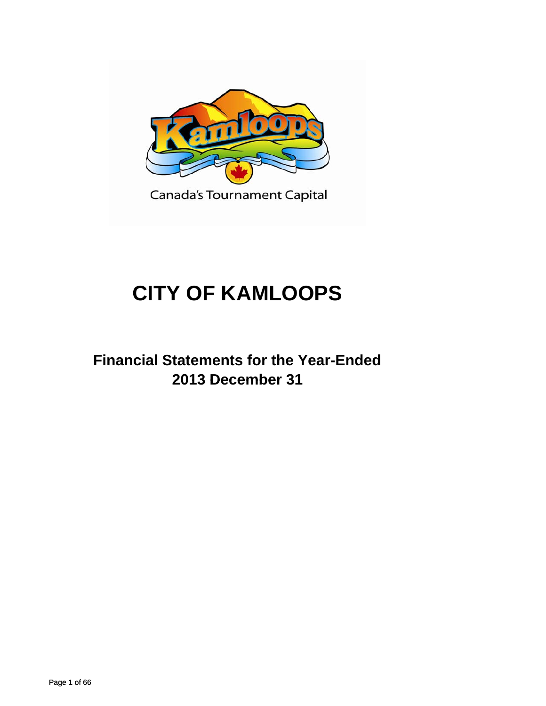

# **CITY OF KAMLOOPS**

## **Financial Statements for the Year-Ended 2013 December 31 2013 December**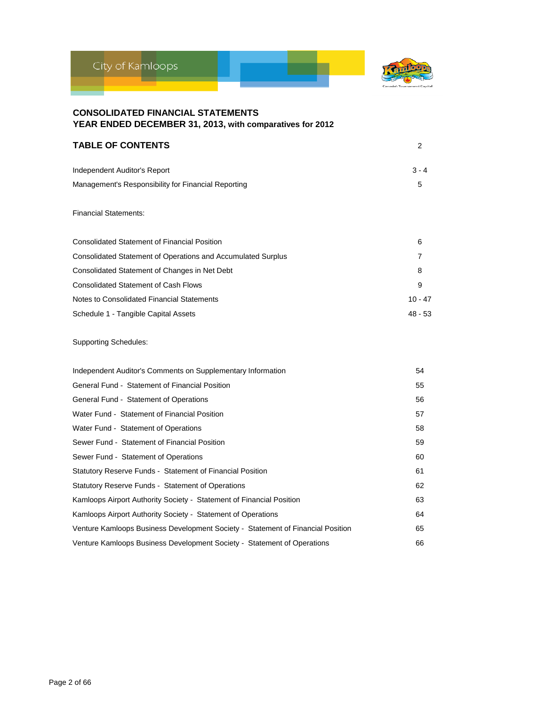

| <b>TABLE OF CONTENTS</b>                            |         |
|-----------------------------------------------------|---------|
| Independent Auditor's Report                        | $3 - 4$ |
| Management's Responsibility for Financial Reporting | 5       |

#### Financial Statements:

| <b>Consolidated Statement of Financial Position</b>          | 6         |
|--------------------------------------------------------------|-----------|
| Consolidated Statement of Operations and Accumulated Surplus | 7         |
| Consolidated Statement of Changes in Net Debt                | 8         |
| <b>Consolidated Statement of Cash Flows</b>                  | 9         |
| Notes to Consolidated Financial Statements                   | $10 - 47$ |
| Schedule 1 - Tangible Capital Assets                         | $48 - 53$ |

### Supporting Schedules:

| Independent Auditor's Comments on Supplementary Information                     | 54 |
|---------------------------------------------------------------------------------|----|
| General Fund - Statement of Financial Position                                  | 55 |
| General Fund - Statement of Operations                                          | 56 |
| Water Fund - Statement of Financial Position                                    | 57 |
| Water Fund - Statement of Operations                                            | 58 |
| Sewer Fund - Statement of Financial Position                                    | 59 |
| Sewer Fund - Statement of Operations                                            | 60 |
| Statutory Reserve Funds - Statement of Financial Position                       | 61 |
| Statutory Reserve Funds - Statement of Operations                               | 62 |
| Kamloops Airport Authority Society - Statement of Financial Position            | 63 |
| Kamloops Airport Authority Society - Statement of Operations                    | 64 |
| Venture Kamloops Business Development Society - Statement of Financial Position | 65 |
| Venture Kamloops Business Development Society - Statement of Operations         | 66 |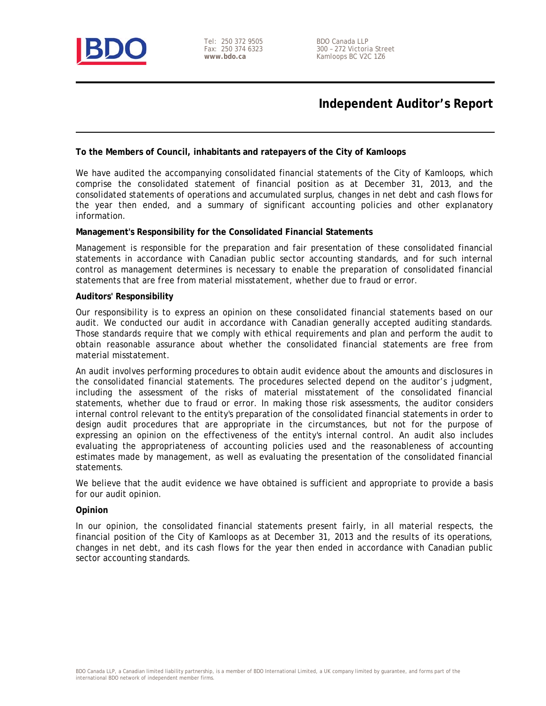

Tel: 250 372 9505 Fax: 250 374 6323 **www.bdo.ca** 

BDO Canada LLP 300 – 272 Victoria Street Kamloops BC V2C 1Z6

### **Independent Auditor's Report**

### **To the Members of Council, inhabitants and ratepayers of the City of Kamloops**

We have audited the accompanying consolidated financial statements of the City of Kamloops, which comprise the consolidated statement of financial position as at December 31, 2013, and the consolidated statements of operations and accumulated surplus, changes in net debt and cash flows for the year then ended, and a summary of significant accounting policies and other explanatory information.

#### **Management's Responsibility for the Consolidated Financial Statements**

Management is responsible for the preparation and fair presentation of these consolidated financial statements in accordance with Canadian public sector accounting standards, and for such internal control as management determines is necessary to enable the preparation of consolidated financial statements that are free from material misstatement, whether due to fraud or error.

#### **Auditors' Responsibility**

Our responsibility is to express an opinion on these consolidated financial statements based on our audit. We conducted our audit in accordance with Canadian generally accepted auditing standards. Those standards require that we comply with ethical requirements and plan and perform the audit to obtain reasonable assurance about whether the consolidated financial statements are free from material misstatement.

An audit involves performing procedures to obtain audit evidence about the amounts and disclosures in the consolidated financial statements. The procedures selected depend on the auditor's judgment, including the assessment of the risks of material misstatement of the consolidated financial statements, whether due to fraud or error. In making those risk assessments, the auditor considers internal control relevant to the entity's preparation of the consolidated financial statements in order to design audit procedures that are appropriate in the circumstances, but not for the purpose of expressing an opinion on the effectiveness of the entity's internal control. An audit also includes evaluating the appropriateness of accounting policies used and the reasonableness of accounting estimates made by management, as well as evaluating the presentation of the consolidated financial statements.

We believe that the audit evidence we have obtained is sufficient and appropriate to provide a basis for our audit opinion.

#### **Opinion**

In our opinion, the consolidated financial statements present fairly, in all material respects, the financial position of the City of Kamloops as at December 31, 2013 and the results of its operations, changes in net debt, and its cash flows for the year then ended in accordance with Canadian public sector accounting standards.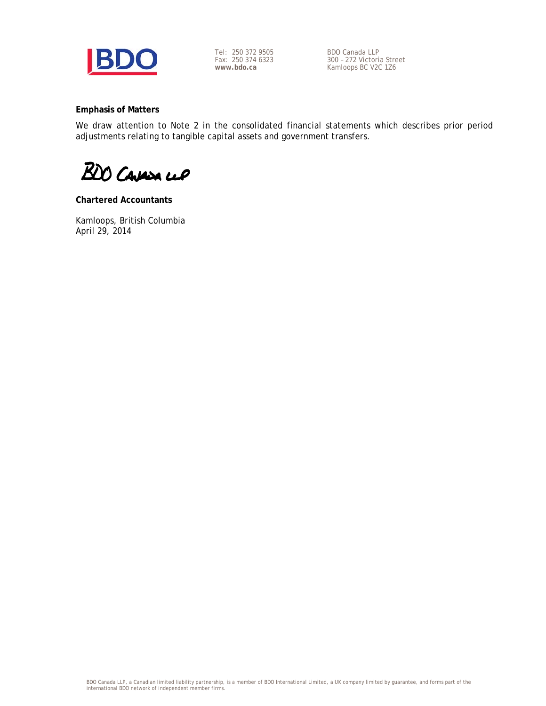

Tel: 250 372 9505 Fax: 250 374 6323 **www.bdo.ca** 

BDO Canada LLP 300 – 272 Victoria Street Kamloops BC V2C 1Z6

### **Emphasis of Matters**

We draw attention to Note 2 in the consolidated financial statements which describes prior period adjustments relating to tangible capital assets and government transfers.

BDO Cavasa cel

**Chartered Accountants** 

Kamloops, British Columbia April 29, 2014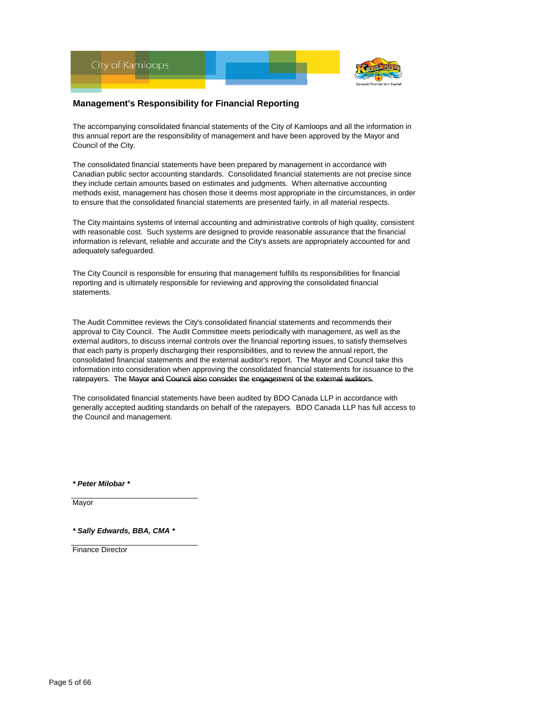

### **Management's Responsibility for Financial Reporting**

The accompanying consolidated financial statements of the City of Kamloops and all the information in this annual report are the responsibility of management and have been approved by the Mayor and Council of the City.

The consolidated financial statements have been prepared by management in accordance with Canadian public sector accounting standards. Consolidated financial statements are not precise since they include certain amounts based on estimates and judgments. When alternative accounting methods exist, management has chosen those it deems most appropriate in the circumstances, in order to ensure that the consolidated financial statements are presented fairly, in all material respects.

The City maintains systems of internal accounting and administrative controls of high quality, consistent with reasonable cost. Such systems are designed to provide reasonable assurance that the financial information is relevant, reliable and accurate and the City's assets are appropriately accounted for and adequately safeguarded.

The City Council is responsible for ensuring that management fulfills its responsibilities for financial reporting and is ultimately responsible for reviewing and approving the consolidated financial statements.

The Audit Committee reviews the City's consolidated financial statements and recommends their approval to City Council. The Audit Committee meets periodically with management, as well as the external auditors, to discuss internal controls over the financial reporting issues, to satisfy themselves that each party is properly discharging their responsibilities, and to review the annual report, the consolidated financial statements and the external auditor's report. The Mayor and Council take this information into consideration when approving the consolidated financial statements for issuance to the ratepayers. The Mayor and Council also consider the engagement of the external auditors. ratepayers. The Mayor and Council also consider the engagement of the external auditors.

The consolidated financial statements have been audited by BDO Canada LLP in accordance with generally accepted auditing standards on behalf of the ratepayers. BDO Canada LLP has full access to the Council and management.

*\* Peter Milobar \**

Mayor

*\* Sally Edwards, BBA, CMA \**

Finance Director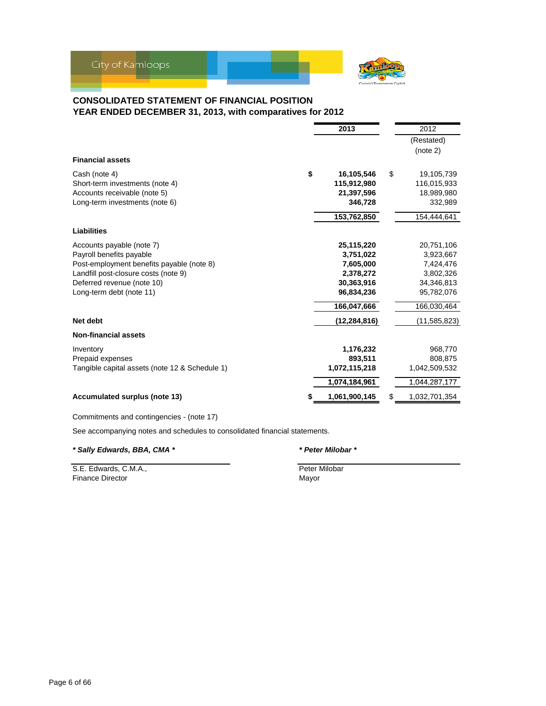

### **CONSOLIDATED STATEMENT OF FINANCIAL POSITION YEAR ENDED DECEMBER 31, 2013, with comparatives for 2012**

|                                                | 2013 |                |    | 2012          |
|------------------------------------------------|------|----------------|----|---------------|
|                                                |      |                |    | (Restated)    |
|                                                |      |                |    | (note 2)      |
| <b>Financial assets</b>                        |      |                |    |               |
| Cash (note 4)                                  | \$   | 16,105,546     | \$ | 19,105,739    |
| Short-term investments (note 4)                |      | 115,912,980    |    | 116,015,933   |
| Accounts receivable (note 5)                   |      | 21,397,596     |    | 18,989,980    |
| Long-term investments (note 6)                 |      | 346,728        |    | 332,989       |
|                                                |      | 153,762,850    |    | 154,444,641   |
| <b>Liabilities</b>                             |      |                |    |               |
| Accounts payable (note 7)                      |      | 25,115,220     |    | 20,751,106    |
| Payroll benefits payable                       |      | 3,751,022      |    | 3,923,667     |
| Post-employment benefits payable (note 8)      |      | 7,605,000      |    | 7,424,476     |
| Landfill post-closure costs (note 9)           |      | 2,378,272      |    | 3,802,326     |
| Deferred revenue (note 10)                     |      | 30,363,916     |    | 34,346,813    |
| Long-term debt (note 11)                       |      | 96,834,236     |    | 95,782,076    |
|                                                |      | 166,047,666    |    | 166,030,464   |
| Net debt                                       |      | (12, 284, 816) |    | (11,585,823)  |
| <b>Non-financial assets</b>                    |      |                |    |               |
| Inventory                                      |      | 1,176,232      |    | 968,770       |
| Prepaid expenses                               |      | 893,511        |    | 808,875       |
| Tangible capital assets (note 12 & Schedule 1) |      | 1,072,115,218  |    | 1,042,509,532 |
|                                                |      | 1,074,184,961  |    | 1,044,287,177 |
| Accumulated surplus (note 13)                  |      | 1,061,900,145  | S  | 1,032,701,354 |

Commitments and contingencies - (note 17)

See accompanying notes and schedules to consolidated financial statements.

#### *\* Sally Edwards, BBA, CMA \* \* Peter Milobar \**

S.E. Edwards, C.M.A., **Peter Milobar** Finance Director **Mayor**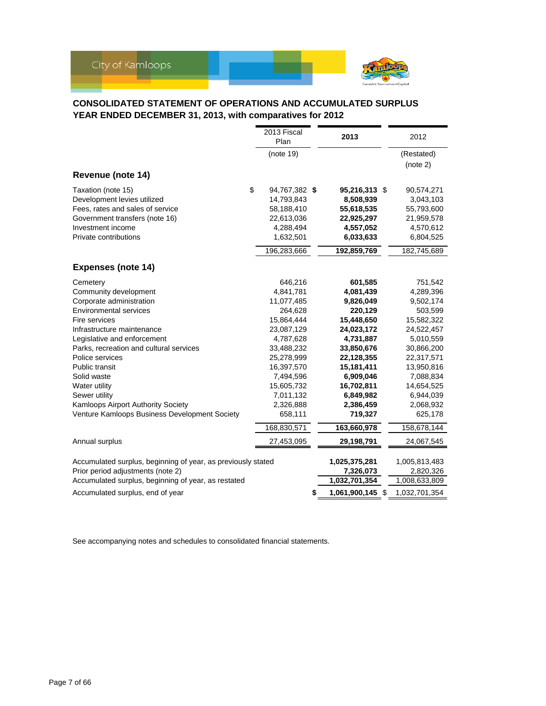

### **CONSOLIDATED STATEMENT OF OPERATIONS AND ACCUMULATED SURPLUS YEAR ENDED DECEMBER 31, 2013, with comparatives for 2012**

|                                                              | 2013 Fiscal<br>Plan | 2013                   | 2012          |
|--------------------------------------------------------------|---------------------|------------------------|---------------|
|                                                              | (note 19)           |                        | (Restated)    |
|                                                              |                     |                        | (note 2)      |
| Revenue (note 14)                                            |                     |                        |               |
| Taxation (note 15)                                           | \$<br>94,767,382 \$ | 95,216,313 \$          | 90,574,271    |
| Development levies utilized                                  | 14,793,843          | 8,508,939              | 3,043,103     |
| Fees, rates and sales of service                             | 58,188,410          | 55,618,535             | 55,793,600    |
| Government transfers (note 16)                               | 22,613,036          | 22,925,297             | 21,959,578    |
| Investment income                                            | 4,288,494           | 4,557,052              | 4,570,612     |
| Private contributions                                        | 1,632,501           | 6,033,633              | 6,804,525     |
|                                                              | 196,283,666         | 192,859,769            | 182,745,689   |
| <b>Expenses (note 14)</b>                                    |                     |                        |               |
| Cemetery                                                     | 646,216             | 601,585                | 751,542       |
| Community development                                        | 4,841,781           | 4,081,439              | 4,289,396     |
| Corporate administration                                     | 11,077,485          | 9,826,049              | 9,502,174     |
| <b>Environmental services</b>                                | 264,628             | 220,129                | 503,599       |
| Fire services                                                | 15,864,444          | 15,448,650             | 15,582,322    |
| Infrastructure maintenance                                   | 23,087,129          | 24,023,172             | 24,522,457    |
| Legislative and enforcement                                  | 4,787,628           | 4,731,887              | 5,010,559     |
| Parks, recreation and cultural services                      | 33,488,232          | 33,850,676             | 30,866,200    |
| Police services                                              | 25,278,999          | 22,128,355             | 22,317,571    |
| <b>Public transit</b>                                        | 16,397,570          | 15,181,411             | 13,950,816    |
| Solid waste                                                  | 7,494,596           | 6,909,046              | 7,088,834     |
| Water utility                                                | 15,605,732          | 16,702,811             | 14,654,525    |
| Sewer utility                                                | 7,011,132           | 6,849,982              | 6,944,039     |
| Kamloops Airport Authority Society                           | 2,326,888           | 2,386,459              | 2,068,932     |
| Venture Kamloops Business Development Society                | 658,111             | 719,327                | 625,178       |
|                                                              | 168,830,571         | 163,660,978            | 158,678,144   |
| Annual surplus                                               | 27,453,095          | 29,198,791             | 24,067,545    |
| Accumulated surplus, beginning of year, as previously stated |                     | 1,025,375,281          | 1,005,813,483 |
| Prior period adjustments (note 2)                            |                     | 7,326,073              | 2,820,326     |
| Accumulated surplus, beginning of year, as restated          |                     | 1,032,701,354          | 1,008,633,809 |
| Accumulated surplus, end of year                             |                     | \$<br>1,061,900,145 \$ | 1,032,701,354 |

See accompanying notes and schedules to consolidated financial statements.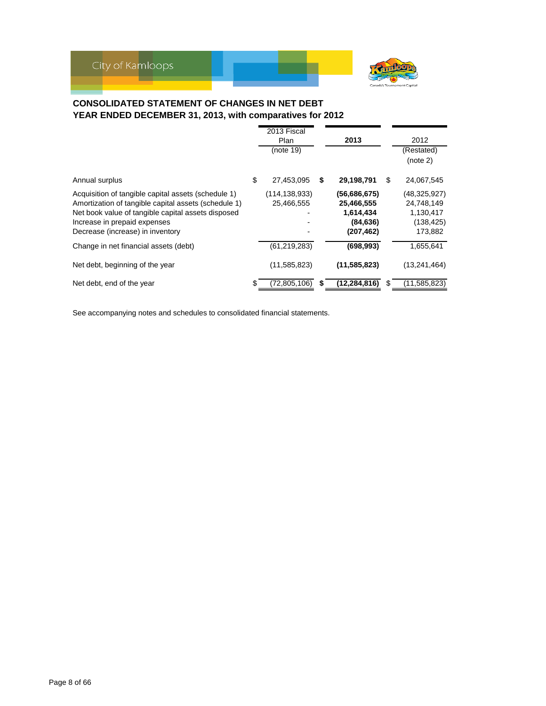

### **CONSOLIDATED STATEMENT OF CHANGES IN NET DEBT YEAR ENDED DECEMBER 31, 2013, with comparatives for 2012**

|                                                                                                                                                                                                                                       |    | 2013 Fiscal<br>Plan<br>(note 19) |    | 2013                                                               |    | 2012<br>(Restated)<br>(note 2)                                   |
|---------------------------------------------------------------------------------------------------------------------------------------------------------------------------------------------------------------------------------------|----|----------------------------------|----|--------------------------------------------------------------------|----|------------------------------------------------------------------|
| Annual surplus                                                                                                                                                                                                                        | \$ | 27.453.095                       | \$ | 29,198,791                                                         | \$ | 24,067,545                                                       |
| Acquisition of tangible capital assets (schedule 1)<br>Amortization of tangible capital assets (schedule 1)<br>Net book value of tangible capital assets disposed<br>Increase in prepaid expenses<br>Decrease (increase) in inventory |    | (114, 138, 933)<br>25,466,555    |    | (56,686,675)<br>25,466,555<br>1,614,434<br>(84, 636)<br>(207, 462) |    | (48,325,927)<br>24,748,149<br>1,130,417<br>(138, 425)<br>173,882 |
| Change in net financial assets (debt)                                                                                                                                                                                                 |    | (61, 219, 283)                   |    | (698, 993)                                                         |    | 1,655,641                                                        |
| Net debt, beginning of the year                                                                                                                                                                                                       |    | (11, 585, 823)                   |    | (11, 585, 823)                                                     |    | (13, 241, 464)                                                   |
| Net debt, end of the year                                                                                                                                                                                                             | S  | (72,805,106)                     | S  | (12, 284, 816)                                                     | S  | (11, 585, 823)                                                   |

See accompanying notes and schedules to consolidated financial statements.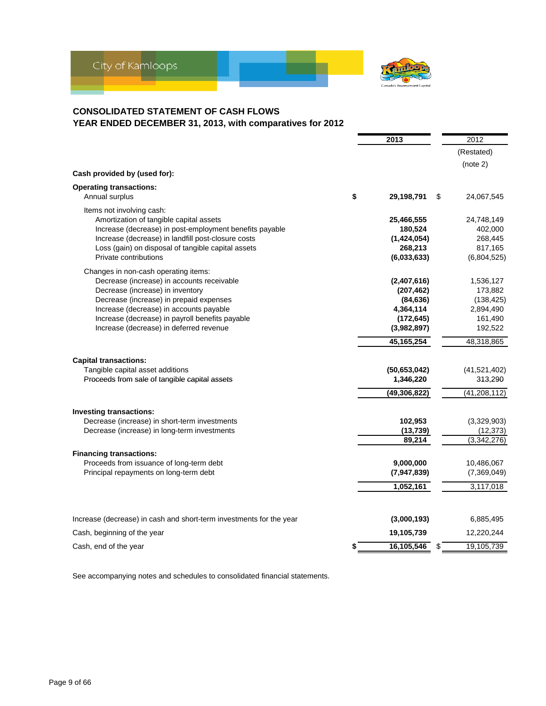

### **CONSOLIDATED STATEMENT OF CASH FLOWS YEAR ENDED DECEMBER 31, 2013, with comparatives for 2012**

|                                                                                                                                                                                                                                                                                                            | 2013                                                                             | 2012                                                                  |
|------------------------------------------------------------------------------------------------------------------------------------------------------------------------------------------------------------------------------------------------------------------------------------------------------------|----------------------------------------------------------------------------------|-----------------------------------------------------------------------|
|                                                                                                                                                                                                                                                                                                            |                                                                                  | (Restated)                                                            |
|                                                                                                                                                                                                                                                                                                            |                                                                                  | (note 2)                                                              |
| Cash provided by (used for):                                                                                                                                                                                                                                                                               |                                                                                  |                                                                       |
| <b>Operating transactions:</b><br>Annual surplus                                                                                                                                                                                                                                                           | \$<br>29,198,791                                                                 | \$<br>24,067,545                                                      |
| Items not involving cash:<br>Amortization of tangible capital assets<br>Increase (decrease) in post-employment benefits payable<br>Increase (decrease) in landfill post-closure costs<br>Loss (gain) on disposal of tangible capital assets<br>Private contributions                                       | 25,466,555<br>180,524<br>(1,424,054)<br>268,213<br>(6,033,633)                   | 24,748,149<br>402,000<br>268,445<br>817,165<br>(6,804,525)            |
| Changes in non-cash operating items:<br>Decrease (increase) in accounts receivable<br>Decrease (increase) in inventory<br>Decrease (increase) in prepaid expenses<br>Increase (decrease) in accounts payable<br>Increase (decrease) in payroll benefits payable<br>Increase (decrease) in deferred revenue | (2,407,616)<br>(207, 462)<br>(84, 636)<br>4,364,114<br>(172, 645)<br>(3,982,897) | 1,536,127<br>173,882<br>(138, 425)<br>2,894,490<br>161,490<br>192,522 |
|                                                                                                                                                                                                                                                                                                            | 45, 165, 254                                                                     | 48,318,865                                                            |
| <b>Capital transactions:</b><br>Tangible capital asset additions<br>Proceeds from sale of tangible capital assets                                                                                                                                                                                          | (50, 653, 042)<br>1,346,220<br>(49, 306, 822)                                    | (41,521,402)<br>313,290<br>(41, 208, 112)                             |
|                                                                                                                                                                                                                                                                                                            |                                                                                  |                                                                       |
| Investing transactions:<br>Decrease (increase) in short-term investments<br>Decrease (increase) in long-term investments                                                                                                                                                                                   | 102,953<br>(13, 739)<br>89,214                                                   | (3,329,903)<br>(12, 373)<br>(3,342,276)                               |
| <b>Financing transactions:</b>                                                                                                                                                                                                                                                                             |                                                                                  |                                                                       |
| Proceeds from issuance of long-term debt<br>Principal repayments on long-term debt                                                                                                                                                                                                                         | 9,000,000<br>(7, 947, 839)                                                       | 10,486,067<br>(7,369,049)                                             |
|                                                                                                                                                                                                                                                                                                            | 1,052,161                                                                        | 3,117,018                                                             |
| Increase (decrease) in cash and short-term investments for the year                                                                                                                                                                                                                                        | (3,000,193)                                                                      | 6,885,495                                                             |
| Cash, beginning of the year                                                                                                                                                                                                                                                                                | 19,105,739                                                                       | 12,220,244                                                            |
| Cash, end of the year                                                                                                                                                                                                                                                                                      | \$<br>16,105,546                                                                 | \$<br>19,105,739                                                      |

See accompanying notes and schedules to consolidated financial statements.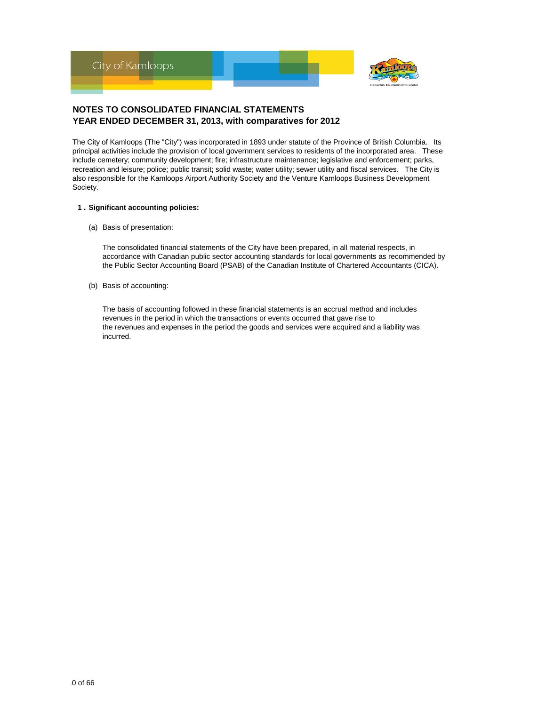

The City of Kamloops (The "City") was incorporated in 1893 under statute of the Province of British Columbia. Its principal activities include the provision of local government services to residents of the incorporated area. These include cemetery; community development; fire; infrastructure maintenance; legislative and enforcement; parks, recreation and leisure; police; public transit; solid waste; water utility; sewer utility and fiscal services. The City is also responsible for the Kamloops Airport Authority Society and the Venture Kamloops Business Development Society.

#### **1 . Significant accounting policies:**

(a) Basis of presentation:

The consolidated financial statements of the City have been prepared, in all material respects, in accordance with Canadian public sector accounting standards for local governments as recommended by the Public Sector Accounting Board (PSAB) of the Canadian Institute of Chartered Accountants (CICA).

(b) Basis of accounting:

The basis of accounting followed in these financial statements is an accrual method and includes revenues in the period in which the transactions or events occurred that gave rise to the revenues and expenses in the period the goods and services were acquired and a liability was incurred.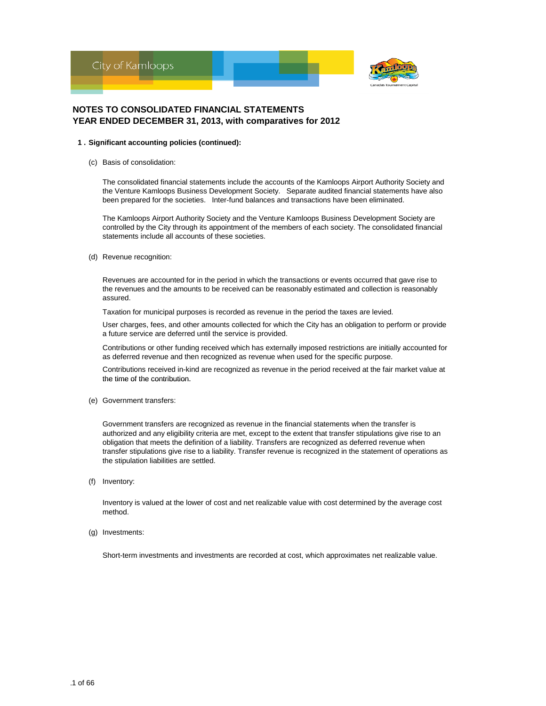

#### **1 . Significant accounting policies (continued):**

(c) Basis of consolidation:

The consolidated financial statements include the accounts of the Kamloops Airport Authority Society and the Venture Kamloops Business Development Society. Separate audited financial statements have also been prepared for the societies. Inter-fund balances and transactions have been eliminated.

The Kamloops Airport Authority Society and the Venture Kamloops Business Development Society are controlled by the City through its appointment of the members of each society. The consolidated financial statements include all accounts of these societies.

(d) Revenue recognition:

Revenues are accounted for in the period in which the transactions or events occurred that gave rise to the revenues and the amounts to be received can be reasonably estimated and collection is reasonably assured.

Taxation for municipal purposes is recorded as revenue in the period the taxes are levied.

User charges, fees, and other amounts collected for which the City has an obligation to perform or provide a future service are deferred until the service is provided.

Contributions or other funding received which has externally imposed restrictions are initially accounted for as deferred revenue and then recognized as revenue when used for the specific purpose.

Contributions received in-kind are recognized as revenue in the period received at the fair market value at the time of the contribution. the time of the

(e) Government transfers:

Government transfers are recognized as revenue in the financial statements when the transfer is authorized and any eligibility criteria are met, except to the extent that transfer stipulations give rise to an obligation that meets the definition of a liability. Transfers are recognized as deferred revenue when transfer stipulations give rise to a liability. Transfer revenue is recognized in the statement of operations as the stipulation liabilities are settled.

(f) Inventory:

Inventory is valued at the lower of cost and net realizable value with cost determined by the average cost method.

(g) Investments:

Short-term investments and investments are recorded at cost, which approximates net realizable value.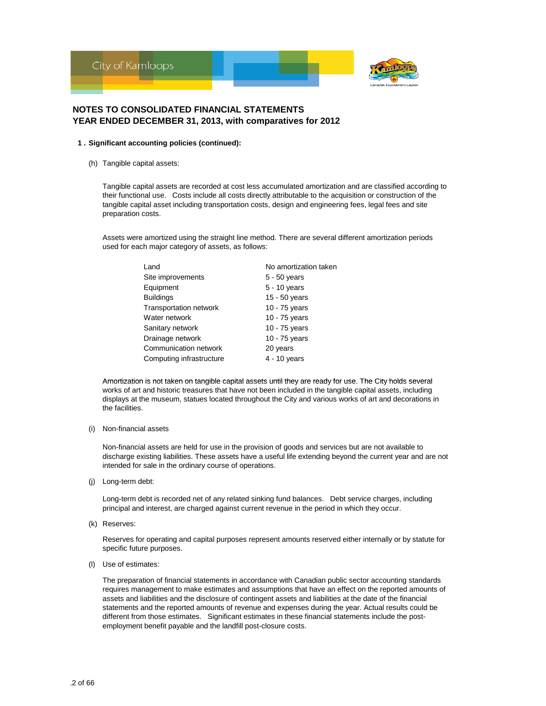

#### **1 . Significant accounting policies (continued):**

(h) Tangible capital assets:

Tangible capital assets are recorded at cost less accumulated amortization and are classified according to their functional use. Costs include all costs directly attributable to the acquisition or construction of the tangible capital asset including transportation costs, design and engineering fees, legal fees and site preparation costs.

Assets were amortized using the straight line method. There are several different amortization periods used for each major category of assets, as follows:

| Land                          | No amortization taken |
|-------------------------------|-----------------------|
| Site improvements             | $5 - 50$ years        |
| Equipment                     | $5 - 10$ years        |
| <b>Buildings</b>              | 15 - 50 years         |
| <b>Transportation network</b> | 10 - 75 years         |
| Water network                 | 10 - 75 years         |
| Sanitary network              | 10 - 75 years         |
| Drainage network              | 10 - 75 years         |
| Communication network         | 20 years              |
| Computing infrastructure      | 4 - 10 years          |

Amortization is not taken on tangible capital assets until they are ready for use. The City holds several works of art and historic treasures that have not been included in the tangible capital assets, including displays at the museum, statues located throughout the City and various works of art and decorations in the facilities.

(i) Non-financial assets

Non-financial assets are held for use in the provision of goods and services but are not available to discharge existing liabilities. These assets have a useful life extending beyond the current year and are not intended for sale in the ordinary course of operations.

(j) Long-term debt:

Long-term debt is recorded net of any related sinking fund balances. Debt service charges, including principal and interest, are charged against current revenue in the period in which they occur.

(k) Reserves:

Reserves for operating and capital purposes represent amounts reserved either internally or by statute for specific future purposes.

(l) Use of estimates:

The preparation of financial statements in accordance with Canadian public sector accounting standards requires management to make estimates and assumptions that have an effect on the reported amounts of assets and liabilities and the disclosure of contingent assets and liabilities at the date of the financial statements and the reported amounts of revenue and expenses during the year. Actual results could be different from those estimates. Significant estimates in these financial statements include the postemployment benefit payable and the landfill post-closure costs.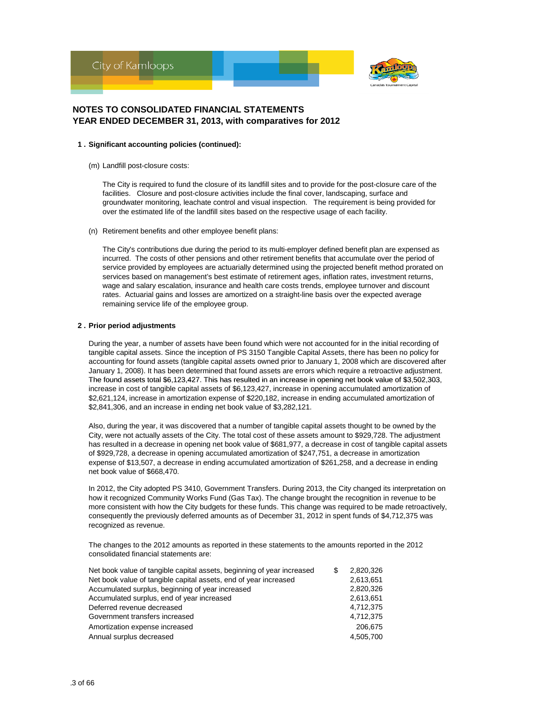

#### **1 . Significant accounting policies (continued):**

(m) Landfill post-closure costs:

The City is required to fund the closure of its landfill sites and to provide for the post-closure care of the facilities. Closure and post-closure activities include the final cover, landscaping, surface and groundwater monitoring, leachate control and visual inspection. The requirement is being provided for over the estimated life of the landfill sites based on the respective usage of each facility.

(n) Retirement benefits and other employee benefit plans:

The City's contributions due during the period to its multi-employer defined benefit plan are expensed as incurred. The costs of other pensions and other retirement benefits that accumulate over the period of service provided by employees are actuarially determined using the projected benefit method prorated on services based on management's best estimate of retirement ages, inflation rates, investment returns, wage and salary escalation, insurance and health care costs trends, employee turnover and discount rates. Actuarial gains and losses are amortized on a straight-line basis over the expected average remaining service life of the employee group.

#### **2 . Prior period adjustments**

During the year, a number of assets have been found which were not accounted for in the initial recording of tangible capital assets. Since the inception of PS 3150 Tangible Capital Assets, there has been no policy for accounting for found assets (tangible capital assets owned prior to January 1, 2008 which are discovered after January 1, 2008). It has been determined that found assets are errors which require a retroactive adjustment. The found assets total \$6 123 427 This has resulted in an increase in opening net book value of \$3 502 303 The found assets total \$6,123,427. This has resulted in an increase in opening net book value of \$3,502,303, increase in cost of tangible capital assets of \$6,123,427, increase in opening accumulated amortization of \$2,621,124, increase in amortization expense of \$220,182, increase in ending accumulated amortization of \$2,841,306, and an increase in ending net book value of \$3,282,121.

Also, during the year, it was discovered that a number of tangible capital assets thought to be owned by the City, were not actually assets of the City. The total cost of these assets amount to \$929,728. The adjustment has resulted in a decrease in opening net book value of \$681,977, a decrease in cost of tangible capital assets of \$929,728, a decrease in opening accumulated amortization of \$247,751, a decrease in amortization expense of \$13,507, a decrease in ending accumulated amortization of \$261,258, and a decrease in ending net book value of \$668,470.

In 2012, the City adopted PS 3410, Government Transfers. During 2013, the City changed its interpretation on how it recognized Community Works Fund (Gas Tax). The change brought the recognition in revenue to be more consistent with how the City budgets for these funds. This change was required to be made retroactively, consequently the previously deferred amounts as of December 31, 2012 in spent funds of \$4,712,375 was recognized as revenue.

The changes to the 2012 amounts as reported in these statements to the amounts reported in the 2012 consolidated financial statements are:

| Net book value of tangible capital assets, beginning of year increased | S | 2.820.326 |
|------------------------------------------------------------------------|---|-----------|
| Net book value of tangible capital assets, end of year increased       |   | 2,613,651 |
| Accumulated surplus, beginning of year increased                       |   | 2.820.326 |
| Accumulated surplus, end of year increased                             |   | 2.613.651 |
| Deferred revenue decreased                                             |   | 4.712.375 |
| Government transfers increased                                         |   | 4,712,375 |
| Amortization expense increased                                         |   | 206.675   |
| Annual surplus decreased                                               |   | 4.505.700 |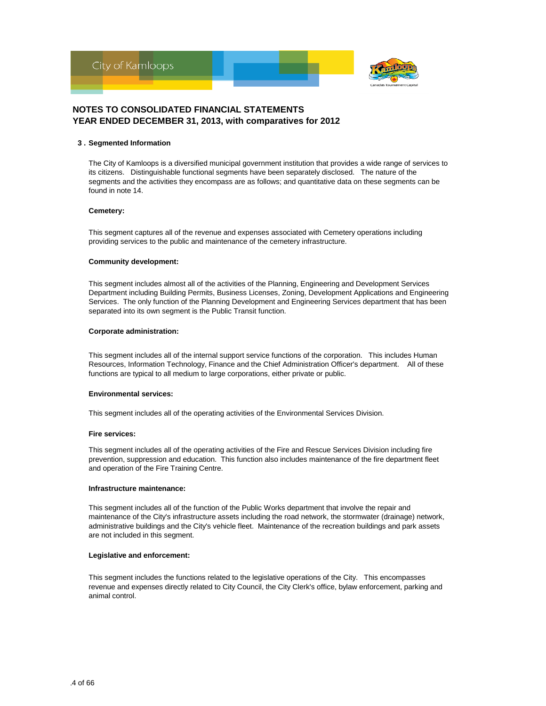

#### **3 . Segmented Information**

The City of Kamloops is a diversified municipal government institution that provides a wide range of services to its citizens. Distinguishable functional segments have been separately disclosed. The nature of the segments and the activities they encompass are as follows; and quantitative data on these segments can be found in note 14.

#### **Cemetery:**

This segment captures all of the revenue and expenses associated with Cemetery operations including providing services to the public and maintenance of the cemetery infrastructure.

#### **Community development:**

This segment includes almost all of the activities of the Planning, Engineering and Development Services Department including Building Permits, Business Licenses, Zoning, Development Applications and Engineering Services. The only function of the Planning Development and Engineering Services department that has been separated into its own segment is the Public Transit function.

#### **Corporate administration:**

This segment includes all of the internal support service functions of the corporation. This includes Human Resources, Information Technology, Finance and the Chief Administration Officer's department. All of these functions are typical to all medium to large corporations, either private or public.

#### **Environmental services:**

This segment includes all of the operating activities of the Environmental Services Division.

#### **Fire services:**

This segment includes all of the operating activities of the Fire and Rescue Services Division including fire prevention, suppression and education. This function also includes maintenance of the fire department fleet and operation of the Fire Training Centre.

#### **Infrastructure maintenance:**

This segment includes all of the function of the Public Works department that involve the repair and maintenance of the City's infrastructure assets including the road network, the stormwater (drainage) network, administrative buildings and the City's vehicle fleet. Maintenance of the recreation buildings and park assets are not included in this segment.

#### **Legislative and enforcement:**

This segment includes the functions related to the legislative operations of the City. This encompasses revenue and expenses directly related to City Council, the City Clerk's office, bylaw enforcement, parking and animal control.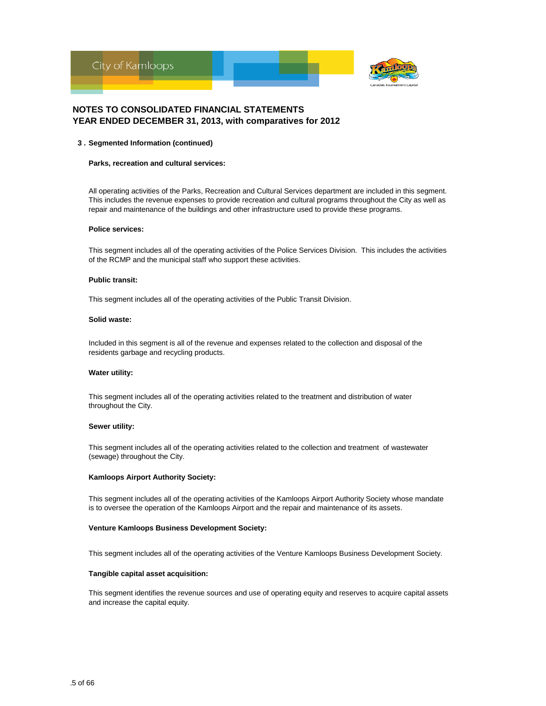

#### **3 . Segmented Information (continued)**

#### **Parks, recreation and cultural services:**

All operating activities of the Parks, Recreation and Cultural Services department are included in this segment. This includes the revenue expenses to provide recreation and cultural programs throughout the City as well as repair and maintenance of the buildings and other infrastructure used to provide these programs.

#### **Police services:**

This segment includes all of the operating activities of the Police Services Division. This includes the activities of the RCMP and the municipal staff who support these activities.

#### **Public transit:**

This segment includes all of the operating activities of the Public Transit Division.

#### **Solid waste:**

Included in this segment is all of the revenue and expenses related to the collection and disposal of the residents garbage and recycling products.

#### **Water utility:**

This segment includes all of the operating activities related to the treatment and distribution of water throughout the City.

#### **Sewer utility:**

This segment includes all of the operating activities related to the collection and treatment of wastewater (sewage) throughout the City.

#### **Kamloops Airport Authority Society:**

This segment includes all of the operating activities of the Kamloops Airport Authority Society whose mandate is to oversee the operation of the Kamloops Airport and the repair and maintenance of its assets.

#### **Venture Kamloops Business Development Society:**

This segment includes all of the operating activities of the Venture Kamloops Business Development Society.

#### **Tangible capital asset acquisition:**

This segment identifies the revenue sources and use of operating equity and reserves to acquire capital assets and increase the capital equity.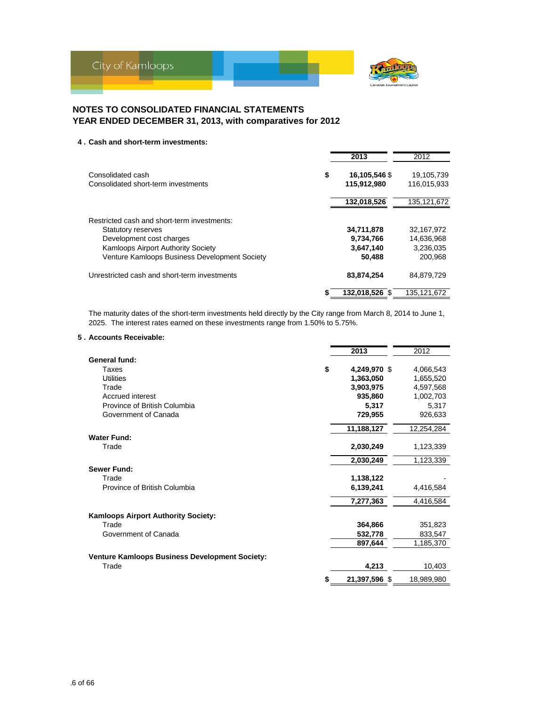

#### **4 . Cash and short-term investments:**

|                                               | 2013                | 2012          |
|-----------------------------------------------|---------------------|---------------|
| Consolidated cash                             | \$<br>16,105,546 \$ | 19,105,739    |
| Consolidated short-term investments           | 115,912,980         | 116,015,933   |
|                                               | 132,018,526         | 135, 121, 672 |
| Restricted cash and short-term investments:   |                     |               |
| Statutory reserves                            | 34,711,878          | 32,167,972    |
| Development cost charges                      | 9,734,766           | 14,636,968    |
| Kamloops Airport Authority Society            | 3,647,140           | 3,236,035     |
| Venture Kamloops Business Development Society | 50,488              | 200.968       |
| Unrestricted cash and short-term investments  | 83,874,254          | 84,879,729    |
|                                               | 132.018.526         | 135.121.672   |

The maturity dates of the short-term investments held directly by the City range from March 8, 2014 to June 1, 2025. The interest rates earned on these investments range from 1.50% to 5.75%.

#### **5 . Accounts Receivable:**

|                                                       | 2013               | 2012       |
|-------------------------------------------------------|--------------------|------------|
| General fund:                                         |                    |            |
| Taxes                                                 | \$<br>4,249,970 \$ | 4,066,543  |
| <b>Utilities</b>                                      | 1,363,050          | 1,655,520  |
| Trade                                                 | 3,903,975          | 4,597,568  |
| Accrued interest                                      | 935,860            | 1,002,703  |
| Province of British Columbia                          | 5,317              | 5,317      |
| Government of Canada                                  | 729,955            | 926,633    |
|                                                       | 11,188,127         | 12,254,284 |
| <b>Water Fund:</b>                                    |                    |            |
| Trade                                                 | 2,030,249          | 1,123,339  |
|                                                       | 2,030,249          | 1,123,339  |
| Sewer Fund:                                           |                    |            |
| Trade                                                 | 1,138,122          |            |
| Province of British Columbia                          | 6,139,241          | 4,416,584  |
|                                                       | 7,277,363          | 4,416,584  |
| <b>Kamloops Airport Authority Society:</b>            |                    |            |
| Trade                                                 | 364,866            | 351,823    |
| Government of Canada                                  | 532,778            | 833,547    |
|                                                       | 897,644            | 1,185,370  |
| <b>Venture Kamloops Business Development Society:</b> |                    |            |
| Trade                                                 | 4,213              | 10,403     |
|                                                       | 21,397,596 \$      | 18,989,980 |
|                                                       |                    |            |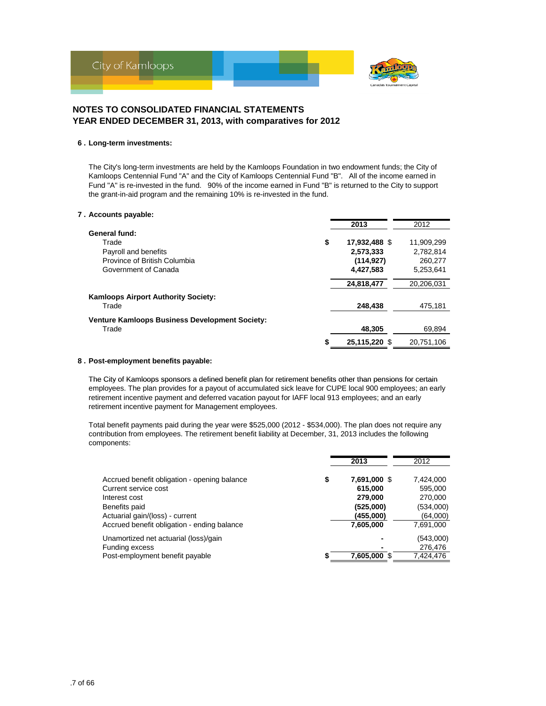

#### **6 . Long-term investments:**

The City's long-term investments are held by the Kamloops Foundation in two endowment funds; the City of Kamloops Centennial Fund "A" and the City of Kamloops Centennial Fund "B". All of the income earned in Fund "A" is re-invested in the fund. 90% of the income earned in Fund "B" is returned to the City to support the grant-in-aid program and the remaining 10% is re-invested in the fund.

#### **7 . Accounts payable:**

|                                                       | 2013                | 2012       |
|-------------------------------------------------------|---------------------|------------|
| General fund:                                         |                     |            |
| Trade                                                 | \$<br>17,932,488 \$ | 11,909,299 |
| Payroll and benefits                                  | 2,573,333           | 2.782.814  |
| Province of British Columbia                          | (114, 927)          | 260.277    |
| Government of Canada                                  | 4,427,583           | 5,253,641  |
|                                                       | 24,818,477          | 20,206,031 |
| <b>Kamloops Airport Authority Society:</b>            |                     |            |
| Trade                                                 | 248.438             | 475,181    |
| <b>Venture Kamloops Business Development Society:</b> |                     |            |
| Trade                                                 | 48.305              | 69,894     |
|                                                       | 25,115,220 \$       | 20,751,106 |
|                                                       |                     |            |

#### **8 . Post-employment benefits payable:**

The City of Kamloops sponsors a defined benefit plan for retirement benefits other than pensions for certain The City of Kamloops sponsors a defined benefit plan for retirement benefits other than pensions for employees. The plan provides for a payout of accumulated sick leave for CUPE local 900 employees; an early retirement incentive payment and deferred vacation payout for IAFF local 913 employees; and an early retirement incentive payment for Management employees.

Total benefit payments paid during the year were \$525,000 (2012 - \$534,000). The plan does not require any contribution from employees. The retirement benefit liability at December, 31, 2013 includes the following components:

|                                              |    | 2013         | 2012      |
|----------------------------------------------|----|--------------|-----------|
| Accrued benefit obligation - opening balance | \$ | 7,691,000 \$ | 7,424,000 |
| Current service cost                         |    | 615.000      | 595,000   |
| Interest cost                                |    | 279,000      | 270,000   |
| Benefits paid                                |    | (525,000)    | (534,000) |
| Actuarial gain/(loss) - current              |    | (455,000)    | (64,000)  |
| Accrued benefit obligation - ending balance  |    | 7,605,000    | 7,691,000 |
| Unamortized net actuarial (loss)/gain        |    |              | (543,000) |
| Funding excess                               |    |              | 276,476   |
| Post-employment benefit payable              | S  | 7,605,000 \$ | 7,424,476 |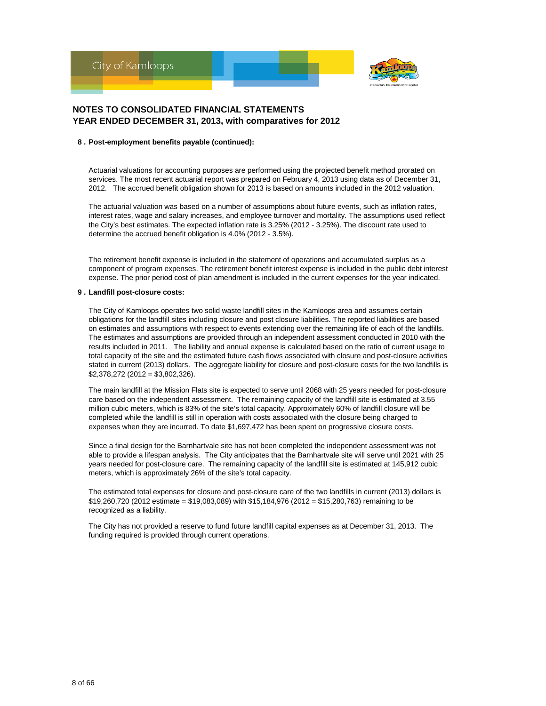

#### **8 . Post-employment benefits payable (continued):**

Actuarial valuations for accounting purposes are performed using the projected benefit method prorated on services. The most recent actuarial report was prepared on February 4, 2013 using data as of December 31, 2012. The accrued benefit obligation shown for 2013 is based on amounts included in the 2012 valuation.

The actuarial valuation was based on a number of assumptions about future events, such as inflation rates, interest rates, wage and salary increases, and employee turnover and mortality. The assumptions used reflect the City's best estimates. The expected inflation rate is 3.25% (2012 - 3.25%). The discount rate used to determine the accrued benefit obligation is 4.0% (2012 - 3.5%).

The retirement benefit expense is included in the statement of operations and accumulated surplus as a component of program expenses. The retirement benefit interest expense is included in the public debt interest expense. The prior period cost of plan amendment is included in the current expenses for the year indicated.

#### **9 . Landfill post-closure costs:**

The City of Kamloops operates two solid waste landfill sites in the Kamloops area and assumes certain obligations for the landfill sites including closure and post closure liabilities. The reported liabilities are based on estimates and assumptions with respect to events extending over the remaining life of each of the landfills. The estimates and assumptions are provided through an independent assessment conducted in 2010 with the results included in 2011. The liability and annual expense is calculated based on the ratio of current usage to total capacity of the site and the estimated future cash flows associated with closure and post-closure activities stated in current (2013) dollars. The aggregate liability for closure and post-closure costs for the two landfills is \$2,378,272 (2012 = \$3,802,326).

The main landfill at the Mission Flats site is expected to serve until 2068 with 25 years needed for post-closure care based on the independent assessment. The remaining capacity of the landfill site is estimated at 3.55 million cubic meters, which is 83% of the site's total capacity. Approximately 60% of landfill closure will be completed while the landfill is still in operation with costs associated with the closure being charged to expenses when they are incurred. To date \$1,697,472 has been spent on progressive closure costs.

Since a final design for the Barnhartvale site has not been completed the independent assessment was not able to provide a lifespan analysis. The City anticipates that the Barnhartvale site will serve until 2021 with 25 years needed for post-closure care. The remaining capacity of the landfill site is estimated at 145,912 cubic meters, which is approximately 26% of the site's total capacity.

The estimated total expenses for closure and post-closure care of the two landfills in current (2013) dollars is \$19,260,720 (2012 estimate = \$19,083,089) with \$15,184,976 (2012 = \$15,280,763) remaining to be recognized as a liability.

The City has not provided a reserve to fund future landfill capital expenses as at December 31, 2013. The funding required is provided through current operations.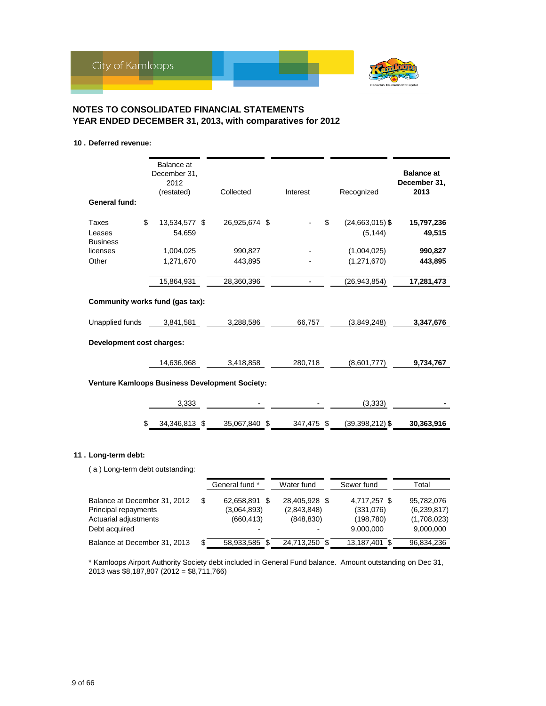

#### **10 . Deferred revenue:**

|                                    |                                                       | Balance at<br>December 31,<br>2012<br>(restated) |  | Collected     |    | Interest |    | Recognized                    | <b>Balance at</b><br>December 31,<br>2013 |
|------------------------------------|-------------------------------------------------------|--------------------------------------------------|--|---------------|----|----------|----|-------------------------------|-------------------------------------------|
| <b>General fund:</b>               |                                                       |                                                  |  |               |    |          |    |                               |                                           |
| Taxes<br>Leases<br><b>Business</b> | \$                                                    | 13,534,577 \$<br>54,659                          |  | 26,925,674 \$ |    |          | \$ | $(24,663,015)$ \$<br>(5, 144) | 15,797,236<br>49,515                      |
| licenses                           |                                                       | 1,004,025                                        |  | 990,827       |    |          |    | (1,004,025)                   | 990,827                                   |
| Other                              |                                                       | 1,271,670                                        |  | 443,895       |    |          |    | (1,271,670)                   | 443,895                                   |
|                                    |                                                       | 15,864,931                                       |  | 28,360,396    |    |          |    | (26, 943, 854)                | 17,281,473                                |
| Community works fund (gas tax):    |                                                       |                                                  |  |               |    |          |    |                               |                                           |
| Unapplied funds                    |                                                       | 3,841,581                                        |  | 3,288,586     |    | 66,757   |    | (3,849,248)                   | 3,347,676                                 |
| Development cost charges:          |                                                       |                                                  |  |               |    |          |    |                               |                                           |
|                                    |                                                       | 14,636,968                                       |  | 3,418,858     |    | 280,718  |    | (8,601,777)                   | 9,734,767                                 |
|                                    | <b>Venture Kamloops Business Development Society:</b> |                                                  |  |               |    |          |    |                               |                                           |
|                                    |                                                       | 3,333                                            |  |               |    |          |    | (3,333)                       |                                           |
|                                    | \$                                                    | 34,346,813 \$                                    |  | 35,067,840    | \$ | 347,475  | \$ | $(39,398,212)$ \$             | 30,363,916                                |

#### **11 . Long-term debt:**

( a ) Long-term debt outstanding:

|                                                                                                |     | General fund *                             | Water fund                                 | Sewer fund                                           | Total                                                 |
|------------------------------------------------------------------------------------------------|-----|--------------------------------------------|--------------------------------------------|------------------------------------------------------|-------------------------------------------------------|
| Balance at December 31, 2012<br>Principal repayments<br>Actuarial adjustments<br>Debt acquired | \$. | 62.658.891 \$<br>(3,064,893)<br>(660, 413) | 28,405,928 \$<br>(2,843,848)<br>(848, 830) | 4.717.257 \$<br>(331,076)<br>(198, 780)<br>9,000,000 | 95,782,076<br>(6,239,817)<br>(1,708,023)<br>9,000,000 |
| Balance at December 31, 2013                                                                   | S.  | 58,933,585 \$                              | 24,713,250 \$                              | 13,187,401 \$                                        | 96,834,236                                            |

\* Kamloops Airport Authority Society debt included in General Fund balance. Amount outstanding on Dec 31, 2013 was \$8,187,807 (2012 = \$8,711,766)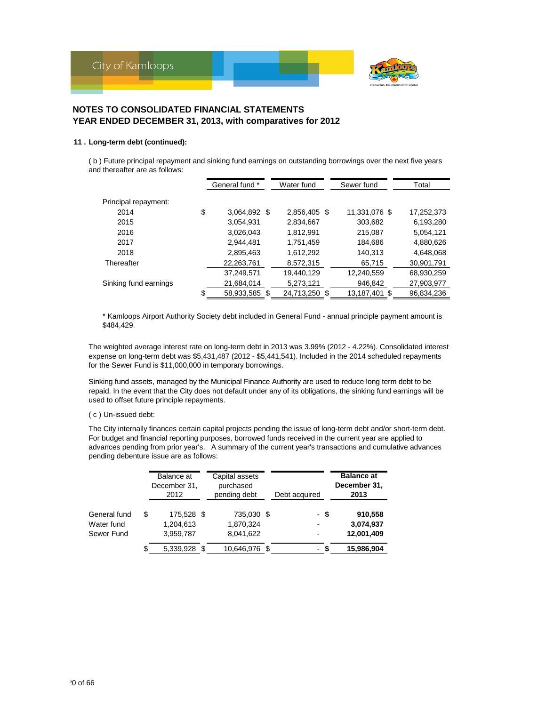

#### **11 . Long-term debt (continued):**

( b ) Future principal repayment and sinking fund earnings on outstanding borrowings over the next five years and thereafter are as follows:

|                       | General fund *         | Water fund    | Sewer fund    | Total      |
|-----------------------|------------------------|---------------|---------------|------------|
| Principal repayment:  |                        |               |               |            |
| 2014                  | \$<br>3,064,892 \$     | 2,856,405 \$  | 11,331,076 \$ | 17,252,373 |
| 2015                  | 3,054,931              | 2,834,667     | 303,682       | 6,193,280  |
| 2016                  | 3,026,043              | 1,812,991     | 215,087       | 5,054,121  |
| 2017                  | 2.944.481              | 1,751,459     | 184,686       | 4,880,626  |
| 2018                  | 2,895,463              | 1,612,292     | 140,313       | 4,648,068  |
| Thereafter            | 22,263,761             | 8,572,315     | 65,715        | 30,901,791 |
|                       | 37,249,571             | 19,440,129    | 12,240,559    | 68,930,259 |
| Sinking fund earnings | 21,684,014             | 5,273,121     | 946,842       | 27,903,977 |
|                       | \$<br>58,933,585<br>\$ | 24,713,250 \$ | 13,187,401 \$ | 96.834.236 |

\* Kamloops Airport Authority Society debt included in General Fund - annual principle payment amount is \$484,429.

The weighted average interest rate on long-term debt in 2013 was 3.99% (2012 - 4.22%). Consolidated interest expense on long-term debt was \$5,431,487 (2012 - \$5,441,541). Included in the 2014 scheduled repayments for the Sewer Fund is \$11,000,000 in temporary borrowings.

Sinking fund assets, managed by the Municipal Finance Authority are used to reduce long term debt to be repaid. In the event that the City does not default under any of its obligations, the sinking fund earnings will be used to offset future principle repayments.

#### ( c ) Un-issued debt:

The City internally finances certain capital projects pending the issue of long-term debt and/or short-term debt. For budget and financial reporting purposes, borrowed funds received in the current year are applied to advances pending from prior year's. A summary of the current year's transactions and cumulative advances pending debenture issue are as follows:

|              | Balance at<br>December 31.<br>2012 | Capital assets<br>purchased<br>pending debt | Debt acquired |      | <b>Balance at</b><br>December 31,<br>2013 |
|--------------|------------------------------------|---------------------------------------------|---------------|------|-------------------------------------------|
| General fund | \$<br>175,528 \$                   | 735,030 \$                                  |               | - \$ | 910,558                                   |
| Water fund   | 1,204,613                          | 1,870,324                                   |               |      | 3,074,937                                 |
| Sewer Fund   | 3,959,787                          | 8,041,622                                   |               |      | 12,001,409                                |
|              | \$<br>5,339,928 \$                 | 10,646,976 \$                               |               |      | 15,986,904                                |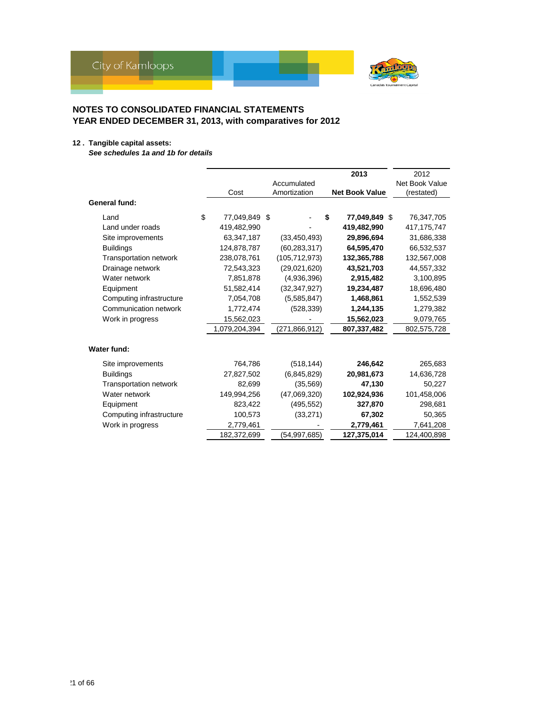

### **12 . Tangible capital assets:**

*See schedules 1a and 1b for details*

|               |                 | 2013                  | 2012           |
|---------------|-----------------|-----------------------|----------------|
|               | Accumulated     |                       | Net Book Value |
| Cost          | Amortization    | <b>Net Book Value</b> | (restated)     |
|               |                 |                       |                |
|               |                 | 77,049,849 \$         | 76,347,705     |
| 419,482,990   |                 | 419,482,990           | 417, 175, 747  |
| 63,347,187    | (33, 450, 493)  | 29,896,694            | 31,686,338     |
| 124,878,787   | (60, 283, 317)  | 64,595,470            | 66,532,537     |
| 238,078,761   | (105, 712, 973) | 132,365,788           | 132,567,008    |
| 72,543,323    | (29,021,620)    | 43,521,703            | 44,557,332     |
| 7,851,878     | (4,936,396)     | 2,915,482             | 3,100,895      |
| 51,582,414    | (32, 347, 927)  | 19,234,487            | 18,696,480     |
| 7,054,708     | (5,585,847)     | 1,468,861             | 1,552,539      |
| 1,772,474     | (528, 339)      | 1,244,135             | 1,279,382      |
| 15,562,023    |                 | 15,562,023            | 9,079,765      |
| 1,079,204,394 | (271, 866, 912) | 807,337,482           | 802,575,728    |
|               |                 |                       |                |
| 764,786       | (518, 144)      | 246,642               | 265,683        |
| 27,827,502    | (6,845,829)     | 20,981,673            | 14,636,728     |
| 82,699        | (35, 569)       | 47,130                | 50,227         |
| 149,994,256   | (47,069,320)    | 102,924,936           | 101,458,006    |
| 823,422       | (495, 552)      | 327,870               | 298,681        |
| 100,573       | (33, 271)       | 67,302                | 50,365         |
| 2,779,461     |                 | 2,779,461             | 7,641,208      |
| 182,372,699   | (54,997,685)    | 127,375,014           | 124,400,898    |
|               | \$              | 77,049,849 \$         | \$             |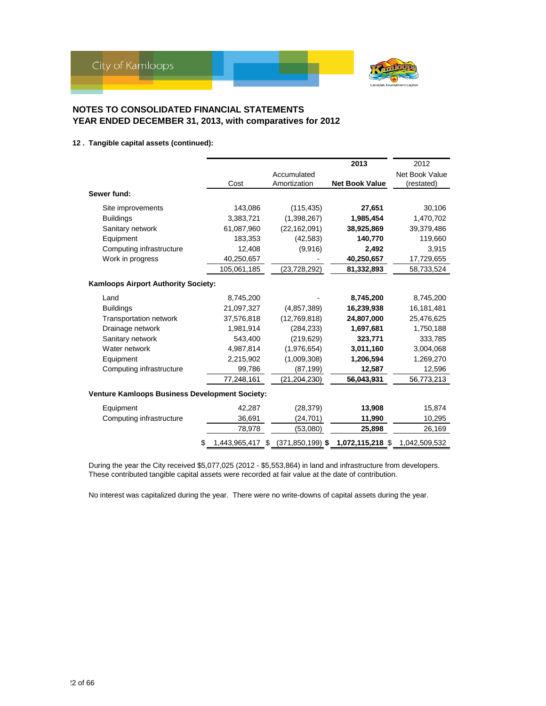

#### **12 . Tangible capital assets (continued):**

|                                                |                     | 2013                                | 2012           |
|------------------------------------------------|---------------------|-------------------------------------|----------------|
|                                                |                     |                                     |                |
|                                                | Accumulated         |                                     | Net Book Value |
| Cost                                           | Amortization        | <b>Net Book Value</b>               | (restated)     |
| Sewer fund:                                    |                     |                                     |                |
| 143,086<br>Site improvements                   | (115, 435)          | 27,651                              | 30,106         |
| <b>Buildings</b><br>3,383,721                  | (1,398,267)         | 1,985,454                           | 1,470,702      |
| 61,087,960<br>Sanitary network                 | (22, 162, 091)      | 38,925,869                          | 39,379,486     |
| Equipment<br>183,353                           | (42, 583)           | 140,770                             | 119,660        |
| Computing infrastructure                       | 12,408<br>(9,916)   | 2,492                               | 3,915          |
| Work in progress<br>40,250,657                 |                     | 40,250,657                          | 17,729,655     |
| 105,061,185                                    | (23, 728, 292)      | 81,332,893                          | 58,733,524     |
| <b>Kamloops Airport Authority Society:</b>     |                     |                                     |                |
| 8,745,200<br>Land                              |                     | 8,745,200                           | 8,745,200      |
| <b>Buildings</b><br>21,097,327                 | (4,857,389)         | 16,239,938                          | 16,181,481     |
| <b>Transportation network</b><br>37,576,818    | (12,769,818)        | 24,807,000                          | 25,476,625     |
| Drainage network<br>1.981.914                  | (284, 233)          | 1,697,681                           | 1,750,188      |
| 543,400<br>Sanitary network                    | (219, 629)          | 323,771                             | 333,785        |
| Water network<br>4,987,814                     | (1,976,654)         | 3,011,160                           | 3,004,068      |
| Equipment<br>2,215,902                         | (1,009,308)         | 1,206,594                           | 1,269,270      |
| Computing infrastructure                       | 99,786<br>(87, 199) | 12,587                              | 12,596         |
| 77,248,161                                     | (21, 204, 230)      | 56,043,931                          | 56,773,213     |
| Venture Kamloops Business Development Society: |                     |                                     |                |
| Equipment                                      | 42,287<br>(28, 379) | 13,908                              | 15,874         |
| Computing infrastructure                       | 36,691<br>(24,701)  | 11,990                              | 10,295         |
|                                                | 78,978<br>(53,080)  | 25,898                              | 26,169         |
| 1,443,965,417                                  | -S                  | $(371,850,199)$ \$ 1,072,115,218 \$ | 1,042,509,532  |

During the year the City received \$5,077,025 (2012 - \$5,553,864) in land and infrastructure from developers. These contributed tangible capital assets were recorded at fair value at the date of contribution.

No interest was capitalized during the year. There were no write-downs of capital assets during the year.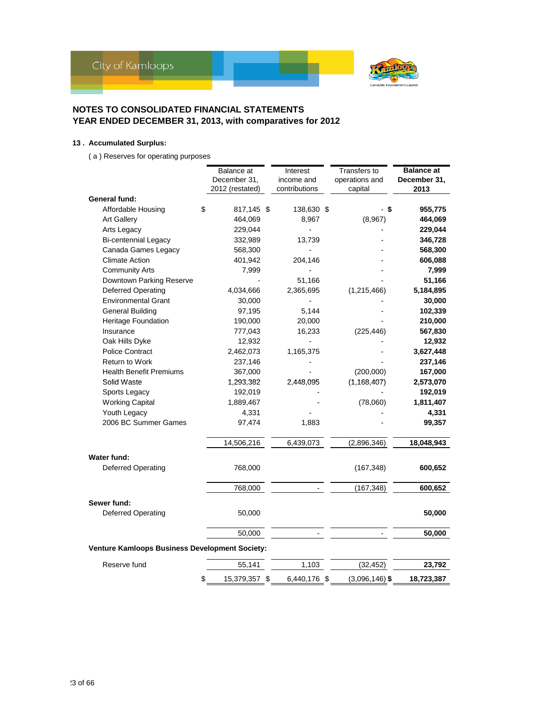

### **13 . Accumulated Surplus:**

( a ) Reserves for operating purposes

|                                                | Balance at          | Interest      | <b>Transfers to</b> | <b>Balance at</b> |
|------------------------------------------------|---------------------|---------------|---------------------|-------------------|
|                                                | December 31,        | income and    | operations and      | December 31,      |
|                                                | 2012 (restated)     | contributions | capital             | 2013              |
| <b>General fund:</b>                           |                     |               |                     |                   |
| Affordable Housing                             | \$<br>817,145 \$    | 138,630 \$    | - \$                | 955,775           |
| <b>Art Gallery</b>                             | 464,069             | 8,967         | (8,967)             | 464,069           |
| Arts Legacy                                    | 229,044             |               |                     | 229,044           |
| <b>Bi-centennial Legacy</b>                    | 332,989             | 13,739        |                     | 346,728           |
| Canada Games Legacy                            | 568,300             |               |                     | 568,300           |
| <b>Climate Action</b>                          | 401,942             | 204,146       |                     | 606,088           |
| <b>Community Arts</b>                          | 7,999               |               |                     | 7,999             |
| Downtown Parking Reserve                       |                     | 51,166        |                     | 51,166            |
| <b>Deferred Operating</b>                      | 4,034,666           | 2,365,695     | (1,215,466)         | 5,184,895         |
| <b>Environmental Grant</b>                     | 30,000              |               |                     | 30,000            |
| <b>General Building</b>                        | 97,195              | 5,144         |                     | 102,339           |
| Heritage Foundation                            | 190,000             | 20,000        |                     | 210,000           |
| Insurance                                      | 777,043             | 16,233        | (225, 446)          | 567,830           |
| Oak Hills Dyke                                 | 12,932              |               |                     | 12,932            |
| <b>Police Contract</b>                         | 2,462,073           | 1,165,375     |                     | 3,627,448         |
| <b>Return to Work</b>                          | 237,146             |               |                     | 237,146           |
| <b>Health Benefit Premiums</b>                 | 367,000             |               | (200,000)           | 167,000           |
| Solid Waste                                    | 1,293,382           | 2,448,095     | (1, 168, 407)       | 2,573,070         |
| Sports Legacy                                  | 192,019             |               |                     | 192,019           |
| <b>Working Capital</b>                         | 1,889,467           |               | (78,060)            | 1,811,407         |
| Youth Legacy                                   | 4,331               |               |                     | 4,331             |
| 2006 BC Summer Games                           | 97,474              | 1,883         |                     | 99,357            |
|                                                | 14,506,216          | 6,439,073     | (2,896,346)         | 18,048,943        |
| <b>Water fund:</b>                             |                     |               |                     |                   |
| <b>Deferred Operating</b>                      | 768,000             |               | (167, 348)          | 600,652           |
|                                                | 768,000             |               | (167, 348)          | 600,652           |
| Sewer fund:                                    |                     |               |                     |                   |
| <b>Deferred Operating</b>                      | 50,000              |               |                     | 50,000            |
|                                                | 50,000              |               |                     | 50,000            |
| Venture Kamloops Business Development Society: |                     |               |                     |                   |
| Reserve fund                                   | 55,141              | 1,103         | (32, 452)           | 23,792            |
|                                                | \$<br>15,379,357 \$ | 6,440,176 \$  | $(3,096,146)$ \$    | 18,723,387        |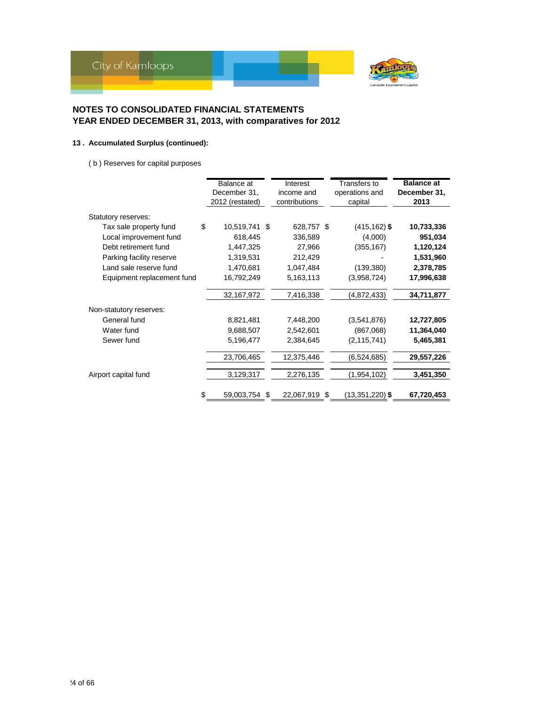

### **13 . Accumulated Surplus (continued):**

( b ) Reserves for capital purposes

|                            | Balance at<br>December 31,<br>2012 (restated) | Interest<br>income and<br>contributions | Transfers to<br>operations and<br>capital | <b>Balance</b> at<br>December 31,<br>2013 |
|----------------------------|-----------------------------------------------|-----------------------------------------|-------------------------------------------|-------------------------------------------|
| Statutory reserves:        |                                               |                                         |                                           |                                           |
| Tax sale property fund     | \$<br>10,519,741                              | \$<br>628,757 \$                        | $(415, 162)$ \$                           | 10,733,336                                |
| Local improvement fund     | 618,445                                       | 336,589                                 | (4,000)                                   | 951,034                                   |
| Debt retirement fund       | 1,447,325                                     | 27,966                                  | (355, 167)                                | 1,120,124                                 |
| Parking facility reserve   | 1,319,531                                     | 212,429                                 |                                           | 1,531,960                                 |
| Land sale reserve fund     | 1,470,681                                     | 1,047,484                               | (139, 380)                                | 2,378,785                                 |
| Equipment replacement fund | 16,792,249                                    | 5,163,113                               | (3,958,724)                               | 17,996,638                                |
|                            | 32,167,972                                    | 7,416,338                               | (4,872,433)                               | 34,711,877                                |
| Non-statutory reserves:    |                                               |                                         |                                           |                                           |
| General fund               | 8,821,481                                     | 7,448,200                               | (3,541,876)                               | 12,727,805                                |
| Water fund                 | 9,688,507                                     | 2,542,601                               | (867,068)                                 | 11,364,040                                |
| Sewer fund                 | 5,196,477                                     | 2,384,645                               | (2, 115, 741)                             | 5,465,381                                 |
|                            | 23,706,465                                    | 12,375,446                              | (6,524,685)                               | 29,557,226                                |
| Airport capital fund       | 3,129,317                                     | 2,276,135                               | (1,954,102)                               | 3,451,350                                 |
|                            | \$<br>59,003,754 \$                           | 22,067,919 \$                           | $(13,351,220)$ \$                         | 67,720,453                                |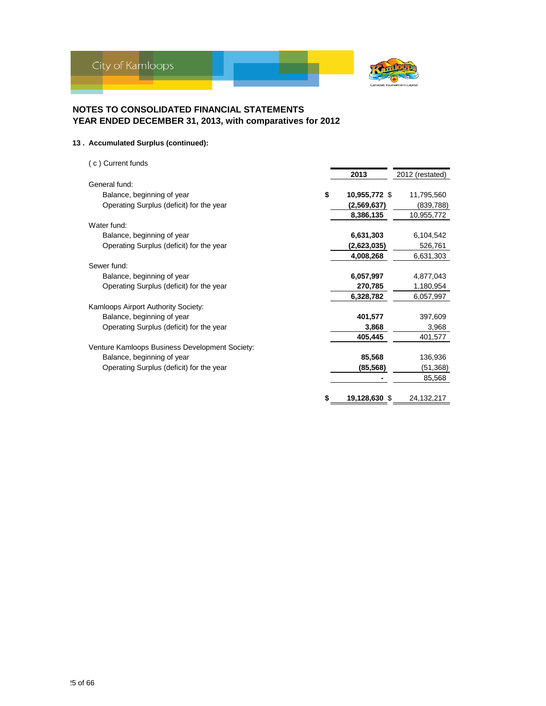



### **13 . Accumulated Surplus (continued):**

( c ) Current funds

|                                                |    | 2013          | 2012 (restated) |
|------------------------------------------------|----|---------------|-----------------|
| General fund:                                  |    |               |                 |
| Balance, beginning of year                     | \$ | 10,955,772 \$ | 11,795,560      |
| Operating Surplus (deficit) for the year       |    | (2,569,637)   | (839,788)       |
|                                                |    | 8,386,135     | 10,955,772      |
| Water fund:                                    |    |               |                 |
| Balance, beginning of year                     |    | 6,631,303     | 6,104,542       |
| Operating Surplus (deficit) for the year       |    | (2,623,035)   | 526,761         |
|                                                |    | 4,008,268     | 6,631,303       |
| Sewer fund:                                    |    |               |                 |
| Balance, beginning of year                     |    | 6,057,997     | 4,877,043       |
| Operating Surplus (deficit) for the year       |    | 270,785       | 1,180,954       |
|                                                |    | 6,328,782     | 6,057,997       |
| Kamloops Airport Authority Society:            |    |               |                 |
| Balance, beginning of year                     |    | 401,577       | 397,609         |
| Operating Surplus (deficit) for the year       |    | 3,868         | 3,968           |
|                                                |    | 405,445       | 401,577         |
| Venture Kamloops Business Development Society: |    |               |                 |
| Balance, beginning of year                     |    | 85,568        | 136,936         |
| Operating Surplus (deficit) for the year       |    | (85, 568)     | (51,368)        |
|                                                |    |               | 85,568          |
|                                                |    |               |                 |
|                                                | S  | 19,128,630 \$ | 24,132,217      |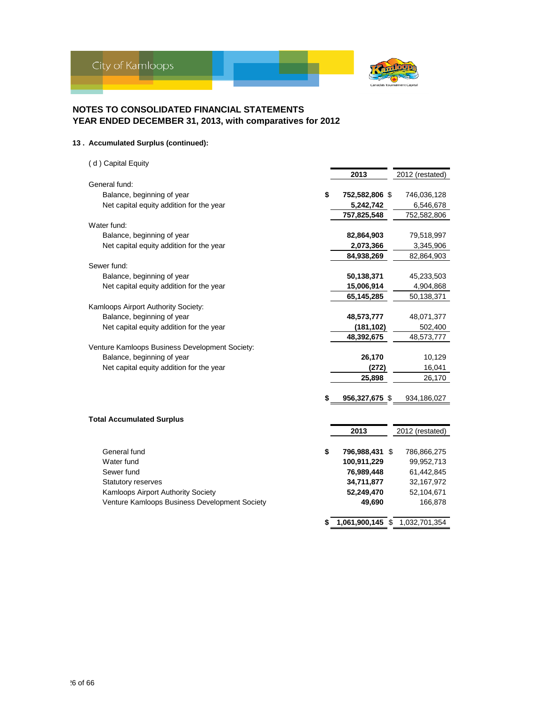



### **13 . Accumulated Surplus (continued):**

( d ) Capital Equity

|                                                | 2013                   | 2012 (restated) |
|------------------------------------------------|------------------------|-----------------|
| General fund:                                  |                        |                 |
| Balance, beginning of year                     | \$<br>752,582,806 \$   | 746,036,128     |
| Net capital equity addition for the year       | 5,242,742              | 6,546,678       |
|                                                | 757,825,548            | 752,582,806     |
| Water fund:                                    |                        |                 |
| Balance, beginning of year                     | 82,864,903             | 79,518,997      |
| Net capital equity addition for the year       | 2,073,366              | 3,345,906       |
|                                                | 84,938,269             | 82,864,903      |
| Sewer fund:                                    |                        |                 |
| Balance, beginning of year                     | 50,138,371             | 45,233,503      |
| Net capital equity addition for the year       | 15,006,914             | 4,904,868       |
|                                                | 65,145,285             | 50,138,371      |
| Kamloops Airport Authority Society:            |                        |                 |
| Balance, beginning of year                     | 48,573,777             | 48,071,377      |
| Net capital equity addition for the year       | (181, 102)             | 502,400         |
|                                                | 48,392,675             | 48,573,777      |
| Venture Kamloops Business Development Society: |                        |                 |
| Balance, beginning of year                     | 26,170                 | 10,129          |
| Net capital equity addition for the year       | (272)                  | 16,041          |
|                                                | 25,898                 | 26,170          |
|                                                |                        |                 |
|                                                | 956,327,675 \$         | 934,186,027     |
|                                                |                        |                 |
| <b>Total Accumulated Surplus</b>               |                        |                 |
|                                                | 2013                   | 2012 (restated) |
|                                                |                        |                 |
| General fund                                   | \$<br>796,988,431 \$   | 786,866,275     |
| Water fund                                     | 100,911,229            | 99,952,713      |
| Sewer fund                                     | 76,989,448             | 61,442,845      |
| <b>Statutory reserves</b>                      | 34,711,877             | 32,167,972      |
| Kamloops Airport Authority Society             | 52,249,470             | 52,104,671      |
| Venture Kamloops Business Development Society  | 49,690                 | 166,878         |
|                                                |                        |                 |
|                                                | \$<br>1,061,900,145 \$ | 1,032,701,354   |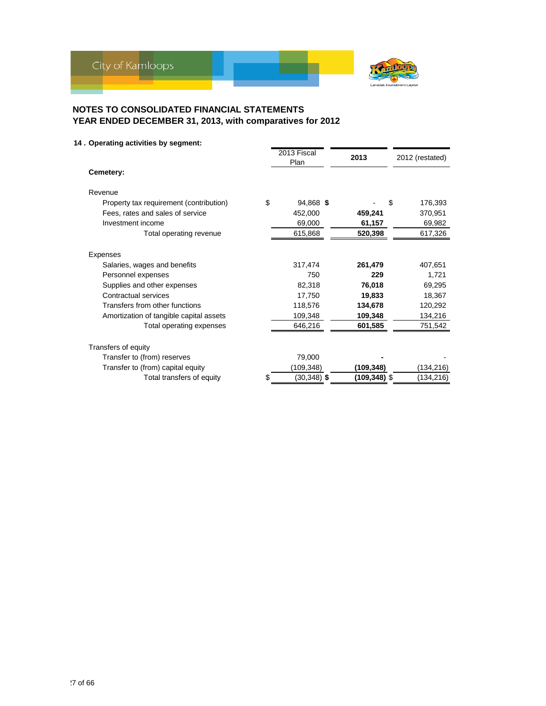

### **14 . Operating activities by segment:**

|                                         | 2013 Fiscal<br>Plan | 2013         | 2012 (restated) |
|-----------------------------------------|---------------------|--------------|-----------------|
| Cemetery:                               |                     |              |                 |
| Revenue                                 |                     |              |                 |
| Property tax requirement (contribution) | \$<br>94,868 \$     |              | \$<br>176,393   |
| Fees, rates and sales of service        | 452,000             | 459,241      | 370,951         |
| Investment income                       | 69,000              | 61,157       | 69,982          |
| Total operating revenue                 | 615,868             | 520,398      | 617,326         |
| <b>Expenses</b>                         |                     |              |                 |
| Salaries, wages and benefits            | 317,474             | 261,479      | 407,651         |
| Personnel expenses                      | 750                 | 229          | 1,721           |
| Supplies and other expenses             | 82,318              | 76,018       | 69,295          |
| Contractual services                    | 17,750              | 19,833       | 18,367          |
| Transfers from other functions          | 118,576             | 134,678      | 120,292         |
| Amortization of tangible capital assets | 109,348             | 109,348      | 134,216         |
| Total operating expenses                | 646,216             | 601,585      | 751,542         |
| Transfers of equity                     |                     |              |                 |
| Transfer to (from) reserves             | 79,000              |              |                 |
| Transfer to (from) capital equity       | (109,348)           | (109,348)    | (134,216)       |
| Total transfers of equity               | (30,348) \$         | (109,348) \$ | (134,216)       |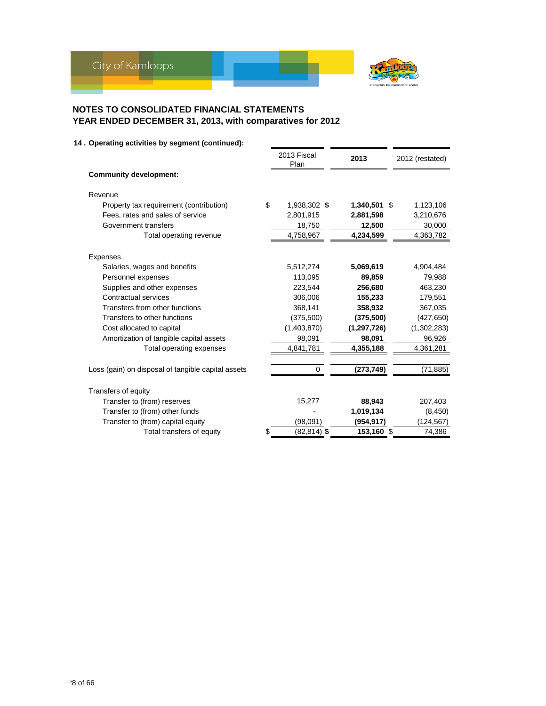

|                                                    | 2013 Fiscal<br>Plan  | 2013          | 2012 (restated) |
|----------------------------------------------------|----------------------|---------------|-----------------|
| <b>Community development:</b>                      |                      |               |                 |
| Revenue                                            |                      |               |                 |
| Property tax requirement (contribution)            | \$<br>1,938,302 \$   | 1,340,501 \$  | 1,123,106       |
| Fees, rates and sales of service                   | 2,801,915            | 2,881,598     | 3,210,676       |
| Government transfers                               | 18,750               | 12,500        | 30,000          |
| Total operating revenue                            | 4,758,967            | 4,234,599     | 4,363,782       |
| <b>Expenses</b>                                    |                      |               |                 |
| Salaries, wages and benefits                       | 5,512,274            | 5,069,619     | 4,904,484       |
| Personnel expenses                                 | 113,095              | 89,859        | 79,988          |
| Supplies and other expenses                        | 223,544              | 256,680       | 463,230         |
| Contractual services                               | 306,006              | 155,233       | 179,551         |
| Transfers from other functions                     | 368,141              | 358,932       | 367,035         |
| Transfers to other functions                       | (375, 500)           | (375, 500)    | (427, 650)      |
| Cost allocated to capital                          | (1,403,870)          | (1, 297, 726) | (1,302,283)     |
| Amortization of tangible capital assets            | 98,091               | 98,091        | 96,926          |
| Total operating expenses                           | 4,841,781            | 4,355,188     | 4,361,281       |
| Loss (gain) on disposal of tangible capital assets | $\Omega$             | (273, 749)    | (71, 885)       |
| Transfers of equity                                |                      |               |                 |
| Transfer to (from) reserves                        | 15,277               | 88,943        | 207,403         |
| Transfer to (from) other funds                     |                      | 1,019,134     | (8, 450)        |
| Transfer to (from) capital equity                  | (98,091)             | (954, 917)    | (124, 567)      |
| Total transfers of equity                          | \$<br>$(82, 814)$ \$ | 153,160 \$    | 74,386          |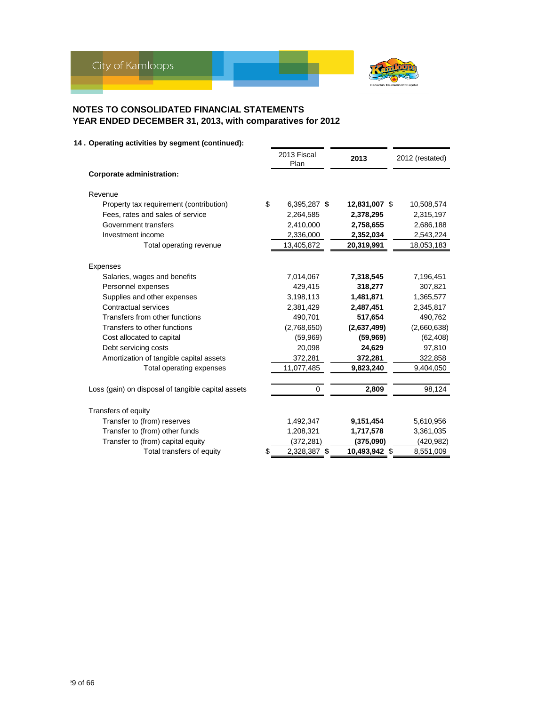

|                                                    | 2013 Fiscal<br>Plan | 2013          | 2012 (restated) |
|----------------------------------------------------|---------------------|---------------|-----------------|
| <b>Corporate administration:</b>                   |                     |               |                 |
| Revenue                                            |                     |               |                 |
| Property tax requirement (contribution)            | \$<br>6,395,287 \$  | 12,831,007 \$ | 10,508,574      |
| Fees, rates and sales of service                   | 2,264,585           | 2,378,295     | 2,315,197       |
| Government transfers                               | 2,410,000           | 2,758,655     | 2,686,188       |
| Investment income                                  | 2,336,000           | 2,352,034     | 2,543,224       |
| Total operating revenue                            | 13,405,872          | 20,319,991    | 18,053,183      |
| Expenses                                           |                     |               |                 |
| Salaries, wages and benefits                       | 7,014,067           | 7,318,545     | 7,196,451       |
| Personnel expenses                                 | 429,415             | 318,277       | 307,821         |
| Supplies and other expenses                        | 3,198,113           | 1,481,871     | 1,365,577       |
| Contractual services                               | 2,381,429           | 2,487,451     | 2,345,817       |
| Transfers from other functions                     | 490,701             | 517,654       | 490,762         |
| Transfers to other functions                       | (2,768,650)         | (2,637,499)   | (2,660,638)     |
| Cost allocated to capital                          | (59, 969)           | (59, 969)     | (62, 408)       |
| Debt servicing costs                               | 20,098              | 24,629        | 97,810          |
| Amortization of tangible capital assets            | 372,281             | 372,281       | 322,858         |
| Total operating expenses                           | 11,077,485          | 9,823,240     | 9,404,050       |
| Loss (gain) on disposal of tangible capital assets | 0                   | 2,809         | 98,124          |
| Transfers of equity                                |                     |               |                 |
| Transfer to (from) reserves                        | 1,492,347           | 9,151,454     | 5,610,956       |
| Transfer to (from) other funds                     | 1,208,321           | 1,717,578     | 3,361,035       |
| Transfer to (from) capital equity                  | (372, 281)          | (375,090)     | (420, 982)      |
| Total transfers of equity                          | \$<br>2,328,387 \$  | 10,493,942 \$ | 8,551,009       |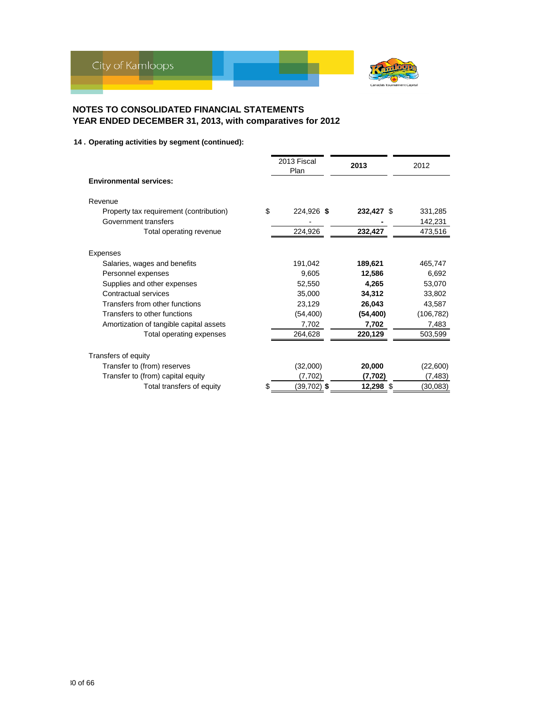

|                                         | 2013 Fiscal<br>Plan | 2013        | 2012       |
|-----------------------------------------|---------------------|-------------|------------|
| <b>Environmental services:</b>          |                     |             |            |
| Revenue                                 |                     |             |            |
| Property tax requirement (contribution) | \$<br>224,926 \$    | 232,427 \$  | 331,285    |
| Government transfers                    |                     |             | 142,231    |
| Total operating revenue                 | 224,926             | 232,427     | 473,516    |
| Expenses                                |                     |             |            |
| Salaries, wages and benefits            | 191,042             | 189,621     | 465,747    |
| Personnel expenses                      | 9,605               | 12,586      | 6,692      |
| Supplies and other expenses             | 52,550              | 4,265       | 53,070     |
| Contractual services                    | 35,000              | 34,312      | 33,802     |
| Transfers from other functions          | 23,129              | 26,043      | 43,587     |
| Transfers to other functions            | (54, 400)           | (54, 400)   | (106, 782) |
| Amortization of tangible capital assets | 7,702               | 7,702       | 7,483      |
| Total operating expenses                | 264,628             | 220,129     | 503,599    |
| Transfers of equity                     |                     |             |            |
| Transfer to (from) reserves             | (32,000)            | 20,000      | (22,600)   |
| Transfer to (from) capital equity       | (7,702)             | (7,702)     | (7,483)    |
| Total transfers of equity               | (39,702) \$         | $12,298$ \$ | (30,083)   |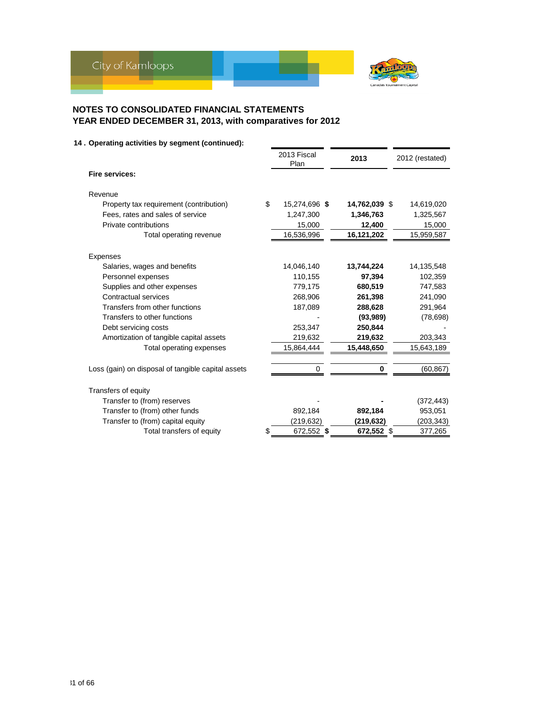

|                                                    | 2013 Fiscal<br>Plan | 2013          | 2012 (restated) |
|----------------------------------------------------|---------------------|---------------|-----------------|
| Fire services:                                     |                     |               |                 |
| Revenue                                            |                     |               |                 |
| Property tax requirement (contribution)            | \$<br>15,274,696 \$ | 14,762,039 \$ | 14,619,020      |
| Fees, rates and sales of service                   | 1,247,300           | 1,346,763     | 1,325,567       |
| Private contributions                              | 15,000              | 12,400        | 15,000          |
| Total operating revenue                            | 16,536,996          | 16,121,202    | 15,959,587      |
| <b>Expenses</b>                                    |                     |               |                 |
| Salaries, wages and benefits                       | 14,046,140          | 13,744,224    | 14,135,548      |
| Personnel expenses                                 | 110,155             | 97,394        | 102,359         |
| Supplies and other expenses                        | 779,175             | 680,519       | 747,583         |
| Contractual services                               | 268,906             | 261,398       | 241,090         |
| Transfers from other functions                     | 187,089             | 288,628       | 291,964         |
| Transfers to other functions                       |                     | (93, 989)     | (78, 698)       |
| Debt servicing costs                               | 253,347             | 250,844       |                 |
| Amortization of tangible capital assets            | 219,632             | 219,632       | 203,343         |
| Total operating expenses                           | 15,864,444          | 15,448,650    | 15,643,189      |
| Loss (gain) on disposal of tangible capital assets | U                   |               | (60, 867)       |
|                                                    |                     |               |                 |
| Transfers of equity                                |                     |               |                 |
| Transfer to (from) reserves                        |                     |               | (372, 443)      |
| Transfer to (from) other funds                     | 892,184             | 892,184       | 953,051         |
| Transfer to (from) capital equity                  | (219, 632)          | (219, 632)    | (203, 343)      |
| Total transfers of equity                          | \$<br>672,552 \$    | 672,552 \$    | 377,265         |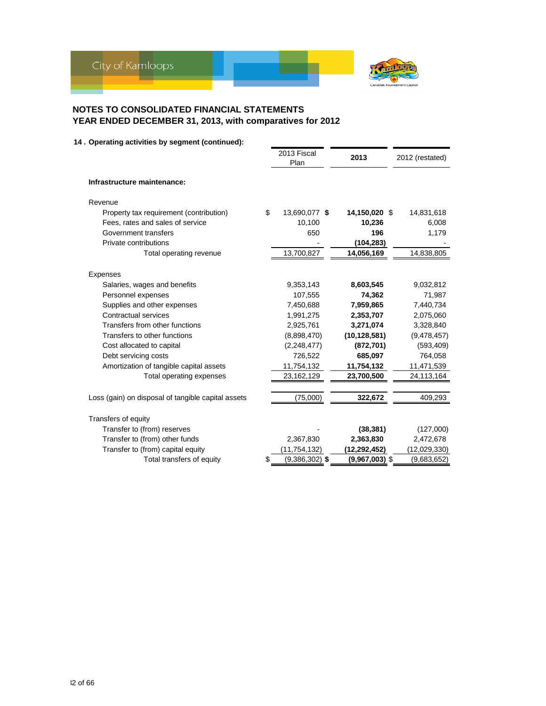

|                                                    | 2013 Fiscal<br>Plan    | 2013             | 2012 (restated) |
|----------------------------------------------------|------------------------|------------------|-----------------|
| Infrastructure maintenance:                        |                        |                  |                 |
| Revenue                                            |                        |                  |                 |
| Property tax requirement (contribution)            | \$<br>13,690,077 \$    | 14,150,020 \$    | 14,831,618      |
| Fees, rates and sales of service                   | 10,100                 | 10,236           | 6,008           |
| Government transfers                               | 650                    | 196              | 1,179           |
| Private contributions                              |                        | (104, 283)       |                 |
| Total operating revenue                            | 13,700,827             | 14,056,169       | 14,838,805      |
| Expenses                                           |                        |                  |                 |
| Salaries, wages and benefits                       | 9,353,143              | 8,603,545        | 9,032,812       |
| Personnel expenses                                 | 107,555                | 74,362           | 71,987          |
| Supplies and other expenses                        | 7,450,688              | 7,959,865        | 7,440,734       |
| Contractual services                               | 1,991,275              | 2,353,707        | 2,075,060       |
| Transfers from other functions                     | 2,925,761              | 3,271,074        | 3,328,840       |
| Transfers to other functions                       | (8,898,470)            | (10, 128, 581)   | (9,478,457)     |
| Cost allocated to capital                          | (2, 248, 477)          | (872, 701)       | (593, 409)      |
| Debt servicing costs                               | 726,522                | 685,097          | 764,058         |
| Amortization of tangible capital assets            | 11,754,132             | 11,754,132       | 11,471,539      |
| Total operating expenses                           | 23,162,129             | 23,700,500       | 24,113,164      |
|                                                    |                        |                  |                 |
| Loss (gain) on disposal of tangible capital assets | (75,000)               | 322,672          | 409,293         |
| Transfers of equity                                |                        |                  |                 |
| Transfer to (from) reserves                        |                        | (38, 381)        | (127,000)       |
| Transfer to (from) other funds                     | 2,367,830              | 2,363,830        | 2,472,678       |
| Transfer to (from) capital equity                  | (11, 754, 132)         | (12,292,452)     | (12,029,330)    |
| Total transfers of equity                          | \$<br>$(9,386,302)$ \$ | $(9,967,003)$ \$ | (9,683,652)     |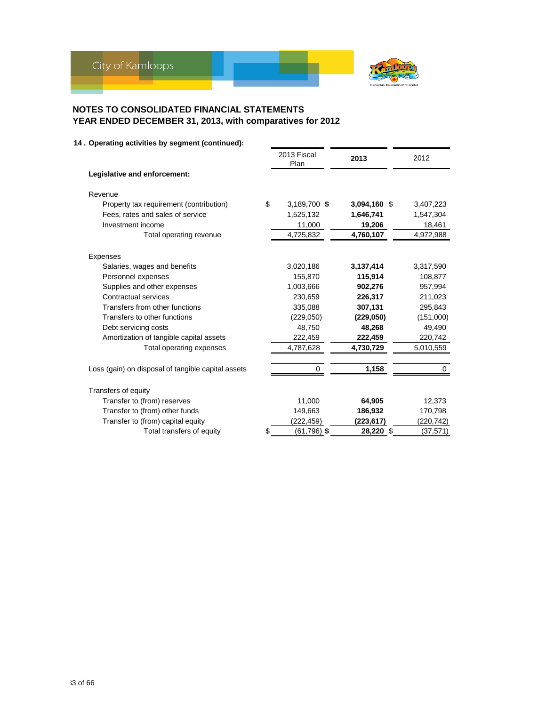

|                                                    | 2013 Fiscal<br>Plan | 2013         | 2012      |
|----------------------------------------------------|---------------------|--------------|-----------|
| Legislative and enforcement:                       |                     |              |           |
| Revenue                                            |                     |              |           |
| Property tax requirement (contribution)            | \$<br>3,189,700 \$  | 3,094,160 \$ | 3,407,223 |
| Fees, rates and sales of service                   | 1,525,132           | 1,646,741    | 1,547,304 |
| Investment income                                  | 11,000              | 19,206       | 18,461    |
| Total operating revenue                            | 4,725,832           | 4,760,107    | 4,972,988 |
| <b>Expenses</b>                                    |                     |              |           |
| Salaries, wages and benefits                       | 3,020,186           | 3,137,414    | 3,317,590 |
| Personnel expenses                                 | 155,870             | 115,914      | 108,877   |
| Supplies and other expenses                        | 1,003,666           | 902,276      | 957,994   |
| Contractual services                               | 230,659             | 226,317      | 211,023   |
| Transfers from other functions                     | 335,088             | 307,131      | 295,843   |
| Transfers to other functions                       | (229,050)           | (229,050)    | (151,000) |
| Debt servicing costs                               | 48,750              | 48,268       | 49,490    |
| Amortization of tangible capital assets            | 222,459             | 222,459      | 220,742   |
| Total operating expenses                           | 4,787,628           | 4,730,729    | 5,010,559 |
| Loss (gain) on disposal of tangible capital assets | 0                   | 1,158        | 0         |
| Transfers of equity                                |                     |              |           |
| Transfer to (from) reserves                        | 11,000              | 64,905       | 12,373    |
| Transfer to (from) other funds                     | 149,663             | 186,932      | 170,798   |
| Transfer to (from) capital equity                  | (222, 459)          | (223,617)    | (220,742) |
| Total transfers of equity                          | \$<br>(61,796) \$   | 28,220 \$    | (37, 571) |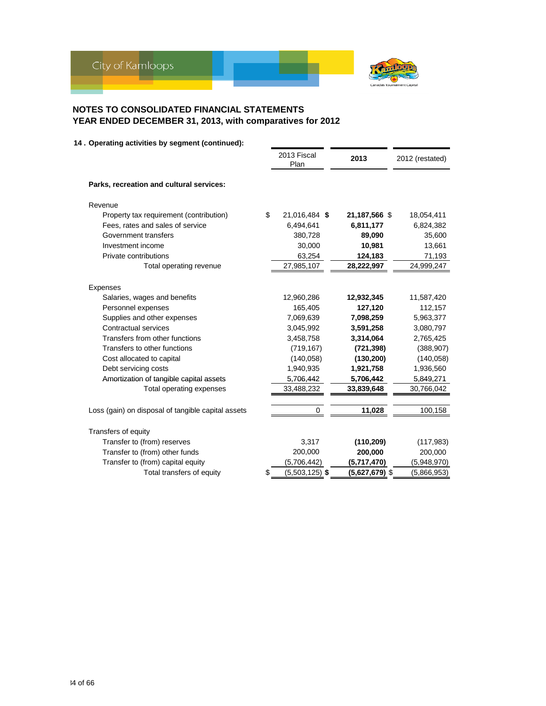

|                                                    | 2013 Fiscal<br>Plan    | 2013 |                  | 2012 (restated) |
|----------------------------------------------------|------------------------|------|------------------|-----------------|
| Parks, recreation and cultural services:           |                        |      |                  |                 |
| Revenue                                            |                        |      |                  |                 |
| Property tax requirement (contribution)            | \$<br>21,016,484 \$    |      | 21,187,566 \$    | 18,054,411      |
| Fees, rates and sales of service                   | 6,494,641              |      | 6,811,177        | 6,824,382       |
| Government transfers                               | 380,728                |      | 89,090           | 35,600          |
| Investment income                                  | 30,000                 |      | 10,981           | 13,661          |
| Private contributions                              | 63,254                 |      | 124,183          | 71,193          |
| Total operating revenue                            | 27,985,107             |      | 28,222,997       | 24,999,247      |
| Expenses                                           |                        |      |                  |                 |
| Salaries, wages and benefits                       | 12,960,286             |      | 12,932,345       | 11,587,420      |
| Personnel expenses                                 | 165,405                |      | 127,120          | 112,157         |
| Supplies and other expenses                        | 7,069,639              |      | 7,098,259        | 5,963,377       |
| Contractual services                               | 3,045,992              |      | 3,591,258        | 3,080,797       |
| Transfers from other functions                     | 3,458,758              |      | 3,314,064        | 2,765,425       |
| Transfers to other functions                       | (719, 167)             |      | (721, 398)       | (388, 907)      |
| Cost allocated to capital                          | (140, 058)             |      | (130, 200)       | (140, 058)      |
| Debt servicing costs                               | 1,940,935              |      | 1,921,758        | 1,936,560       |
| Amortization of tangible capital assets            | 5,706,442              |      | 5,706,442        | 5,849,271       |
| Total operating expenses                           | 33,488,232             |      | 33,839,648       | 30,766,042      |
|                                                    |                        |      |                  |                 |
| Loss (gain) on disposal of tangible capital assets | 0                      |      | 11,028           | 100,158         |
| Transfers of equity                                |                        |      |                  |                 |
| Transfer to (from) reserves                        | 3,317                  |      | (110, 209)       | (117,983)       |
| Transfer to (from) other funds                     | 200,000                |      | 200,000          | 200,000         |
| Transfer to (from) capital equity                  | (5,706,442)            |      | (5,717,470)      | (5,948,970)     |
| Total transfers of equity                          | \$<br>$(5,503,125)$ \$ |      | $(5,627,679)$ \$ | (5,866,953)     |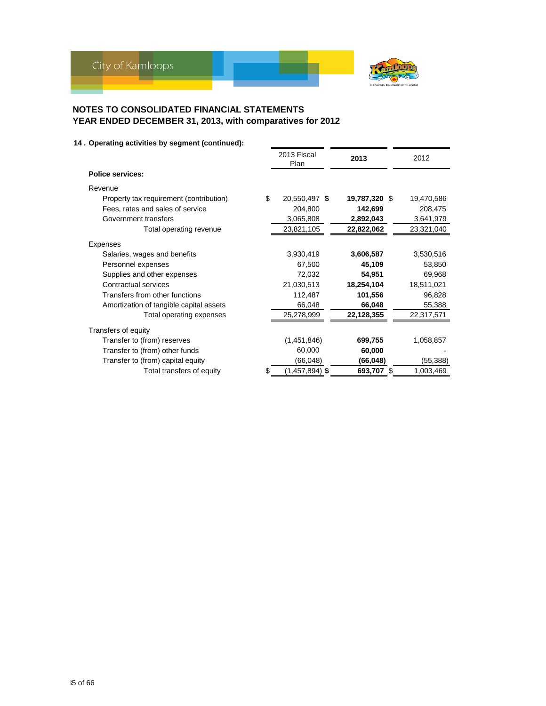

|                                               | 2013 Fiscal<br>Plan | 2013          | 2012       |
|-----------------------------------------------|---------------------|---------------|------------|
| <b>Police services:</b>                       |                     |               |            |
| Revenue                                       |                     |               |            |
| \$<br>Property tax requirement (contribution) | 20,550,497 \$       | 19,787,320 \$ | 19,470,586 |
| Fees, rates and sales of service              | 204,800             | 142,699       | 208,475    |
| Government transfers                          | 3,065,808           | 2,892,043     | 3,641,979  |
| Total operating revenue                       | 23,821,105          | 22,822,062    | 23,321,040 |
| <b>Expenses</b>                               |                     |               |            |
| Salaries, wages and benefits                  | 3,930,419           | 3,606,587     | 3,530,516  |
| Personnel expenses                            | 67,500              | 45,109        | 53,850     |
| Supplies and other expenses                   | 72,032              | 54,951        | 69,968     |
| Contractual services                          | 21,030,513          | 18,254,104    | 18,511,021 |
| Transfers from other functions                | 112,487             | 101,556       | 96,828     |
| Amortization of tangible capital assets       | 66,048              | 66,048        | 55,388     |
| Total operating expenses                      | 25,278,999          | 22,128,355    | 22,317,571 |
| Transfers of equity                           |                     |               |            |
| Transfer to (from) reserves                   | (1,451,846)         | 699,755       | 1,058,857  |
| Transfer to (from) other funds                | 60,000              | 60,000        |            |
| Transfer to (from) capital equity             | (66, 048)           | (66,048)      | (55, 388)  |
| Total transfers of equity                     | $(1,457,894)$ \$    | 693,707 \$    | 1,003,469  |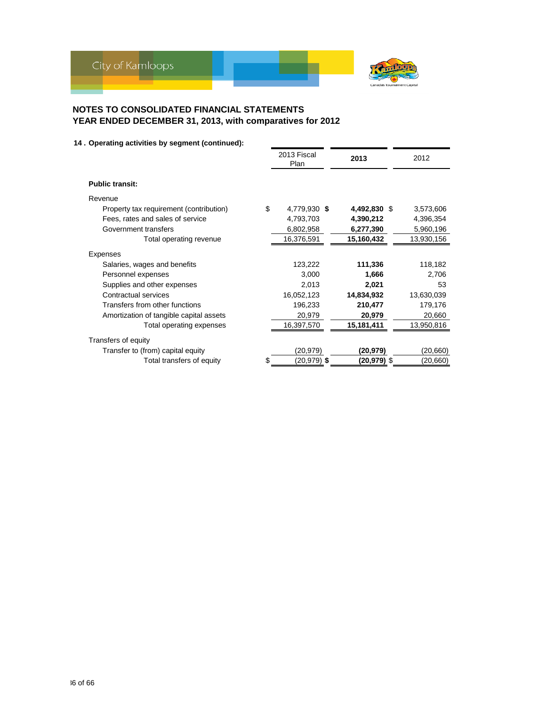

|                                         | 2013 Fiscal<br>2013<br>Plan |  | 2012         |            |
|-----------------------------------------|-----------------------------|--|--------------|------------|
| <b>Public transit:</b>                  |                             |  |              |            |
| Revenue                                 |                             |  |              |            |
| Property tax requirement (contribution) | \$<br>4,779,930 \$          |  | 4,492,830 \$ | 3,573,606  |
| Fees, rates and sales of service        | 4,793,703                   |  | 4,390,212    | 4,396,354  |
| Government transfers                    | 6,802,958                   |  | 6,277,390    | 5,960,196  |
| Total operating revenue                 | 16,376,591                  |  | 15,160,432   | 13,930,156 |
| Expenses                                |                             |  |              |            |
| Salaries, wages and benefits            | 123,222                     |  | 111,336      | 118,182    |
| Personnel expenses                      | 3,000                       |  | 1,666        | 2,706      |
| Supplies and other expenses             | 2,013                       |  | 2,021        | 53         |
| Contractual services                    | 16,052,123                  |  | 14,834,932   | 13,630,039 |
| Transfers from other functions          | 196,233                     |  | 210,477      | 179,176    |
| Amortization of tangible capital assets | 20,979                      |  | 20,979       | 20,660     |
| Total operating expenses                | 16,397,570                  |  | 15,181,411   | 13,950,816 |
| Transfers of equity                     |                             |  |              |            |
| Transfer to (from) capital equity       | (20,979)                    |  | (20,979)     | (20,660)   |
| Total transfers of equity               | \$<br>(20,979) \$           |  | (20,979) \$  | (20,660)   |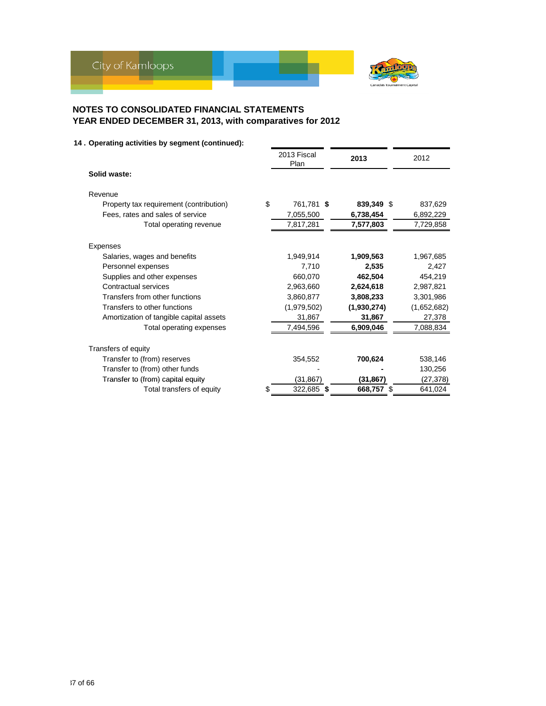

|                                         | 2013 Fiscal<br>Plan | 2013        | 2012        |
|-----------------------------------------|---------------------|-------------|-------------|
| Solid waste:                            |                     |             |             |
| Revenue                                 |                     |             |             |
| Property tax requirement (contribution) | \$<br>761,781 \$    | 839,349 \$  | 837,629     |
| Fees, rates and sales of service        | 7,055,500           | 6,738,454   | 6,892,229   |
| Total operating revenue                 | 7,817,281           | 7,577,803   | 7,729,858   |
| Expenses                                |                     |             |             |
| Salaries, wages and benefits            | 1,949,914           | 1,909,563   | 1,967,685   |
| Personnel expenses                      | 7,710               | 2,535       | 2,427       |
| Supplies and other expenses             | 660,070             | 462,504     | 454,219     |
| Contractual services                    | 2,963,660           | 2,624,618   | 2,987,821   |
| Transfers from other functions          | 3,860,877           | 3,808,233   | 3,301,986   |
| Transfers to other functions            | (1,979,502)         | (1,930,274) | (1,652,682) |
| Amortization of tangible capital assets | 31,867              | 31,867      | 27,378      |
| Total operating expenses                | 7,494,596           | 6,909,046   | 7,088,834   |
| Transfers of equity                     |                     |             |             |
| Transfer to (from) reserves             | 354,552             | 700,624     | 538,146     |
| Transfer to (from) other funds          |                     |             | 130,256     |
| Transfer to (from) capital equity       | (31, 867)           | (31, 867)   | (27, 378)   |
| Total transfers of equity               | 322,685 \$<br>\$    | 668,757 \$  | 641,024     |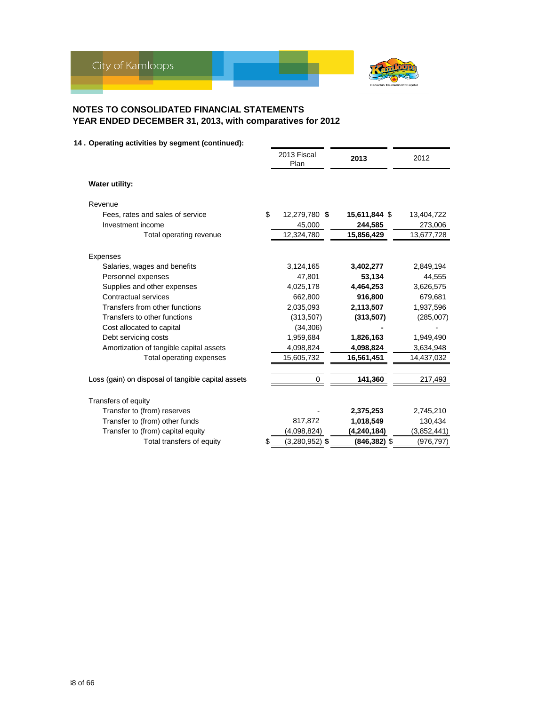

|                                                    |    | 2013 Fiscal<br>Plan | 2013            | 2012        |
|----------------------------------------------------|----|---------------------|-----------------|-------------|
| <b>Water utility:</b>                              |    |                     |                 |             |
| Revenue                                            |    |                     |                 |             |
| Fees, rates and sales of service                   | \$ | 12,279,780 \$       | 15,611,844 \$   | 13,404,722  |
| Investment income                                  |    | 45,000              | 244,585         | 273,006     |
| Total operating revenue                            |    | 12,324,780          | 15,856,429      | 13,677,728  |
|                                                    |    |                     |                 |             |
| <b>Expenses</b>                                    |    |                     |                 |             |
| Salaries, wages and benefits                       |    | 3,124,165           | 3,402,277       | 2,849,194   |
| Personnel expenses                                 |    | 47,801              | 53,134          | 44,555      |
| Supplies and other expenses                        |    | 4,025,178           | 4,464,253       | 3,626,575   |
| Contractual services                               |    | 662,800             | 916,800         | 679,681     |
| Transfers from other functions                     |    | 2,035,093           | 2,113,507       | 1,937,596   |
| Transfers to other functions                       |    | (313,507)           | (313,507)       | (285,007)   |
| Cost allocated to capital                          |    | (34, 306)           |                 |             |
| Debt servicing costs                               |    | 1,959,684           | 1,826,163       | 1,949,490   |
| Amortization of tangible capital assets            |    | 4,098,824           | 4,098,824       | 3,634,948   |
| Total operating expenses                           |    | 15,605,732          | 16,561,451      | 14,437,032  |
|                                                    |    |                     |                 |             |
| Loss (gain) on disposal of tangible capital assets |    | $\mathbf 0$         | 141,360         | 217,493     |
|                                                    |    |                     |                 |             |
| Transfers of equity                                |    |                     |                 |             |
| Transfer to (from) reserves                        |    |                     | 2,375,253       | 2,745,210   |
| Transfer to (from) other funds                     |    | 817,872             | 1,018,549       | 130,434     |
| Transfer to (from) capital equity                  |    | (4,098,824)         | (4,240,184)     | (3,852,441) |
| Total transfers of equity                          | S  | $(3,280,952)$ \$    | $(846, 382)$ \$ | (976,797)   |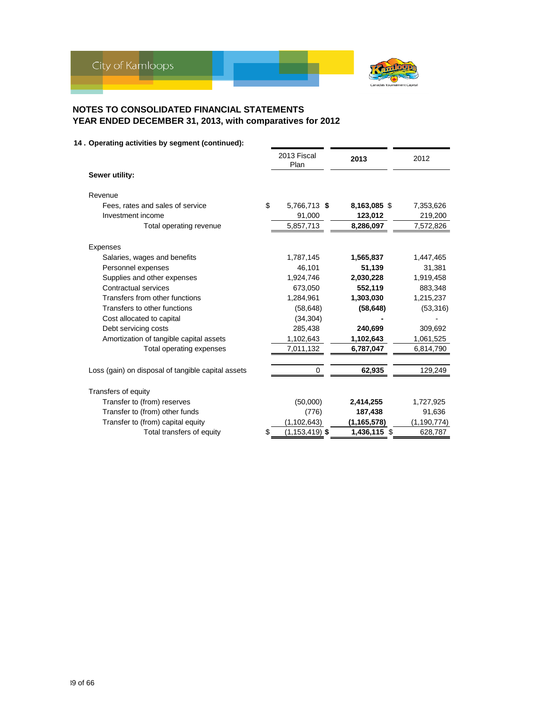

|                                                    | 2013 Fiscal<br>Plan      | 2013          | 2012          |
|----------------------------------------------------|--------------------------|---------------|---------------|
| Sewer utility:                                     |                          |               |               |
| Revenue                                            |                          |               |               |
| Fees, rates and sales of service                   | \$<br>5,766,713 \$       | 8,163,085 \$  | 7,353,626     |
| Investment income                                  | 91,000                   | 123,012       | 219,200       |
| Total operating revenue                            | 5,857,713                | 8,286,097     | 7,572,826     |
| <b>Expenses</b>                                    |                          |               |               |
| Salaries, wages and benefits                       | 1,787,145                | 1,565,837     | 1,447,465     |
| Personnel expenses                                 | 46,101                   | 51,139        | 31,381        |
| Supplies and other expenses                        | 1,924,746                | 2,030,228     | 1,919,458     |
| Contractual services                               | 673,050                  | 552,119       | 883,348       |
| Transfers from other functions                     | 1,284,961                | 1,303,030     | 1,215,237     |
| Transfers to other functions                       | (58, 648)                | (58, 648)     | (53,316)      |
| Cost allocated to capital                          | (34, 304)                |               |               |
| Debt servicing costs                               | 285,438                  | 240,699       | 309,692       |
| Amortization of tangible capital assets            | 1,102,643                | 1,102,643     | 1,061,525     |
| Total operating expenses                           | 7,011,132                | 6,787,047     | 6,814,790     |
| Loss (gain) on disposal of tangible capital assets | 0                        | 62,935        | 129,249       |
| Transfers of equity                                |                          |               |               |
| Transfer to (from) reserves                        | (50,000)                 | 2,414,255     | 1,727,925     |
| Transfer to (from) other funds                     | (776)                    | 187,438       | 91,636        |
| Transfer to (from) capital equity                  | (1, 102, 643)            | (1, 165, 578) | (1, 190, 774) |
| Total transfers of equity                          | $(1, 153, 419)$ \$<br>\$ | 1,436,115 \$  | 628,787       |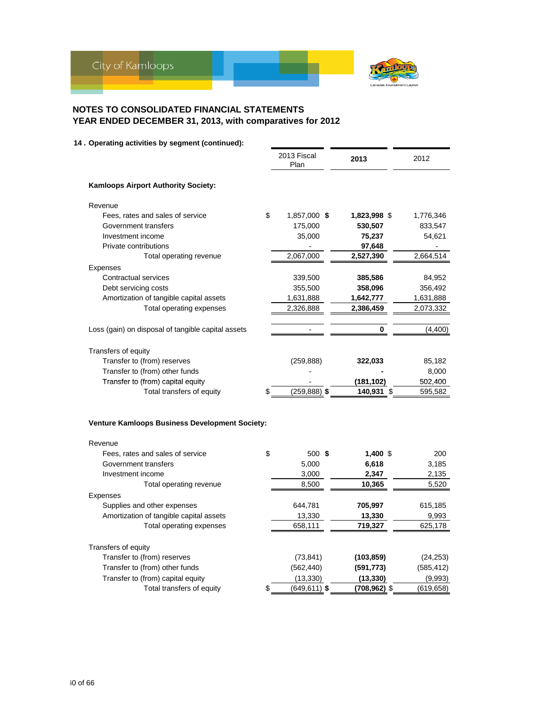

|                                                       | 2013 Fiscal<br>Plan   | 2013         | 2012      |
|-------------------------------------------------------|-----------------------|--------------|-----------|
| <b>Kamloops Airport Authority Society:</b>            |                       |              |           |
| Revenue                                               |                       |              |           |
| Fees, rates and sales of service                      | \$<br>1,857,000 \$    | 1,823,998 \$ | 1,776,346 |
| Government transfers                                  | 175,000               | 530,507      | 833,547   |
| Investment income                                     | 35,000                | 75,237       | 54,621    |
| Private contributions                                 |                       | 97,648       |           |
| Total operating revenue                               | 2,067,000             | 2,527,390    | 2,664,514 |
| Expenses                                              |                       |              |           |
| Contractual services                                  | 339,500               | 385,586      | 84,952    |
| Debt servicing costs                                  | 355,500               | 358,096      | 356,492   |
| Amortization of tangible capital assets               | 1,631,888             | 1,642,777    | 1,631,888 |
| Total operating expenses                              | 2,326,888             | 2,386,459    | 2,073,332 |
|                                                       |                       |              |           |
| Loss (gain) on disposal of tangible capital assets    |                       | 0            | (4,400)   |
| Transfers of equity                                   |                       |              |           |
| Transfer to (from) reserves                           | (259, 888)            | 322,033      | 85,182    |
| Transfer to (from) other funds                        |                       |              | 8,000     |
| Transfer to (from) capital equity                     |                       | (181, 102)   | 502,400   |
| Total transfers of equity                             | \$<br>$(259, 888)$ \$ | 140,931 \$   | 595,582   |
| <b>Venture Kamloops Business Development Society:</b> |                       |              |           |
| Revenue                                               |                       |              |           |
| Fees, rates and sales of service                      | \$<br>500 \$          | 1,400 \$     | 200       |
| Government transfers                                  | 5,000                 | 6,618        | 3,185     |
| Investment income                                     | 3,000                 | 2,347        | 2,135     |
| Total operating revenue                               | 8,500                 | 10,365       | 5,520     |
| <b>Expenses</b>                                       |                       |              |           |
| Supplies and other expenses                           | 644,781               | 705,997      | 615,185   |

| Supplies and other expenses             |   | 044.701         | 703.YY          | 013,103    |
|-----------------------------------------|---|-----------------|-----------------|------------|
| Amortization of tangible capital assets |   | 13,330          | 13,330          | 9,993      |
| Total operating expenses                |   | 658,111         | 719,327         | 625,178    |
|                                         |   |                 |                 |            |
| Transfers of equity                     |   |                 |                 |            |
| Transfer to (from) reserves             |   | (73, 841)       | (103, 859)      | (24, 253)  |
| Transfer to (from) other funds          |   | (562, 440)      | (591, 773)      | (585, 412) |
| Transfer to (from) capital equity       |   | (13,330)        | (13, 330)       | (9,993)    |
| Total transfers of equity               | S | $(649, 611)$ \$ | $(708, 962)$ \$ | (619, 658) |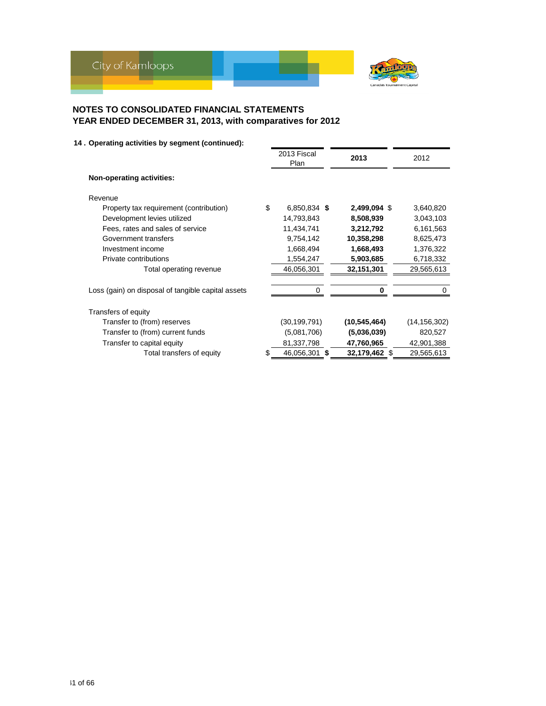

|                                                    | 2013 Fiscal<br>Plan |                | 2013 |                | 2012           |
|----------------------------------------------------|---------------------|----------------|------|----------------|----------------|
| <b>Non-operating activities:</b>                   |                     |                |      |                |                |
| Revenue                                            |                     |                |      |                |                |
| Property tax requirement (contribution)            | \$                  | 6,850,834 \$   |      | 2,499,094 \$   | 3,640,820      |
| Development levies utilized                        |                     | 14,793,843     |      | 8,508,939      | 3,043,103      |
| Fees, rates and sales of service                   |                     | 11,434,741     |      | 3,212,792      | 6,161,563      |
| Government transfers                               |                     | 9,754,142      |      | 10,358,298     | 8,625,473      |
| Investment income                                  |                     | 1,668,494      |      | 1,668,493      | 1,376,322      |
| Private contributions                              |                     | 1,554,247      |      | 5,903,685      | 6,718,332      |
| Total operating revenue                            |                     | 46,056,301     |      | 32,151,301     | 29,565,613     |
| Loss (gain) on disposal of tangible capital assets |                     | U              |      | Λ              |                |
| Transfers of equity                                |                     |                |      |                |                |
| Transfer to (from) reserves                        |                     | (30, 199, 791) |      | (10, 545, 464) | (14, 156, 302) |
| Transfer to (from) current funds                   |                     | (5,081,706)    |      | (5,036,039)    | 820,527        |
| Transfer to capital equity                         |                     | 81,337,798     |      | 47,760,965     | 42,901,388     |
| Total transfers of equity                          |                     | 46,056,301 \$  |      | 32,179,462 \$  | 29,565,613     |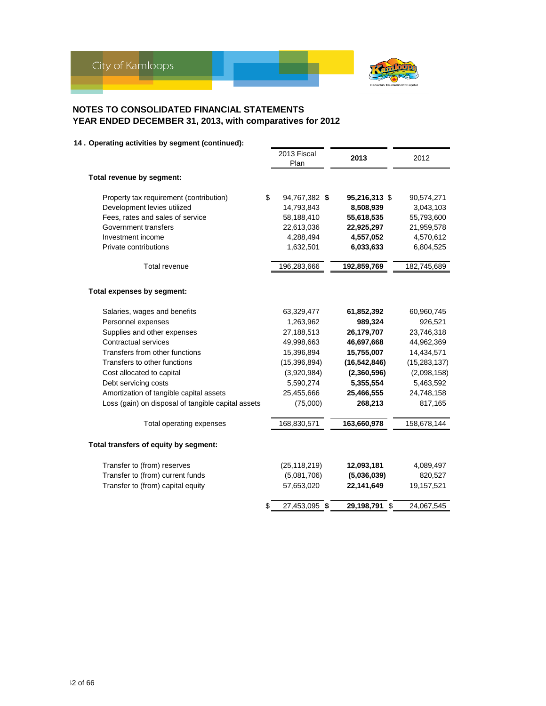

| Total revenue by segment:<br>Property tax requirement (contribution)<br>\$<br>94,767,382 \$<br>95,216,313 \$<br>90,574,271<br>Development levies utilized<br>14,793,843<br>8,508,939<br>3,043,103<br>Fees, rates and sales of service<br>58,188,410<br>55,618,535<br>55,793,600<br>Government transfers<br>22,613,036<br>22,925,297<br>21,959,578<br>Investment income<br>4,288,494<br>4,557,052<br>4,570,612<br>6,033,633<br>Private contributions<br>1,632,501<br>6,804,525<br>Total revenue<br>192,859,769<br>182,745,689<br>196,283,666<br>Total expenses by segment:<br>63,329,477<br>Salaries, wages and benefits<br>61,852,392<br>60,960,745<br>989,324<br>Personnel expenses<br>1,263,962<br>926,521<br>27,188,513<br>26,179,707<br>Supplies and other expenses<br>23,746,318<br>Contractual services<br>46,697,668<br>49,998,663<br>44,962,369<br>15,396,894<br>15,755,007<br>Transfers from other functions<br>14,434,571<br>Transfers to other functions<br>(15, 396, 894)<br>(16, 542, 846)<br>(15, 283, 137)<br>Cost allocated to capital<br>(3,920,984)<br>(2,360,596)<br>(2,098,158)<br>Debt servicing costs<br>5,590,274<br>5,463,592<br>5,355,554<br>Amortization of tangible capital assets<br>25,466,555<br>25,455,666<br>24,748,158<br>Loss (gain) on disposal of tangible capital assets<br>(75,000)<br>268,213<br>817,165<br>168,830,571<br>163,660,978<br>158,678,144<br>Total operating expenses<br>Total transfers of equity by segment:<br>Transfer to (from) reserves<br>(25, 118, 219)<br>12,093,181<br>4,089,497<br>Transfer to (from) current funds<br>(5,036,039)<br>(5,081,706)<br>820,527<br>22,141,649<br>Transfer to (from) capital equity<br>57,653,020<br>19,157,521<br>29,198,791 \$<br>27,453,095 \$<br>24,067,545 | 2013 Fiscal<br>Plan |  |  | 2013 |  |  | 2012 |
|-----------------------------------------------------------------------------------------------------------------------------------------------------------------------------------------------------------------------------------------------------------------------------------------------------------------------------------------------------------------------------------------------------------------------------------------------------------------------------------------------------------------------------------------------------------------------------------------------------------------------------------------------------------------------------------------------------------------------------------------------------------------------------------------------------------------------------------------------------------------------------------------------------------------------------------------------------------------------------------------------------------------------------------------------------------------------------------------------------------------------------------------------------------------------------------------------------------------------------------------------------------------------------------------------------------------------------------------------------------------------------------------------------------------------------------------------------------------------------------------------------------------------------------------------------------------------------------------------------------------------------------------------------------------------------------------------------------------------------------------------------------|---------------------|--|--|------|--|--|------|
|                                                                                                                                                                                                                                                                                                                                                                                                                                                                                                                                                                                                                                                                                                                                                                                                                                                                                                                                                                                                                                                                                                                                                                                                                                                                                                                                                                                                                                                                                                                                                                                                                                                                                                                                                           |                     |  |  |      |  |  |      |
|                                                                                                                                                                                                                                                                                                                                                                                                                                                                                                                                                                                                                                                                                                                                                                                                                                                                                                                                                                                                                                                                                                                                                                                                                                                                                                                                                                                                                                                                                                                                                                                                                                                                                                                                                           |                     |  |  |      |  |  |      |
|                                                                                                                                                                                                                                                                                                                                                                                                                                                                                                                                                                                                                                                                                                                                                                                                                                                                                                                                                                                                                                                                                                                                                                                                                                                                                                                                                                                                                                                                                                                                                                                                                                                                                                                                                           |                     |  |  |      |  |  |      |
|                                                                                                                                                                                                                                                                                                                                                                                                                                                                                                                                                                                                                                                                                                                                                                                                                                                                                                                                                                                                                                                                                                                                                                                                                                                                                                                                                                                                                                                                                                                                                                                                                                                                                                                                                           |                     |  |  |      |  |  |      |
|                                                                                                                                                                                                                                                                                                                                                                                                                                                                                                                                                                                                                                                                                                                                                                                                                                                                                                                                                                                                                                                                                                                                                                                                                                                                                                                                                                                                                                                                                                                                                                                                                                                                                                                                                           |                     |  |  |      |  |  |      |
|                                                                                                                                                                                                                                                                                                                                                                                                                                                                                                                                                                                                                                                                                                                                                                                                                                                                                                                                                                                                                                                                                                                                                                                                                                                                                                                                                                                                                                                                                                                                                                                                                                                                                                                                                           |                     |  |  |      |  |  |      |
|                                                                                                                                                                                                                                                                                                                                                                                                                                                                                                                                                                                                                                                                                                                                                                                                                                                                                                                                                                                                                                                                                                                                                                                                                                                                                                                                                                                                                                                                                                                                                                                                                                                                                                                                                           |                     |  |  |      |  |  |      |
|                                                                                                                                                                                                                                                                                                                                                                                                                                                                                                                                                                                                                                                                                                                                                                                                                                                                                                                                                                                                                                                                                                                                                                                                                                                                                                                                                                                                                                                                                                                                                                                                                                                                                                                                                           |                     |  |  |      |  |  |      |
|                                                                                                                                                                                                                                                                                                                                                                                                                                                                                                                                                                                                                                                                                                                                                                                                                                                                                                                                                                                                                                                                                                                                                                                                                                                                                                                                                                                                                                                                                                                                                                                                                                                                                                                                                           |                     |  |  |      |  |  |      |
|                                                                                                                                                                                                                                                                                                                                                                                                                                                                                                                                                                                                                                                                                                                                                                                                                                                                                                                                                                                                                                                                                                                                                                                                                                                                                                                                                                                                                                                                                                                                                                                                                                                                                                                                                           |                     |  |  |      |  |  |      |
|                                                                                                                                                                                                                                                                                                                                                                                                                                                                                                                                                                                                                                                                                                                                                                                                                                                                                                                                                                                                                                                                                                                                                                                                                                                                                                                                                                                                                                                                                                                                                                                                                                                                                                                                                           |                     |  |  |      |  |  |      |
|                                                                                                                                                                                                                                                                                                                                                                                                                                                                                                                                                                                                                                                                                                                                                                                                                                                                                                                                                                                                                                                                                                                                                                                                                                                                                                                                                                                                                                                                                                                                                                                                                                                                                                                                                           |                     |  |  |      |  |  |      |
|                                                                                                                                                                                                                                                                                                                                                                                                                                                                                                                                                                                                                                                                                                                                                                                                                                                                                                                                                                                                                                                                                                                                                                                                                                                                                                                                                                                                                                                                                                                                                                                                                                                                                                                                                           |                     |  |  |      |  |  |      |
|                                                                                                                                                                                                                                                                                                                                                                                                                                                                                                                                                                                                                                                                                                                                                                                                                                                                                                                                                                                                                                                                                                                                                                                                                                                                                                                                                                                                                                                                                                                                                                                                                                                                                                                                                           |                     |  |  |      |  |  |      |
|                                                                                                                                                                                                                                                                                                                                                                                                                                                                                                                                                                                                                                                                                                                                                                                                                                                                                                                                                                                                                                                                                                                                                                                                                                                                                                                                                                                                                                                                                                                                                                                                                                                                                                                                                           |                     |  |  |      |  |  |      |
|                                                                                                                                                                                                                                                                                                                                                                                                                                                                                                                                                                                                                                                                                                                                                                                                                                                                                                                                                                                                                                                                                                                                                                                                                                                                                                                                                                                                                                                                                                                                                                                                                                                                                                                                                           |                     |  |  |      |  |  |      |
|                                                                                                                                                                                                                                                                                                                                                                                                                                                                                                                                                                                                                                                                                                                                                                                                                                                                                                                                                                                                                                                                                                                                                                                                                                                                                                                                                                                                                                                                                                                                                                                                                                                                                                                                                           |                     |  |  |      |  |  |      |
|                                                                                                                                                                                                                                                                                                                                                                                                                                                                                                                                                                                                                                                                                                                                                                                                                                                                                                                                                                                                                                                                                                                                                                                                                                                                                                                                                                                                                                                                                                                                                                                                                                                                                                                                                           |                     |  |  |      |  |  |      |
|                                                                                                                                                                                                                                                                                                                                                                                                                                                                                                                                                                                                                                                                                                                                                                                                                                                                                                                                                                                                                                                                                                                                                                                                                                                                                                                                                                                                                                                                                                                                                                                                                                                                                                                                                           |                     |  |  |      |  |  |      |
|                                                                                                                                                                                                                                                                                                                                                                                                                                                                                                                                                                                                                                                                                                                                                                                                                                                                                                                                                                                                                                                                                                                                                                                                                                                                                                                                                                                                                                                                                                                                                                                                                                                                                                                                                           |                     |  |  |      |  |  |      |
|                                                                                                                                                                                                                                                                                                                                                                                                                                                                                                                                                                                                                                                                                                                                                                                                                                                                                                                                                                                                                                                                                                                                                                                                                                                                                                                                                                                                                                                                                                                                                                                                                                                                                                                                                           |                     |  |  |      |  |  |      |
|                                                                                                                                                                                                                                                                                                                                                                                                                                                                                                                                                                                                                                                                                                                                                                                                                                                                                                                                                                                                                                                                                                                                                                                                                                                                                                                                                                                                                                                                                                                                                                                                                                                                                                                                                           |                     |  |  |      |  |  |      |
|                                                                                                                                                                                                                                                                                                                                                                                                                                                                                                                                                                                                                                                                                                                                                                                                                                                                                                                                                                                                                                                                                                                                                                                                                                                                                                                                                                                                                                                                                                                                                                                                                                                                                                                                                           |                     |  |  |      |  |  |      |
|                                                                                                                                                                                                                                                                                                                                                                                                                                                                                                                                                                                                                                                                                                                                                                                                                                                                                                                                                                                                                                                                                                                                                                                                                                                                                                                                                                                                                                                                                                                                                                                                                                                                                                                                                           |                     |  |  |      |  |  |      |
|                                                                                                                                                                                                                                                                                                                                                                                                                                                                                                                                                                                                                                                                                                                                                                                                                                                                                                                                                                                                                                                                                                                                                                                                                                                                                                                                                                                                                                                                                                                                                                                                                                                                                                                                                           |                     |  |  |      |  |  |      |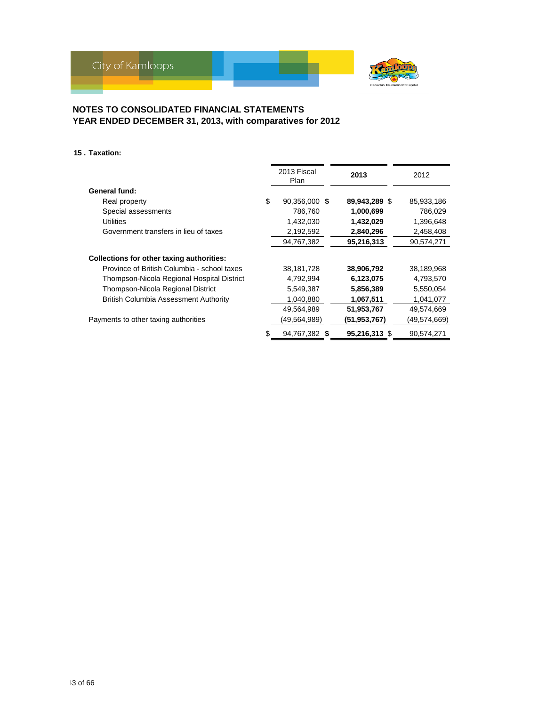

#### **15 . Taxation:**

|                                              |    | 2013 Fiscal<br>Plan | 2013          | 2012         |
|----------------------------------------------|----|---------------------|---------------|--------------|
| <b>General fund:</b>                         |    |                     |               |              |
| Real property                                | \$ | 90,356,000 \$       | 89,943,289 \$ | 85,933,186   |
| Special assessments                          |    | 786,760             | 1,000,699     | 786,029      |
| <b>Utilities</b>                             |    | 1,432,030           | 1,432,029     | 1,396,648    |
| Government transfers in lieu of taxes        |    | 2,192,592           | 2,840,296     | 2,458,408    |
|                                              |    | 94,767,382          | 95,216,313    | 90,574,271   |
| Collections for other taxing authorities:    |    |                     |               |              |
| Province of British Columbia - school taxes  |    | 38,181,728          | 38,906,792    | 38,189,968   |
| Thompson-Nicola Regional Hospital District   |    | 4,792,994           | 6,123,075     | 4,793,570    |
| Thompson-Nicola Regional District            |    | 5,549,387           | 5,856,389     | 5,550,054    |
| <b>British Columbia Assessment Authority</b> |    | 1,040,880           | 1,067,511     | 1,041,077    |
|                                              |    | 49,564,989          | 51,953,767    | 49,574,669   |
| Payments to other taxing authorities         |    | (49,564,989)        | (51,953,767)  | (49,574,669) |
|                                              | S  | 94,767,382 \$       | 95,216,313 \$ | 90,574,271   |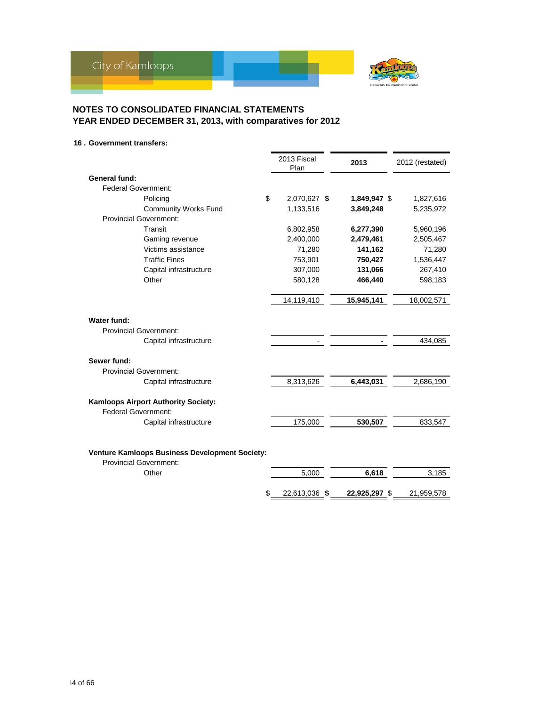

### **16 . Government transfers:**

|                                                                                 | 2013 Fiscal<br>Plan | 2013          | 2012 (restated) |
|---------------------------------------------------------------------------------|---------------------|---------------|-----------------|
| <b>General fund:</b>                                                            |                     |               |                 |
| <b>Federal Government:</b>                                                      |                     |               |                 |
| \$<br>Policing                                                                  | 2,070,627 \$        | 1,849,947 \$  | 1,827,616       |
| <b>Community Works Fund</b>                                                     | 1,133,516           | 3,849,248     | 5,235,972       |
| <b>Provincial Government:</b>                                                   |                     |               |                 |
| Transit                                                                         | 6,802,958           | 6,277,390     | 5,960,196       |
| Gaming revenue                                                                  | 2,400,000           | 2,479,461     | 2,505,467       |
| Victims assistance                                                              | 71,280              | 141,162       | 71,280          |
| <b>Traffic Fines</b>                                                            | 753,901             | 750,427       | 1,536,447       |
| Capital infrastructure                                                          | 307,000             | 131,066       | 267,410         |
| Other                                                                           | 580,128             | 466,440       | 598,183         |
|                                                                                 | 14,119,410          | 15,945,141    | 18,002,571      |
| <b>Water fund:</b>                                                              |                     |               |                 |
| <b>Provincial Government:</b>                                                   |                     |               |                 |
| Capital infrastructure                                                          |                     |               | 434,085         |
| Sewer fund:                                                                     |                     |               |                 |
| <b>Provincial Government:</b>                                                   |                     |               |                 |
| Capital infrastructure                                                          | 8,313,626           | 6,443,031     | 2,686,190       |
| <b>Kamloops Airport Authority Society:</b>                                      |                     |               |                 |
| Federal Government:                                                             |                     |               |                 |
| Capital infrastructure                                                          | 175,000             | 530,507       | 833,547         |
| Venture Kamloops Business Development Society:<br><b>Provincial Government:</b> |                     |               |                 |
| Other                                                                           | 5,000               | 6,618         | 3,185           |
| \$                                                                              | 22,613,036 \$       | 22,925,297 \$ | 21,959,578      |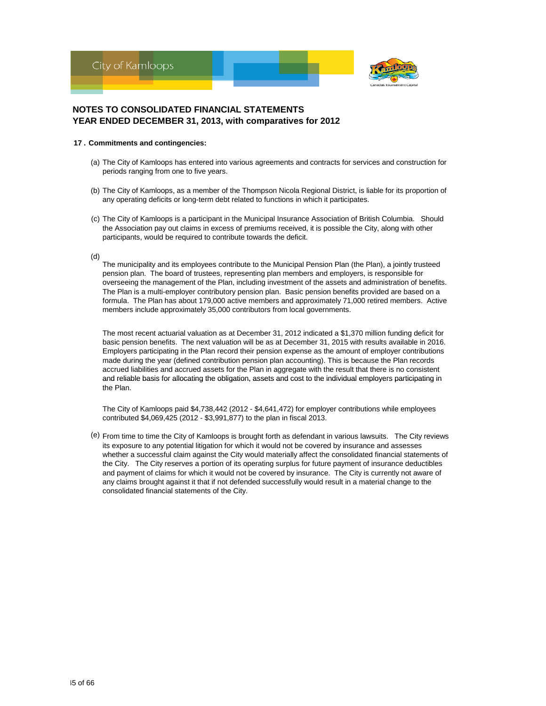

#### **17 . Commitments and contingencies:**

- (a) The City of Kamloops has entered into various agreements and contracts for services and construction for periods ranging from one to five years.
- (b) The City of Kamloops, as a member of the Thompson Nicola Regional District, is liable for its proportion of any operating deficits or long-term debt related to functions in which it participates.
- (c) The City of Kamloops is a participant in the Municipal Insurance Association of British Columbia. Should the Association pay out claims in excess of premiums received, it is possible the City, along with other participants, would be required to contribute towards the deficit.

#### (d)

The municipality and its employees contribute to the Municipal Pension Plan (the Plan), a jointly trusteed pension plan. The board of trustees, representing plan members and employers, is responsible for overseeing the management of the Plan, including investment of the assets and administration of benefits. The Plan is a multi-employer contributory pension plan. Basic pension benefits provided are based on a formula. The Plan has about 179,000 active members and approximately 71,000 retired members. Active members include approximately 35,000 contributors from local governments.

The most recent actuarial valuation as at December 31, 2012 indicated a \$1,370 million funding deficit for basic pension benefits. The next valuation will be as at December 31, 2015 with results available in 2016. Employers participating in the Plan record their pension expense as the amount of employer contributions made during the year (defined contribution pension plan accounting). This is because the Plan records accrued liabilities and accrued assets for the Plan in aggregate with the result that there is no consistent and reliable basis for allocating the obligation, assets and cost to the individual employers participating in and reliable basis for allocating the obligation, assets and cost to the individual employers participating the Plan.

The City of Kamloops paid \$4,738,442 (2012 - \$4,641,472) for employer contributions while employees contributed \$4,069,425 (2012 - \$3,991,877) to the plan in fiscal 2013.

(e) From time to time the City of Kamloops is brought forth as defendant in various lawsuits. The City reviews its exposure to any potential litigation for which it would not be covered by insurance and assesses whether a successful claim against the City would materially affect the consolidated financial statements of the City. The City reserves a portion of its operating surplus for future payment of insurance deductibles and payment of claims for which it would not be covered by insurance. The City is currently not aware of any claims brought against it that if not defended successfully would result in a material change to the consolidated financial statements of the City.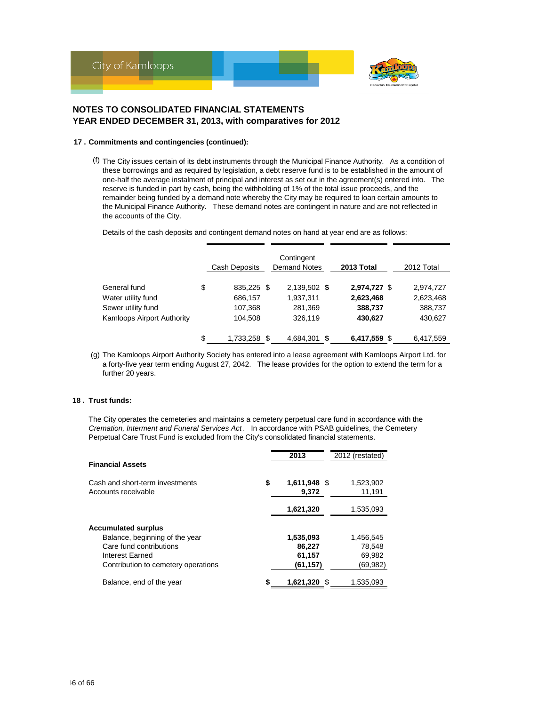

#### **17 . Commitments and contingencies (continued):**

 $(f)$  The City issues certain of its debt instruments through the Municipal Finance Authority. As a condition of these borrowings and as required by legislation, a debt reserve fund is to be established in the amount of one-half the average instalment of principal and interest as set out in the agreement(s) entered into. The reserve is funded in part by cash, being the withholding of 1% of the total issue proceeds, and the remainder being funded by a demand note whereby the City may be required to loan certain amounts to the Municipal Finance Authority. These demand notes are contingent in nature and are not reflected in the accounts of the City.

Details of the cash deposits and contingent demand notes on hand at year end are as follows:

|                            | Cash Deposits      | Contingent<br><b>Demand Notes</b> | 2013 Total   | 2012 Total |
|----------------------------|--------------------|-----------------------------------|--------------|------------|
| General fund               | \$<br>835,225 \$   | 2,139,502 \$                      | 2,974,727 \$ | 2,974,727  |
| Water utility fund         | 686,157            | 1,937,311                         | 2,623,468    | 2,623,468  |
| Sewer utility fund         | 107,368            | 281,369                           | 388,737      | 388,737    |
| Kamloops Airport Authority | 104.508            | 326.119                           | 430,627      | 430,627    |
|                            | \$<br>1,733,258 \$ | 4,684,301 \$                      | 6,417,559 \$ | 6,417,559  |

(g) The Kamloops Airport Authority Society has entered into a lease agreement with Kamloops Airport Ltd. for a forty-five year term ending August 27, 2042. The lease provides for the option to extend the term for a further 20 years.

#### **18 . Trust funds:**

The City operates the cemeteries and maintains a cemetery perpetual care fund in accordance with the *Cremation, Interment and Funeral Services Act* . In accordance with PSAB guidelines, the Cemetery Perpetual Care Trust Fund is excluded from the City's consolidated financial statements.

| <b>Financial Assets</b>             |    | 2013         | 2012 (restated) |
|-------------------------------------|----|--------------|-----------------|
|                                     |    |              |                 |
| Cash and short-term investments     | \$ | 1,611,948 \$ | 1,523,902       |
| Accounts receivable                 |    | 9,372        | 11,191          |
|                                     |    | 1,621,320    | 1.535.093       |
| <b>Accumulated surplus</b>          |    |              |                 |
| Balance, beginning of the year      |    | 1,535,093    | 1,456,545       |
| Care fund contributions             |    | 86,227       | 78,548          |
| Interest Earned                     |    | 61,157       | 69,982          |
| Contribution to cemetery operations |    | (61, 157)    | (69,982)        |
| Balance, end of the year            | S  | 1,621,320 \$ | 1,535,093       |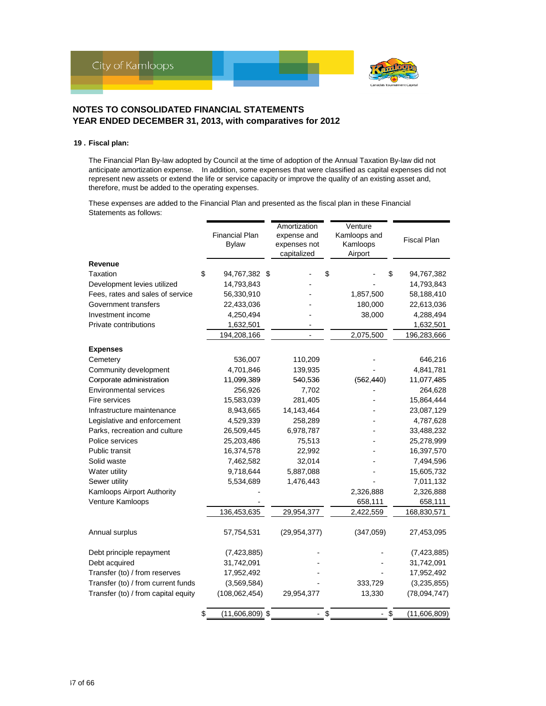

#### **19 . Fiscal plan:**

The Financial Plan By-law adopted by Council at the time of adoption of the Annual Taxation By-law did not anticipate amortization expense. In addition, some expenses that were classified as capital expenses did not represent new assets or extend the life or service capacity or improve the quality of an existing asset and, therefore, must be added to the operating expenses.

These expenses are added to the Financial Plan and presented as the fiscal plan in these Financial Statements as follows:

|                                     | <b>Financial Plan</b><br><b>Bylaw</b> | Amortization<br>expense and<br>expenses not<br>capitalized | Venture<br>Kamloops and<br>Kamloops<br>Airport | <b>Fiscal Plan</b> |
|-------------------------------------|---------------------------------------|------------------------------------------------------------|------------------------------------------------|--------------------|
| Revenue                             |                                       |                                                            |                                                |                    |
| Taxation                            | \$<br>94,767,382 \$                   |                                                            | \$                                             | \$<br>94,767,382   |
| Development levies utilized         | 14,793,843                            |                                                            |                                                | 14,793,843         |
| Fees, rates and sales of service    | 56,330,910                            |                                                            | 1,857,500                                      | 58,188,410         |
| Government transfers                | 22,433,036                            |                                                            | 180,000                                        | 22,613,036         |
| Investment income                   | 4,250,494                             |                                                            | 38,000                                         | 4,288,494          |
| Private contributions               | 1,632,501                             | ÷                                                          |                                                | 1,632,501          |
|                                     | 194,208,166                           | $\overline{\phantom{a}}$                                   | 2,075,500                                      | 196,283,666        |
| <b>Expenses</b>                     |                                       |                                                            |                                                |                    |
| Cemetery                            | 536,007                               | 110,209                                                    |                                                | 646,216            |
| Community development               | 4,701,846                             | 139,935                                                    |                                                | 4,841,781          |
| Corporate administration            | 11,099,389                            | 540,536                                                    | (562, 440)                                     | 11,077,485         |
| <b>Environmental services</b>       | 256,926                               | 7,702                                                      |                                                | 264,628            |
| Fire services                       | 15,583,039                            | 281,405                                                    |                                                | 15,864,444         |
| Infrastructure maintenance          | 8,943,665                             | 14,143,464                                                 |                                                | 23,087,129         |
| Legislative and enforcement         | 4,529,339                             | 258,289                                                    |                                                | 4,787,628          |
| Parks, recreation and culture       | 26,509,445                            | 6,978,787                                                  |                                                | 33,488,232         |
| Police services                     | 25,203,486                            | 75,513                                                     |                                                | 25,278,999         |
| <b>Public transit</b>               | 16,374,578                            | 22,992                                                     |                                                | 16,397,570         |
| Solid waste                         | 7,462,582                             | 32,014                                                     |                                                | 7,494,596          |
| Water utility                       | 9,718,644                             | 5,887,088                                                  |                                                | 15,605,732         |
| Sewer utility                       | 5,534,689                             | 1,476,443                                                  |                                                | 7,011,132          |
| Kamloops Airport Authority          |                                       |                                                            | 2,326,888                                      | 2,326,888          |
| Venture Kamloops                    |                                       |                                                            | 658,111                                        | 658,111            |
|                                     | 136,453,635                           | 29,954,377                                                 | 2,422,559                                      | 168,830,571        |
| Annual surplus                      | 57,754,531                            | (29, 954, 377)                                             | (347,059)                                      | 27,453,095         |
| Debt principle repayment            | (7,423,885)                           |                                                            |                                                | (7,423,885)        |
| Debt acquired                       | 31,742,091                            |                                                            |                                                | 31,742,091         |
| Transfer (to) / from reserves       | 17,952,492                            |                                                            |                                                | 17,952,492         |
| Transfer (to) / from current funds  | (3,569,584)                           |                                                            | 333,729                                        | (3,235,855)        |
| Transfer (to) / from capital equity | (108, 062, 454)                       | 29,954,377                                                 | 13,330                                         | (78,094,747)       |
|                                     | \$<br>$(11,606,809)$ \$               |                                                            | \$<br>- \$                                     | (11,606,809)       |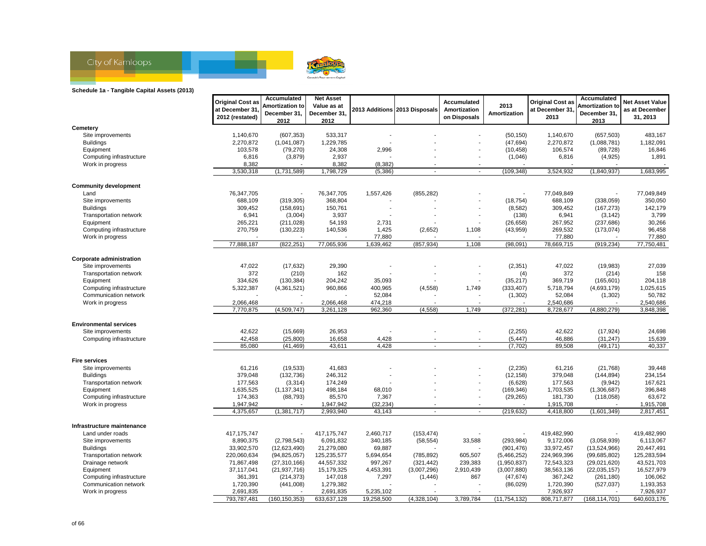

#### **Schedule 1a - Tangible Capital Assets (2013)**

|                                                | <b>Original Cost as</b><br>at December 31<br>2012 (restated) | Accumulated<br><b>Amortization to</b><br>December 31.<br>2012 | <b>Net Asset</b><br>Value as at<br>December 31<br>2012 |                         | 2013 Additions 2013 Disposals | Accumulated<br>Amortization<br>on Disposals | 2013<br>Amortization | <b>Original Cost as</b><br>at December 31<br>2013 | Accumulated<br><b>Amortization to</b><br>December 31,<br>2013 | <b>Net Asset Value</b><br>as at December<br>31, 2013 |
|------------------------------------------------|--------------------------------------------------------------|---------------------------------------------------------------|--------------------------------------------------------|-------------------------|-------------------------------|---------------------------------------------|----------------------|---------------------------------------------------|---------------------------------------------------------------|------------------------------------------------------|
| Cemetery                                       |                                                              |                                                               |                                                        |                         |                               |                                             |                      |                                                   |                                                               |                                                      |
| Site improvements                              | 1,140,670                                                    | (607, 353)                                                    | 533,317                                                |                         |                               |                                             | (50, 150)            | 1,140,670                                         | (657, 503)                                                    | 483,167                                              |
| <b>Buildings</b>                               | 2,270,872                                                    | (1,041,087)                                                   | 1,229,785                                              |                         |                               |                                             | (47, 694)            | 2,270,872                                         | (1,088,781)                                                   | 1,182,091                                            |
| Equipment                                      | 103,578                                                      | (79, 270)                                                     | 24,308                                                 | 2,996                   |                               |                                             | (10, 458)            | 106,574                                           | (89, 728)                                                     | 16,846                                               |
| Computing infrastructure                       | 6,816                                                        | (3,879)                                                       | 2,937                                                  |                         |                               |                                             | (1,046)              | 6,816                                             | (4, 925)                                                      | 1,891                                                |
| Work in progress                               | 8,382                                                        |                                                               | 8,382                                                  | (8, 382)                |                               |                                             |                      |                                                   |                                                               |                                                      |
|                                                | 3,530,318                                                    | (1,731,589)                                                   | 1,798,729                                              | (5, 386)                |                               |                                             | (109, 348)           | 3,524,932                                         | (1,840,937)                                                   | 1,683,995                                            |
|                                                |                                                              |                                                               |                                                        |                         |                               |                                             |                      |                                                   |                                                               |                                                      |
| <b>Community development</b><br>Land           | 76,347,705                                                   |                                                               | 76,347,705                                             | 1,557,426               | (855, 282)                    |                                             |                      | 77,049,849                                        | $\blacksquare$                                                | 77,049,849                                           |
| Site improvements                              | 688,109                                                      | (319, 305)                                                    | 368,804                                                |                         |                               |                                             | (18, 754)            | 688,109                                           | (338,059)                                                     | 350,050                                              |
| <b>Buildings</b>                               | 309,452                                                      | (158, 691)                                                    | 150,761                                                |                         |                               |                                             | (8, 582)             | 309,452                                           | (167, 273)                                                    | 142,179                                              |
| Transportation network                         | 6,941                                                        | (3,004)                                                       | 3,937                                                  |                         |                               |                                             | (138)                | 6,941                                             | (3, 142)                                                      | 3,799                                                |
| Equipment                                      | 265,221                                                      | (211, 028)                                                    | 54,193                                                 | 2,731                   |                               |                                             | (26, 658)            | 267,952                                           | (237, 686)                                                    | 30,266                                               |
| Computing infrastructure                       | 270,759                                                      | (130, 223)                                                    | 140,536                                                | 1,425                   | (2,652)                       | 1,108                                       | (43,959)             | 269,532                                           | (173, 074)                                                    | 96,458                                               |
| Work in progress                               |                                                              |                                                               |                                                        | 77,880                  |                               |                                             |                      | 77,880                                            |                                                               | 77,880                                               |
|                                                | 77,888,187                                                   | (822, 251)                                                    | 77,065,936                                             | 1,639,462               | (857, 934)                    | 1,108                                       | (98, 091)            | 78,669,715                                        | (919, 234)                                                    | 77,750,481                                           |
|                                                |                                                              |                                                               |                                                        |                         |                               |                                             |                      |                                                   |                                                               |                                                      |
| <b>Corporate administration</b>                |                                                              |                                                               |                                                        |                         |                               |                                             |                      |                                                   |                                                               |                                                      |
| Site improvements                              | 47,022                                                       | (17, 632)                                                     | 29,390                                                 |                         |                               |                                             | (2, 351)             | 47,022                                            | (19, 983)                                                     | 27,039                                               |
| Transportation network                         | 372                                                          | (210)                                                         | 162                                                    |                         |                               |                                             | (4)                  | 372                                               | (214)                                                         | 158                                                  |
| Equipment                                      | 334,626                                                      | (130, 384)                                                    | 204,242                                                | 35,093                  |                               |                                             | (35, 217)            | 369,719                                           | (165, 601)                                                    | 204,118                                              |
| Computing infrastructure                       | 5,322,387                                                    | (4,361,521)                                                   | 960,866                                                | 400,965                 | (4, 558)                      | 1,749                                       | (333, 407)           | 5,718,794                                         | (4,693,179)                                                   | 1,025,615                                            |
| Communication network                          |                                                              |                                                               |                                                        | 52,084                  |                               |                                             | (1,302)              | 52,084                                            | (1,302)                                                       | 50,782                                               |
| Work in progress                               | 2,066,468                                                    |                                                               | 2,066,468                                              | 474,218                 |                               |                                             |                      | 2,540,686                                         |                                                               | 2,540,686                                            |
|                                                | 7,770,875                                                    | (4,509,747)                                                   | 3,261,128                                              | 962,360                 | (4, 558)                      | 1,749                                       | (372, 281)           | 8,728,677                                         | (4,880,279)                                                   | 3,848,398                                            |
| <b>Environmental services</b>                  |                                                              |                                                               |                                                        |                         |                               |                                             |                      |                                                   |                                                               |                                                      |
| Site improvements                              | 42,622                                                       | (15,669)                                                      | 26,953                                                 |                         |                               |                                             | (2, 255)             | 42,622                                            | (17, 924)                                                     | 24,698                                               |
| Computing infrastructure                       | 42,458                                                       | (25, 800)                                                     | 16,658                                                 | 4,428                   |                               |                                             | (5, 447)             | 46,886                                            | (31, 247)                                                     | 15,639                                               |
|                                                | 85,080                                                       | (41, 469)                                                     | 43,611                                                 | 4,428                   | ÷,                            | $\sim$                                      | (7, 702)             | 89,508                                            | (49, 171)                                                     | 40,337                                               |
| <b>Fire services</b>                           |                                                              |                                                               |                                                        |                         |                               |                                             |                      |                                                   |                                                               |                                                      |
| Site improvements                              | 61,216                                                       | (19, 533)                                                     | 41,683                                                 |                         |                               |                                             | (2, 235)             | 61,216                                            | (21,768)                                                      | 39,448                                               |
| <b>Buildings</b>                               | 379,048                                                      | (132, 736)                                                    | 246,312                                                |                         |                               |                                             | (12, 158)            | 379,048                                           | (144, 894)                                                    | 234,154                                              |
| Transportation network                         | 177,563                                                      | (3, 314)                                                      | 174,249                                                |                         |                               |                                             | (6,628)              | 177,563                                           | (9,942)                                                       | 167,621                                              |
| Equipment                                      | 1,635,525                                                    | (1, 137, 341)                                                 | 498,184                                                | 68,010                  |                               |                                             | (169, 346)           | 1,703,535                                         | (1,306,687)                                                   | 396,848                                              |
| Computing infrastructure                       | 174,363                                                      | (88, 793)                                                     | 85,570                                                 | 7,367                   |                               |                                             | (29, 265)            | 181,730                                           | (118,058)                                                     | 63,672                                               |
| Work in progress                               | 1,947,942                                                    |                                                               | 1,947,942                                              | (32, 234)               |                               |                                             |                      | 1,915,708                                         |                                                               | 1,915,708                                            |
|                                                | 4,375,657                                                    | (1,381,717)                                                   | 2,993,940                                              | 43,143                  | $\sim$                        | $\sim$                                      | (219, 632)           | 4,418,800                                         | (1,601,349)                                                   | 2,817,451                                            |
|                                                |                                                              |                                                               |                                                        |                         |                               |                                             |                      |                                                   |                                                               |                                                      |
| Infrastructure maintenance<br>Land under roads |                                                              |                                                               |                                                        |                         |                               |                                             |                      |                                                   |                                                               |                                                      |
| Site improvements                              | 417, 175, 747<br>8,890,375                                   |                                                               | 417, 175, 747<br>6,091,832                             | 2,460,717<br>340,185    | (153, 474)                    |                                             | (293, 984)           | 419,482,990<br>9,172,006                          | (3,058,939)                                                   | 419,482,990<br>6,113,067                             |
|                                                |                                                              | (2,798,543)                                                   |                                                        | 69,887                  | (58, 554)                     | 33,588                                      |                      |                                                   |                                                               |                                                      |
| <b>Buildings</b>                               | 33,902,570                                                   | (12,623,490)                                                  | 21,279,080                                             |                         |                               |                                             | (901, 476)           | 33,972,457                                        | (13,524,966)                                                  | 20,447,491                                           |
| Transportation network                         | 220,060,634                                                  | (94, 825, 057)                                                | 125,235,577                                            | 5,694,654               | (785, 892)                    | 605,507                                     | (5,466,252)          | 224,969,396                                       | (99,685,802)                                                  | 125,283,594                                          |
| Drainage network                               | 71,867,498                                                   | (27, 310, 166)                                                | 44,557,332                                             | 997,267                 | (321, 442)                    | 239,383                                     | (1,950,837)          | 72,543,323                                        | (29,021,620)                                                  | 43,521,703                                           |
| Equipment                                      | 37,117,041                                                   | (21, 937, 716)                                                | 15,179,325                                             | 4,453,391               | (3,007,296)                   | 2,910,439                                   | (3,007,880)          | 38,563,136                                        | (22,035,157)                                                  | 16,527,979                                           |
| Computing infrastructure                       | 361,391                                                      | (214, 373)                                                    | 147,018                                                | 7,297                   | (1, 446)                      | 867                                         | (47, 674)            | 367,242                                           | (261, 180)                                                    | 106,062                                              |
| Communication network                          | 1,720,390                                                    | (441,008)                                                     | 1,279,382                                              |                         |                               |                                             | (86,029)             | 1,720,390<br>7,926,937                            | (527, 037)                                                    | 1,193,353                                            |
| Work in progress                               | 2,691,835<br>793,787,481                                     | (160, 150, 353)                                               | 2,691,835<br>633,637,128                               | 5,235,102<br>19,258,500 | (4,328,104)                   | 3,789,784                                   | (11, 754, 132)       | 808,717,877                                       | (168, 114, 701)                                               | 7,926,937<br>640,603,176                             |
|                                                |                                                              |                                                               |                                                        |                         |                               |                                             |                      |                                                   |                                                               |                                                      |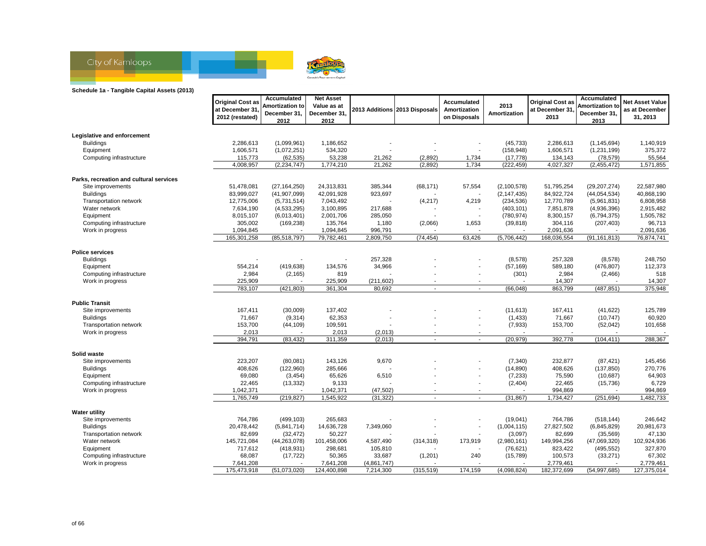

#### **Schedule 1a - Tangible Capital Assets (2013)**

|                                         |                         | Accumulated            | <b>Net Asset</b> |             |                               |                          |               |                         | Accumulated     | <b>Net Asset Value</b> |
|-----------------------------------------|-------------------------|------------------------|------------------|-------------|-------------------------------|--------------------------|---------------|-------------------------|-----------------|------------------------|
|                                         | <b>Original Cost as</b> | <b>Amortization to</b> | Value as at      |             |                               | Accumulated              | 2013          | <b>Original Cost as</b> | Amortization to |                        |
|                                         | at December 31          | December 31,           | December 31,     |             | 2013 Additions 2013 Disposals | Amortization             | Amortization  | at December 31.         | December 31,    | as at December         |
|                                         | 2012 (restated)         | 2012                   | 2012             |             |                               | on Disposals             |               | 2013                    | 2013            | 31, 2013               |
| Legislative and enforcement             |                         |                        |                  |             |                               |                          |               |                         |                 |                        |
| <b>Buildings</b>                        | 2,286,613               | (1,099,961)            | 1,186,652        |             |                               |                          | (45, 733)     | 2,286,613               | (1, 145, 694)   | 1,140,919              |
| Equipment                               | 1,606,571               | (1,072,251)            | 534,320          |             |                               |                          | (158, 948)    | 1,606,571               | (1, 231, 199)   | 375,372                |
| Computing infrastructure                | 115,773                 | (62, 535)              | 53,238           | 21,262      | (2,892)                       | 1,734                    | (17, 778)     | 134,143                 | (78, 579)       | 55,564                 |
|                                         | 4,008,957               | (2, 234, 747)          | 1,774,210        | 21,262      | (2,892)                       | 1,734                    | (222, 459)    | 4,027,327               | (2,455,472)     | 1,571,855              |
| Parks, recreation and cultural services |                         |                        |                  |             |                               |                          |               |                         |                 |                        |
| Site improvements                       | 51,478,081              | (27, 164, 250)         | 24,313,831       | 385,344     | (68, 171)                     | 57,554                   | (2,100,578)   | 51,795,254              | (29, 207, 274)  | 22,587,980             |
| <b>Buildings</b>                        | 83,999,027              | (41, 907, 099)         | 42,091,928       | 923,697     |                               |                          | (2, 147, 435) | 84,922,724              | (44, 054, 534)  | 40,868,190             |
| Transportation network                  | 12,775,006              | (5,731,514)            | 7,043,492        |             | (4,217)                       | 4,219                    | (234, 536)    | 12,770,789              | (5,961,831)     | 6,808,958              |
| Water network                           | 7,634,190               | (4,533,295)            | 3,100,895        | 217,688     |                               |                          | (403, 101)    | 7,851,878               | (4,936,396)     | 2,915,482              |
| Equipment                               | 8,015,107               | (6,013,401)            | 2,001,706        | 285,050     |                               |                          | (780, 974)    | 8,300,157               | (6,794,375)     | 1,505,782              |
| Computing infrastructure                | 305,002                 | (169, 238)             | 135,764          | 1,180       | (2,066)                       | 1,653                    | (39, 818)     | 304,116                 | (207, 403)      | 96,713                 |
| Work in progress                        | 1,094,845               |                        | 1,094,845        | 996,791     |                               |                          |               | 2,091,636               |                 | 2,091,636              |
|                                         | 165,301,258             | (85, 518, 797)         | 79,782,461       | 2,809,750   | (74, 454)                     | 63,426                   | (5,706,442)   | 168,036,554             | (91, 161, 813)  | 76,874,741             |
| <b>Police services</b>                  |                         |                        |                  |             |                               |                          |               |                         |                 |                        |
| <b>Buildings</b>                        |                         |                        |                  | 257,328     |                               |                          | (8,578)       | 257,328                 | (8,578)         | 248,750                |
| Equipment                               | 554,214                 | (419, 638)             | 134,576          | 34,966      |                               |                          | (57, 169)     | 589,180                 | (476, 807)      | 112,373                |
| Computing infrastructure                | 2,984                   | (2, 165)               | 819              |             |                               |                          | (301)         | 2,984                   | (2, 466)        | 518                    |
| Work in progress                        | 225,909                 |                        | 225,909          | (211, 602)  |                               |                          |               | 14,307                  |                 | 14,307                 |
|                                         | 783,107                 | (421, 803)             | 361,304          | 80,692      | $\mathbf{r}$                  | $\sim$                   | (66, 048)     | 863,799                 | (487, 851)      | 375,948                |
| <b>Public Transit</b>                   |                         |                        |                  |             |                               |                          |               |                         |                 |                        |
| Site improvements                       | 167,411                 | (30,009)               | 137,402          |             |                               |                          | (11, 613)     | 167,411                 | (41, 622)       | 125,789                |
|                                         |                         |                        |                  |             |                               |                          |               |                         |                 | 60,920                 |
| <b>Buildings</b>                        | 71,667                  | (9,314)                | 62,353           |             |                               |                          | (1, 433)      | 71,667                  | (10, 747)       |                        |
| Transportation network                  | 153,700                 | (44, 109)              | 109,591          |             |                               |                          | (7, 933)      | 153,700                 | (52, 042)       | 101,658                |
| Work in progress                        | 2,013                   |                        | 2,013            | (2,013)     | $\overline{a}$                | $\overline{a}$           |               | 392,778                 |                 |                        |
|                                         | 394,791                 | (83, 432)              | 311,359          | (2,013)     |                               |                          | (20, 979)     |                         | (104, 411)      | 288,367                |
| Solid waste                             |                         |                        |                  |             |                               |                          |               |                         |                 |                        |
| Site improvements                       | 223,207                 | (80,081)               | 143,126          | 9,670       |                               |                          | (7, 340)      | 232,877                 | (87, 421)       | 145,456                |
| <b>Buildings</b>                        | 408,626                 | (122,960)              | 285,666          |             |                               |                          | (14, 890)     | 408,626                 | (137, 850)      | 270,776                |
| Equipment                               | 69,080                  | (3, 454)               | 65,626           | 6,510       |                               |                          | (7, 233)      | 75,590                  | (10,687)        | 64,903                 |
| Computing infrastructure                | 22,465                  | (13, 332)              | 9,133            |             |                               |                          | (2, 404)      | 22,465                  | (15, 736)       | 6,729                  |
| Work in progress                        | 1,042,371               |                        | 1,042,371        | (47, 502)   |                               |                          |               | 994,869                 |                 | 994,869                |
|                                         | 1,765,749               | (219, 827)             | 1,545,922        | (31, 322)   | ÷,                            |                          | (31, 867)     | 1,734,427               | (251, 694)      | 1,482,733              |
| <b>Water utility</b>                    |                         |                        |                  |             |                               |                          |               |                         |                 |                        |
| Site improvements                       | 764,786                 | (499, 103)             | 265,683          |             |                               |                          | (19,041)      | 764,786                 | (518, 144)      | 246,642                |
| <b>Buildings</b>                        | 20,478,442              | (5,841,714)            | 14,636,728       | 7,349,060   |                               | $\overline{\phantom{a}}$ | (1,004,115)   | 27,827,502              | (6,845,829)     | 20,981,673             |
| Transportation network                  | 82,699                  | (32, 472)              | 50,227           |             |                               |                          | (3,097)       | 82,699                  | (35, 569)       | 47,130                 |
| Water network                           | 145,721,084             | (44, 263, 078)         | 101,458,006      | 4,587,490   | (314, 318)                    | 173,919                  | (2,980,161)   | 149,994,256             | (47,069,320)    | 102,924,936            |
| Equipment                               | 717,612                 | (418, 931)             | 298,681          | 105,810     |                               |                          | (76, 621)     | 823,422                 | (495, 552)      | 327,870                |
| Computing infrastructure                | 68,087                  | (17, 722)              | 50,365           | 33,687      | (1,201)                       | 240                      | (15, 789)     | 100,573                 | (33, 271)       | 67,302                 |
| Work in progress                        | 7,641,208               |                        | 7,641,208        | (4,861,747) |                               |                          |               | 2,779,461               |                 | 2,779,461              |
|                                         | 175,473,918             | (51,073,020)           | 124,400,898      | 7,214,300   | (315, 519)                    | 174,159                  | (4,098,824)   | 182,372,699             | (54, 997, 685)  | 127,375,014            |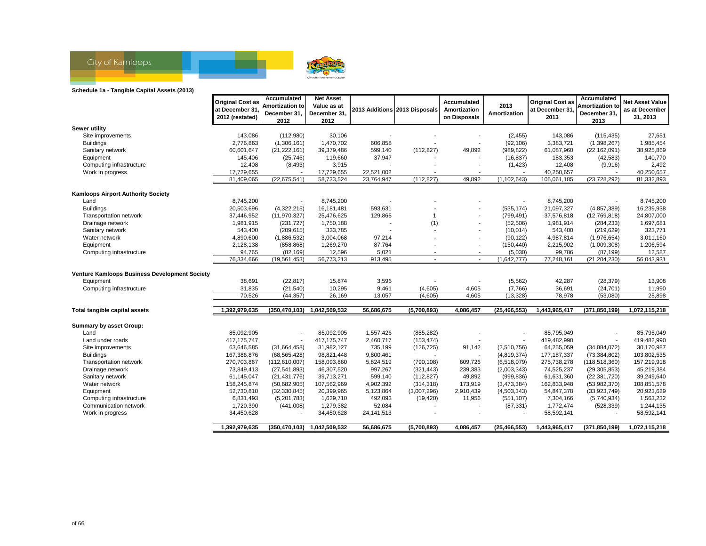

#### **Schedule 1a - Tangible Capital Assets (2013)**

|                                               | <b>Original Cost as</b>           | Accumulated<br>Amortization to | <b>Net Asset</b><br>Value as at |            |                               | Accumulated                  | 2013           | <b>Original Cost as</b> | Accumulated<br>Amortization to | <b>Net Asset Value</b>     |
|-----------------------------------------------|-----------------------------------|--------------------------------|---------------------------------|------------|-------------------------------|------------------------------|----------------|-------------------------|--------------------------------|----------------------------|
|                                               | at December 31<br>2012 (restated) | December 31.<br>2012           | December 31,<br>2012            |            | 2013 Additions 2013 Disposals | Amortization<br>on Disposals | Amortization   | at December 31,<br>2013 | December 31,<br>2013           | as at December<br>31, 2013 |
| Sewer utility                                 |                                   |                                |                                 |            |                               |                              |                |                         |                                |                            |
| Site improvements                             | 143,086                           | (112,980)                      | 30,106                          |            |                               |                              | (2, 455)       | 143,086                 | (115, 435)                     | 27,651                     |
| <b>Buildings</b>                              | 2,776,863                         | (1,306,161)                    | 1,470,702                       | 606,858    |                               |                              | (92, 106)      | 3,383,721               | (1, 398, 267)                  | 1,985,454                  |
| Sanitary network                              | 60,601,647                        | (21, 222, 161)                 | 39,379,486                      | 599,140    | (112, 827)                    | 49,892                       | (989, 822)     | 61,087,960              | (22, 162, 091)                 | 38,925,869                 |
| Equipment                                     | 145,406                           | (25, 746)                      | 119,660                         | 37,947     |                               |                              | (16, 837)      | 183,353                 | (42, 583)                      | 140,770                    |
| Computing infrastructure                      | 12,408                            | (8, 493)                       | 3,915                           |            |                               | $\blacksquare$               | (1, 423)       | 12,408                  | (9,916)                        | 2,492                      |
| Work in progress                              | 17,729,655                        |                                | 17,729,655                      | 22,521,002 |                               |                              |                | 40,250,657              |                                | 40,250,657                 |
|                                               | 81,409,065                        | (22, 675, 541)                 | 58,733,524                      | 23,764,947 | (112, 827)                    | 49,892                       | (1, 102, 643)  | 105,061,185             | (23, 728, 292)                 | 81,332,893                 |
| Kamloops Airport Authority Society            |                                   |                                |                                 |            |                               |                              |                |                         |                                |                            |
| Land                                          | 8,745,200                         |                                | 8,745,200                       |            |                               |                              |                | 8,745,200               |                                | 8,745,200                  |
| <b>Buildings</b>                              | 20,503,696                        | (4,322,215)                    | 16,181,481                      | 593,631    |                               |                              | (535, 174)     | 21,097,327              | (4,857,389)                    | 16,239,938                 |
| Transportation network                        | 37,446,952                        | (11, 970, 327)                 | 25,476,625                      | 129,865    | $\overline{1}$                | $\blacksquare$               | (799, 491)     | 37,576,818              | (12,769,818)                   | 24,807,000                 |
| Drainage network                              | 1,981,915                         | (231, 727)                     | 1,750,188                       |            | (1)                           | $\overline{\phantom{a}}$     | (52, 506)      | 1,981,914               | (284, 233)                     | 1,697,681                  |
| Sanitary network                              | 543,400                           | (209, 615)                     | 333,785                         |            |                               | ٠                            | (10, 014)      | 543,400                 | (219, 629)                     | 323,771                    |
| Water network                                 | 4,890,600                         | (1,886,532)                    | 3,004,068                       | 97,214     |                               | $\blacksquare$               | (90, 122)      | 4,987,814               | (1,976,654)                    | 3,011,160                  |
| Equipment                                     | 2,128,138                         | (858, 868)                     | 1,269,270                       | 87,764     |                               | $\overline{\phantom{a}}$     | (150, 440)     | 2,215,902               | (1,009,308)                    | 1,206,594                  |
| Computing infrastructure                      | 94,765                            | (82, 169)                      | 12,596                          | 5,021      |                               |                              | (5,030)        | 99,786                  | (87, 199)                      | 12,587                     |
|                                               | 76,334,666                        | (19, 561, 453)                 | 56,773,213                      | 913,495    | $\sim$                        | $\sim$                       | (1,642,777)    | 77,248,161              | (21, 204, 230)                 | 56,043,931                 |
| Venture Kamloops Business Development Society |                                   |                                |                                 |            |                               |                              |                |                         |                                |                            |
| Equipment                                     | 38,691                            | (22, 817)                      | 15,874                          | 3,596      |                               |                              | (5, 562)       | 42,287                  | (28, 379)                      | 13,908                     |
| Computing infrastructure                      | 31,835                            | (21, 540)                      | 10,295                          | 9,461      | (4,605)                       | 4,605                        | (7,766)        | 36,691                  | (24, 701)                      | 11,990                     |
|                                               | 70,526                            | (44, 357)                      | 26,169                          | 13,057     | (4,605)                       | 4,605                        | (13, 328)      | 78,978                  | (53,080)                       | 25,898                     |
| Total tangible capital assets                 | 1,392,979,635                     | (350, 470, 103)                | 1,042,509,532                   | 56,686,675 | (5,700,893)                   | 4,086,457                    | (25, 466, 553) | 1,443,965,417           | (371, 850, 199)                | 1,072,115,218              |
| Summary by asset Group:                       |                                   |                                |                                 |            |                               |                              |                |                         |                                |                            |
| Land                                          | 85,092,905                        |                                | 85,092,905                      | 1,557,426  | (855, 282)                    |                              |                | 85,795,049              |                                | 85,795,049                 |
| Land under roads                              | 417.175.747                       |                                | 417.175.747                     | 2.460.717  | (153, 474)                    |                              |                | 419,482,990             |                                | 419,482,990                |
| Site improvements                             | 63,646,585                        | (31,664,458)                   | 31,982,127                      | 735,199    | (126, 725)                    | 91,142                       | (2,510,756)    | 64,255,059              | (34,084,072)                   | 30,170,987                 |
| <b>Buildings</b>                              | 167,386,876                       | (68, 565, 428)                 | 98,821,448                      | 9,800,461  |                               |                              | (4,819,374)    | 177, 187, 337           | (73, 384, 802)                 | 103,802,535                |
| Transportation network                        | 270,703,867                       | (112,610,007)                  | 158,093,860                     | 5,824,519  | (790, 108)                    | 609,726                      | (6,518,079)    | 275,738,278             | (118, 518, 360)                | 157,219,918                |
| Drainage network                              | 73,849,413                        | (27, 541, 893)                 | 46,307,520                      | 997,267    | (321, 443)                    | 239,383                      | (2,003,343)    | 74,525,237              | (29, 305, 853)                 | 45,219,384                 |
| Sanitary network                              | 61,145,047                        | (21, 431, 776)                 | 39,713,271                      | 599,140    | (112, 827)                    | 49,892                       | (999, 836)     | 61,631,360              | (22, 381, 720)                 | 39,249,640                 |
| Water network                                 | 158,245,874                       | (50,682,905)                   | 107,562,969                     | 4,902,392  | (314, 318)                    | 173,919                      | (3,473,384)    | 162,833,948             | (53,982,370)                   | 108,851,578                |
| Equipment                                     | 52,730,810                        | (32, 330, 845)                 | 20,399,965                      | 5,123,864  | (3,007,296)                   | 2,910,439                    | (4,503,343)    | 54,847,378              | (33,923,749)                   | 20,923,629                 |
| Computing infrastructure                      | 6,831,493                         | (5,201,783)                    | 1,629,710                       | 492,093    | (19, 420)                     | 11,956                       | (551, 107)     | 7,304,166               | (5,740,934)                    | 1,563,232                  |
| Communication network                         | 1,720,390                         | (441,008)                      | 1,279,382                       | 52,084     |                               |                              | (87, 331)      | 1,772,474               | (528, 339)                     | 1,244,135                  |
| Work in progress                              | 34,450,628                        |                                | 34,450,628                      | 24,141,513 |                               |                              |                | 58,592,141              |                                | 58,592,141                 |
|                                               | 1.392.979.635                     |                                | (350.470.103) 1.042.509.532     | 56.686.675 | (5,700,893)                   | 4,086,457                    | (25, 466, 553) | 1,443,965,417           | (371.850.199)                  | 1,072,115,218              |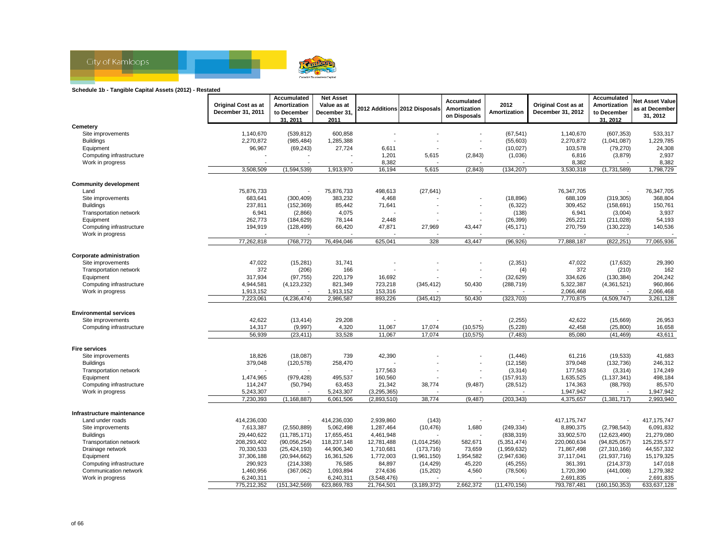

#### **Schedule 1b - Tangible Capital Assets (2012) - Restated**

|                               |                            | Accumulated              | <b>Net Asset</b> |               |                               |              |                |                            | Accumulated     |                        |
|-------------------------------|----------------------------|--------------------------|------------------|---------------|-------------------------------|--------------|----------------|----------------------------|-----------------|------------------------|
|                               | <b>Original Cost as at</b> | Amortization             | Value as at      |               |                               | Accumulated  | 2012           | <b>Original Cost as at</b> | Amortization    | <b>Net Asset Value</b> |
|                               | December 31, 2011          | to December              | December 31      |               | 2012 Additions 2012 Disposals | Amortization | Amortization   | December 31, 2012          | to December     | as at December         |
|                               |                            | 31, 2011                 | 2011             |               |                               | on Disposals |                |                            | 31, 2012        | 31, 2012               |
| Cemetery                      |                            |                          |                  |               |                               |              |                |                            |                 |                        |
| Site improvements             | 1.140.670                  | (539, 812)               | 600,858          |               |                               |              | (67, 541)      | 1,140,670                  | (607, 353)      | 533.317                |
| <b>Buildings</b>              | 2,270,872                  | (985, 484)               | 1,285,388        |               |                               |              | (55, 603)      | 2,270,872                  | (1,041,087)     | 1,229,785              |
| Equipment                     | 96,967                     | (69, 243)                | 27,724           | 6,611         |                               |              | (10, 027)      | 103,578                    | (79, 270)       | 24,308                 |
| Computing infrastructure      |                            |                          |                  | 1,201         | 5,615                         | (2, 843)     | (1,036)        | 6,816                      | (3,879)         | 2,937                  |
| Work in progress              |                            | $\overline{\phantom{a}}$ |                  | 8,382         |                               |              |                | 8,382                      |                 | 8,382                  |
|                               | 3,508,509                  | (1, 594, 539)            | 1,913,970        | 16,194        | 5,615                         | (2, 843)     | (134, 207)     | 3,530,318                  | (1,731,589)     | 1,798,729              |
|                               |                            |                          |                  |               |                               |              |                |                            |                 |                        |
| <b>Community development</b>  |                            |                          |                  |               |                               |              |                |                            |                 |                        |
| Land                          | 75,876,733                 |                          | 75,876,733       | 498,613       | (27, 641)                     |              |                | 76,347,705                 |                 | 76,347,705             |
| Site improvements             | 683,641                    | (300, 409)               | 383,232          | 4,468         |                               |              | (18, 896)      | 688,109                    | (319, 305)      | 368,804                |
| <b>Buildings</b>              | 237,811                    | (152, 369)               | 85,442           | 71,641        |                               |              | (6, 322)       | 309,452                    | (158, 691)      | 150,761                |
| Transportation network        | 6,941                      | (2,866)                  | 4,075            |               |                               |              | (138)          | 6,941                      | (3,004)         | 3,937                  |
| Equipment                     | 262,773                    | (184, 629)               | 78,144           | 2,448         |                               |              | (26, 399)      | 265,221                    | (211, 028)      | 54,193                 |
|                               | 194,919                    |                          | 66,420           | 47,871        | 27,969                        | 43,447       | (45, 171)      | 270,759                    |                 | 140,536                |
| Computing infrastructure      |                            | (128, 499)               |                  |               |                               |              |                |                            | (130, 223)      |                        |
| Work in progress              |                            |                          |                  |               | 328                           |              |                |                            |                 |                        |
|                               | 77,262,818                 | (768, 772)               | 76,494,046       | 625,041       |                               | 43,447       | (96, 926)      | 77,888,187                 | (822, 251)      | 77,065,936             |
|                               |                            |                          |                  |               |                               |              |                |                            |                 |                        |
| Corporate administration      |                            |                          |                  |               |                               |              |                |                            |                 |                        |
| Site improvements             | 47,022                     | (15,281)                 | 31,741           |               |                               |              | (2, 351)       | 47,022                     | (17, 632)       | 29,390                 |
| Transportation network        | 372                        | (206)                    | 166              |               |                               |              | (4)            | 372                        | (210)           | 162                    |
| Equipment                     | 317,934                    | (97, 755)                | 220,179          | 16,692        |                               |              | (32, 629)      | 334,626                    | (130, 384)      | 204,242                |
| Computing infrastructure      | 4,944,581                  | (4, 123, 232)            | 821,349          | 723,218       | (345, 412)                    | 50,430       | (288, 719)     | 5,322,387                  | (4,361,521)     | 960,866                |
| Work in progress              | 1,913,152                  |                          | 1,913,152        | 153,316       |                               |              |                | 2,066,468                  |                 | 2,066,468              |
|                               | 7,223,061                  | (4, 236, 474)            | 2,986,587        | 893,226       | (345, 412)                    | 50,430       | (323, 703)     | 7,770,875                  | (4,509,747)     | 3,261,128              |
|                               |                            |                          |                  |               |                               |              |                |                            |                 |                        |
| <b>Environmental services</b> |                            |                          |                  |               |                               |              |                |                            |                 |                        |
| Site improvements             | 42,622                     | (13, 414)                | 29,208           |               |                               |              | (2, 255)       | 42,622                     | (15,669)        | 26,953                 |
| Computing infrastructure      | 14,317                     | (9,997)                  | 4,320            | 11,067        | 17,074                        | (10, 575)    | (5, 228)       | 42,458                     | (25, 800)       | 16,658                 |
|                               | 56,939                     | (23, 411)                | 33,528           | 11,067        | 17,074                        | (10, 575)    | (7, 483)       | 85,080                     | (41, 469)       | 43,611                 |
|                               |                            |                          |                  |               |                               |              |                |                            |                 |                        |
| <b>Fire services</b>          |                            |                          |                  |               |                               |              |                |                            |                 |                        |
| Site improvements             | 18,826                     | (18,087)                 | 739              | 42,390        |                               |              | (1,446)        | 61,216                     | (19, 533)       | 41,683                 |
| <b>Buildings</b>              | 379,048                    | (120, 578)               | 258,470          |               |                               |              | (12, 158)      | 379,048                    | (132, 736)      | 246,312                |
| Transportation network        |                            |                          |                  | 177,563       |                               |              | (3, 314)       | 177,563                    | (3, 314)        | 174,249                |
| Equipment                     | 1,474,965                  | (979, 428)               | 495,537          | 160,560       |                               |              | (157, 913)     | 1,635,525                  | (1, 137, 341)   | 498,184                |
| Computing infrastructure      | 114,247                    | (50, 794)                | 63,453           | 21,342        | 38,774                        | (9, 487)     | (28, 512)      | 174,363                    | (88, 793)       | 85,570                 |
| Work in progress              | 5,243,307                  |                          | 5,243,307        | (3, 295, 365) |                               |              |                | 1,947,942                  |                 | 1,947,942              |
|                               | 7,230,393                  | (1, 168, 887)            | 6,061,506        | (2,893,510)   | 38,774                        | (9, 487)     | (203, 343)     | 4,375,657                  | (1, 381, 717)   | 2,993,940              |
|                               |                            |                          |                  |               |                               |              |                |                            |                 |                        |
| Infrastructure maintenance    |                            |                          |                  |               |                               |              |                |                            |                 |                        |
| Land under roads              | 414,236,030                |                          | 414,236,030      | 2,939,860     | (143)                         |              |                | 417, 175, 747              |                 | 417, 175, 747          |
| Site improvements             | 7,613,387                  | (2,550,889)              | 5,062,498        | 1,287,464     | (10, 476)                     | 1,680        | (249, 334)     | 8,890,375                  | (2,798,543)     | 6,091,832              |
| <b>Buildings</b>              | 29,440,622                 | (11,785,171)             | 17,655,451       | 4,461,948     |                               |              | (838, 319)     | 33,902,570                 | (12,623,490)    | 21,279,080             |
| Transportation network        | 208,293,402                | (90,056,254)             | 118,237,148      | 12,781,488    | (1,014,256)                   | 582,671      | (5,351,474)    | 220,060,634                | (94, 825, 057)  | 125,235,577            |
| Drainage network              | 70,330,533                 | (25, 424, 193)           | 44,906,340       | 1,710,681     | (173, 716)                    | 73,659       | (1,959,632)    | 71,867,498                 | (27, 310, 166)  | 44,557,332             |
| Equipment                     | 37,306,188                 | (20, 944, 662)           | 16,361,526       | 1,772,003     | (1,961,150)                   | 1,954,582    | (2,947,636)    | 37,117,041                 | (21, 937, 716)  | 15,179,325             |
| Computing infrastructure      | 290,923                    | (214, 338)               | 76,585           | 84,897        | (14, 429)                     | 45,220       | (45, 255)      | 361,391                    | (214, 373)      | 147,018                |
| Communication network         | 1,460,956                  | (367,062)                | 1,093,894        | 274,636       | (15,202)                      | 4,560        | (78, 506)      | 1,720,390                  | (441,008)       | 1,279,382              |
| Work in progress              | 6,240,311                  |                          | 6,240,311        | (3,548,476)   |                               |              |                | 2,691,835                  |                 | 2,691,835              |
|                               | 775,212,352                | (151, 342, 569)          | 623,869,783      | 21,764,501    | (3, 189, 372)                 | 2,662,372    | (11, 470, 156) | 793,787,481                | (160, 150, 353) | 633,637,128            |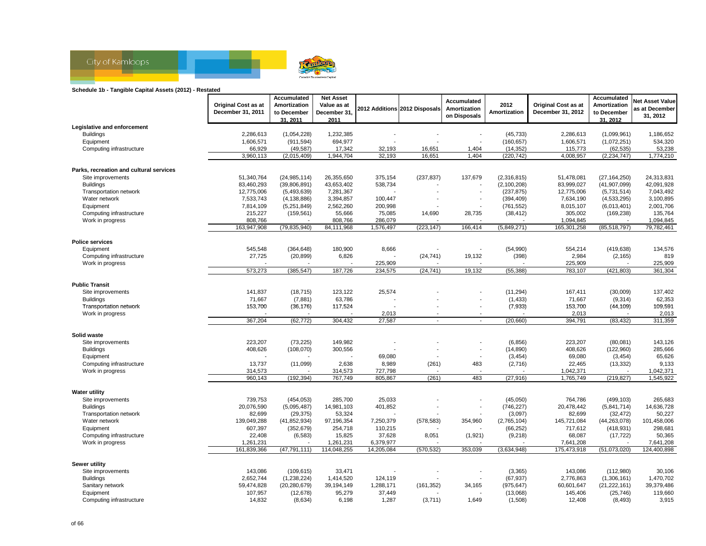

#### **Schedule 1b - Tangible Capital Assets (2012) - Restated**

|                                         |                            | Accumulated    | <b>Net Asset</b> |                 |                                                      | Accumulated                        |               |                            | Accumulated    | <b>Net Asset Value</b> |
|-----------------------------------------|----------------------------|----------------|------------------|-----------------|------------------------------------------------------|------------------------------------|---------------|----------------------------|----------------|------------------------|
|                                         | <b>Original Cost as at</b> | Amortization   | Value as at      |                 |                                                      |                                    | 2012          | <b>Original Cost as at</b> | Amortization   |                        |
|                                         | December 31, 2011          | to December    | December 31      |                 | 2012 Additions 2012 Disposals                        | Amortization                       | Amortization  | December 31, 2012          | to December    | as at December         |
|                                         |                            | 31, 2011       | 2011             |                 |                                                      | on Disposals                       |               |                            | 31, 2012       | 31, 2012               |
| Legislative and enforcement             |                            |                |                  |                 |                                                      |                                    |               |                            |                |                        |
| <b>Buildings</b>                        | 2,286,613                  | (1,054,228)    | 1,232,385        |                 |                                                      |                                    | (45, 733)     | 2,286,613                  | (1,099,961)    | 1,186,652              |
| Equipment                               | 1,606,571                  | (911, 594)     | 694,977          |                 |                                                      |                                    | (160, 657)    | 1,606,571                  | (1,072,251)    | 534,320                |
| Computing infrastructure                | 66,929                     | (49, 587)      | 17,342           | 32,193          | 16,651                                               | 1,404                              | (14, 352)     | 115,773                    | (62, 535)      | 53,238                 |
|                                         | 3,960,113                  | (2,015,409)    | 1,944,704        | 32,193          | 16,651                                               | 1,404                              | (220, 742)    | 4,008,957                  | (2, 234, 747)  | 1,774,210              |
|                                         |                            |                |                  |                 |                                                      |                                    |               |                            |                |                        |
| Parks, recreation and cultural services |                            |                |                  |                 |                                                      |                                    |               |                            |                |                        |
| Site improvements                       | 51,340,764                 | (24, 985, 114) | 26,355,650       | 375,154         | (237, 837)                                           | 137,679                            | (2,316,815)   | 51,478,081                 | (27, 164, 250) | 24.313.831             |
| <b>Buildings</b>                        | 83,460,293                 | (39,806,891)   | 43,653,402       | 538,734         |                                                      |                                    | (2, 100, 208) | 83,999,027                 | (41, 907, 099) | 42,091,928             |
| Transportation network                  | 12,775,006                 | (5,493,639)    | 7,281,367        |                 |                                                      |                                    | (237, 875)    | 12,775,006                 | (5,731,514)    | 7,043,492              |
| Water network                           | 7,533,743                  | (4, 138, 886)  | 3,394,857        | 100,447         |                                                      |                                    | (394, 409)    | 7,634,190                  | (4,533,295)    | 3,100,895              |
| Equipment                               | 7,814,109                  | (5,251,849)    | 2,562,260        | 200,998         |                                                      |                                    | (761, 552)    | 8,015,107                  | (6,013,401)    | 2,001,706              |
| Computing infrastructure                | 215,227                    | (159, 561)     | 55,666           | 75,085          | 14,690                                               | 28,735                             | (38, 412)     | 305,002                    | (169, 238)     | 135,764                |
| Work in progress                        | 808,766                    |                | 808,766          | 286,079         |                                                      |                                    |               | 1,094,845                  |                | 1,094,845              |
|                                         | 163,947,908                | (79, 835, 940) | 84,111,968       | 1,576,497       | (223, 147)                                           | 166,414                            | (5,849,271)   | 165,301,258                | (85, 518, 797) | 79,782,461             |
|                                         |                            |                |                  |                 |                                                      |                                    |               |                            |                |                        |
| <b>Police services</b>                  |                            |                |                  |                 |                                                      |                                    |               |                            |                |                        |
| Equipment                               | 545,548                    | (364, 648)     | 180,900          | 8,666           |                                                      |                                    | (54,990)      | 554,214                    | (419, 638)     | 134,576                |
| Computing infrastructure                | 27,725                     | (20, 899)      | 6,826            |                 | (24, 741)                                            | 19,132                             | (398)         | 2,984                      | (2, 165)       | 819                    |
| Work in progress                        |                            |                |                  | 225,909         |                                                      |                                    |               | 225,909                    |                | 225,909                |
|                                         | 573,273                    | (385, 547)     | 187,726          | 234,575         | (24, 741)                                            | 19,132                             | (55, 388)     | 783,107                    | (421, 803)     | 361,304                |
|                                         |                            |                |                  |                 |                                                      |                                    |               |                            |                |                        |
| <b>Public Transit</b>                   |                            |                |                  |                 |                                                      |                                    |               |                            |                |                        |
|                                         | 141,837                    |                | 123,122          | 25,574          |                                                      |                                    |               | 167,411                    |                | 137,402                |
| Site improvements<br><b>Buildings</b>   |                            | (18, 715)      |                  |                 |                                                      |                                    | (11, 294)     |                            | (30,009)       | 62,353                 |
|                                         | 71,667                     | (7,881)        | 63,786           |                 |                                                      |                                    | (1, 433)      | 71,667                     | (9,314)        |                        |
| Transportation network                  | 153,700                    | (36, 176)      | 117,524          |                 |                                                      |                                    | (7, 933)      | 153,700                    | (44, 109)      | 109,591                |
| Work in progress                        | 367,204                    |                |                  | 2,013<br>27,587 | $\overline{\phantom{a}}$<br>$\overline{\phantom{a}}$ | $\overline{\phantom{a}}$<br>$\sim$ |               | 2,013<br>394,791           |                | 2,013                  |
|                                         |                            | (62, 772)      | 304,432          |                 |                                                      |                                    | (20, 660)     |                            | (83, 432)      | 311,359                |
|                                         |                            |                |                  |                 |                                                      |                                    |               |                            |                |                        |
| Solid waste                             |                            |                |                  |                 |                                                      |                                    |               |                            |                |                        |
| Site improvements                       | 223,207                    | (73, 225)      | 149,982          |                 |                                                      | $\overline{\phantom{a}}$           | (6, 856)      | 223,207                    | (80,081)       | 143,126                |
| <b>Buildings</b>                        | 408,626                    | (108,070)      | 300,556          |                 | $\overline{\phantom{a}}$                             | $\overline{\phantom{a}}$           | (14, 890)     | 408,626                    | (122,960)      | 285,666                |
| Equipment                               |                            |                |                  | 69,080          |                                                      |                                    | (3, 454)      | 69,080                     | (3, 454)       | 65,626                 |
| Computing infrastructure                | 13,737                     | (11,099)       | 2,638            | 8,989           | (261)                                                | 483                                | (2,716)       | 22,465                     | (13, 332)      | 9,133                  |
| Work in progress                        | 314,573                    |                | 314,573          | 727,798         |                                                      |                                    |               | 1,042,371                  |                | 1,042,371              |
|                                         | 960,143                    | (192, 394)     | 767,749          | 805,867         | (261)                                                | 483                                | (27, 916)     | 1,765,749                  | (219, 827)     | 1,545,922              |
|                                         |                            |                |                  |                 |                                                      |                                    |               |                            |                |                        |
| <b>Water utility</b>                    |                            |                |                  |                 |                                                      |                                    |               |                            |                |                        |
| Site improvements                       | 739,753                    | (454, 053)     | 285,700          | 25,033          |                                                      |                                    | (45,050)      | 764,786                    | (499, 103)     | 265,683                |
| <b>Buildings</b>                        | 20,076,590                 | (5,095,487)    | 14,981,103       | 401,852         |                                                      | $\overline{\phantom{a}}$           | (746, 227)    | 20,478,442                 | (5,841,714)    | 14,636,728             |
| Transportation network                  | 82,699                     | (29, 375)      | 53,324           |                 |                                                      |                                    | (3,097)       | 82,699                     | (32, 472)      | 50,227                 |
| Water network                           | 139,049,288                | (41, 852, 934) | 97,196,354       | 7,250,379       | (578, 583)                                           | 354,960                            | (2,765,104)   | 145,721,084                | (44, 263, 078) | 101,458,006            |
| Equipment                               | 607,397                    | (352, 679)     | 254,718          | 110,215         |                                                      |                                    | (66, 252)     | 717,612                    | (418, 931)     | 298,681                |
| Computing infrastructure                | 22,408                     | (6, 583)       | 15,825           | 37,628          | 8,051                                                | (1,921)                            | (9,218)       | 68,087                     | (17, 722)      | 50,365                 |
| Work in progress                        | 1,261,231                  |                | 1,261,231        | 6,379,977       |                                                      |                                    |               | 7,641,208                  |                | 7,641,208              |
|                                         | 161,839,366                | (47, 791, 111) | 114,048,255      | 14,205,084      | (570, 532)                                           | 353,039                            | (3,634,948)   | 175,473,918                | (51,073,020)   | 124,400,898            |
|                                         |                            |                |                  |                 |                                                      |                                    |               |                            |                |                        |
| Sewer utility                           |                            |                |                  |                 |                                                      |                                    |               |                            |                |                        |
| Site improvements                       | 143,086                    | (109, 615)     | 33,471           |                 |                                                      | $\overline{\phantom{a}}$           | (3, 365)      | 143,086                    | (112,980)      | 30,106                 |
| <b>Buildings</b>                        | 2,652,744                  | (1,238,224)    | 1,414,520        | 124,119         |                                                      |                                    | (67, 937)     | 2,776,863                  | (1,306,161)    | 1,470,702              |
| Sanitary network                        | 59,474,828                 | (20, 280, 679) | 39,194,149       | 1,288,171       | (161, 352)                                           | 34,165                             | (975, 647)    | 60,601,647                 | (21, 222, 161) | 39,379,486             |
| Equipment                               | 107,957                    | (12, 678)      | 95,279           | 37,449          |                                                      |                                    | (13,068)      | 145,406                    | (25, 746)      | 119,660                |
| Computing infrastructure                | 14,832                     | (8,634)        | 6,198            | 1,287           | (3,711)                                              | 1,649                              | (1,508)       | 12,408                     | (8, 493)       | 3,915                  |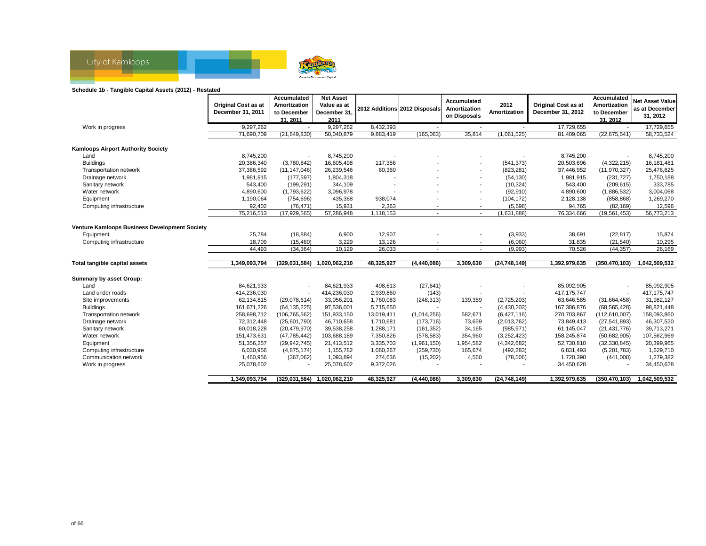

#### **Schedule 1b - Tangible Capital Assets (2012) - Restated**

|                                               | <b>Original Cost as at</b><br>December 31, 2011 | Accumulated<br>Amortization<br>to December<br>31, 2011 | <b>Net Asset</b><br>Value as at<br>December 31,<br>2011 |            | 2012 Additions 2012 Disposals | Accumulated<br>Amortization<br>on Disposals | 2012<br>Amortization | Original Cost as at<br>December 31, 2012 | Accumulated<br>Amortization<br>to December<br>31, 2012 | <b>Net Asset Value</b><br>as at December<br>31.2012 |
|-----------------------------------------------|-------------------------------------------------|--------------------------------------------------------|---------------------------------------------------------|------------|-------------------------------|---------------------------------------------|----------------------|------------------------------------------|--------------------------------------------------------|-----------------------------------------------------|
| Work in progress                              | 9,297,262                                       | $\overline{\phantom{a}}$                               | 9,297,262                                               | 8,432,393  | $\overline{\phantom{a}}$      | $\blacksquare$                              |                      | 17,729,655                               | $\overline{\phantom{a}}$                               | 17,729,655                                          |
|                                               | 71,690,709                                      | (21, 649, 830)                                         | 50,040,879                                              | 9,883,419  | (165,063)                     | 35,814                                      | (1,061,525)          | 81,409,065                               | (22, 675, 541)                                         | 58,733,524                                          |
| <b>Kamloops Airport Authority Society</b>     |                                                 |                                                        |                                                         |            |                               |                                             |                      |                                          |                                                        |                                                     |
| Land                                          | 8,745,200                                       |                                                        | 8,745,200                                               |            |                               |                                             |                      | 8,745,200                                |                                                        | 8,745,200                                           |
| <b>Buildings</b>                              | 20,386,340                                      | (3,780,842)                                            | 16,605,498                                              | 117,356    |                               | $\overline{\phantom{a}}$                    | (541, 373)           | 20,503,696                               | (4,322,215)                                            | 16,181,481                                          |
| Transportation network                        | 37,386,592                                      | (11, 147, 046)                                         | 26,239,546                                              | 60,360     |                               | $\overline{\phantom{a}}$                    | (823, 281)           | 37,446,952                               | (11, 970, 327)                                         | 25,476,625                                          |
| Drainage network                              | 1,981,915                                       | (177, 597)                                             | 1,804,318                                               |            |                               | $\overline{\phantom{a}}$                    | (54, 130)            | 1,981,915                                | (231, 727)                                             | 1,750,188                                           |
| Sanitary network                              | 543,400                                         | (199, 291)                                             | 344,109                                                 |            |                               | $\overline{\phantom{a}}$                    | (10, 324)            | 543,400                                  | (209, 615)                                             | 333,785                                             |
| Water network                                 | 4,890,600                                       | (1,793,622)                                            | 3,096,978                                               |            |                               |                                             | (92, 910)            | 4,890,600                                | (1,886,532)                                            | 3,004,068                                           |
| Equipment                                     | 1,190,064                                       | (754, 696)                                             | 435,368                                                 | 938,074    |                               |                                             | (104, 172)           | 2,128,138                                | (858, 868)                                             | 1,269,270                                           |
| Computing infrastructure                      | 92,402                                          | (76, 471)                                              | 15,931                                                  | 2,363      |                               |                                             | (5,698)              | 94,765                                   | (82, 169)                                              | 12,596                                              |
|                                               | 75,216,513                                      | (17, 929, 565)                                         | 57,286,948                                              | 1,118,153  |                               | $\sim$                                      | (1,631,888)          | 76,334,666                               | (19, 561, 453)                                         | 56,773,213                                          |
| Venture Kamloops Business Development Society |                                                 |                                                        |                                                         |            |                               |                                             |                      |                                          |                                                        |                                                     |
| Equipment                                     | 25,784                                          | (18, 884)                                              | 6,900                                                   | 12,907     |                               |                                             | (3,933)              | 38,691                                   | (22, 817)                                              | 15,874                                              |
| Computing infrastructure                      | 18,709                                          | (15, 480)                                              | 3,229                                                   | 13,126     |                               | $\overline{\phantom{a}}$                    | (6,060)              | 31,835                                   | (21, 540)                                              | 10,295                                              |
|                                               | 44,493                                          | (34, 364)                                              | 10,129                                                  | 26,033     |                               | $\overline{\phantom{a}}$                    | (9,993)              | 70,526                                   | (44, 357)                                              | 26,169                                              |
|                                               |                                                 |                                                        |                                                         |            |                               |                                             |                      |                                          |                                                        |                                                     |
| Total tangible capital assets                 | 1,349,093,794                                   | (329, 031, 584)                                        | 1,020,062,210                                           | 48,325,927 | (4, 440, 086)                 | 3,309,630                                   | (24, 748, 149)       | 1.392.979.635                            | (350, 470, 103)                                        | 1.042.509.532                                       |
| <b>Summary by asset Group:</b>                |                                                 |                                                        |                                                         |            |                               |                                             |                      |                                          |                                                        |                                                     |
| Land                                          | 84,621,933                                      | $\overline{\phantom{a}}$                               | 84,621,933                                              | 498,613    | (27, 641)                     |                                             |                      | 85,092,905                               |                                                        | 85,092,905                                          |
| Land under roads                              | 414,236,030                                     | $\overline{\phantom{a}}$                               | 414,236,030                                             | 2,939,860  | (143)                         |                                             |                      | 417.175.747                              |                                                        | 417, 175, 747                                       |
| Site improvements                             | 62,134,815                                      | (29,078,614)                                           | 33,056,201                                              | 1,760,083  | (248, 313)                    | 139,359                                     | (2,725,203)          | 63,646,585                               | (31,664,458)                                           | 31,982,127                                          |
| <b>Buildings</b>                              | 161,671,226                                     | (64, 135, 225)                                         | 97,536,001                                              | 5,715,650  |                               |                                             | (4, 430, 203)        | 167,386,876                              | (68, 565, 428)                                         | 98,821,448                                          |
| Transportation network                        | 258,698,712                                     | (106, 765, 562)                                        | 151,933,150                                             | 13,019,411 | (1,014,256)                   | 582,671                                     | (6,427,116)          | 270,703,867                              | (112, 610, 007)                                        | 158,093,860                                         |
| Drainage network                              | 72,312,448                                      | (25,601,790)                                           | 46,710,658                                              | 1,710,681  | (173, 716)                    | 73,659                                      | (2,013,762)          | 73,849,413                               | (27, 541, 893)                                         | 46,307,520                                          |
| Sanitary network                              | 60,018,228                                      | (20, 479, 970)                                         | 39,538,258                                              | 1,288,171  | (161, 352)                    | 34,165                                      | (985, 971)           | 61,145,047                               | (21, 431, 776)                                         | 39,713,271                                          |
| Water network                                 | 151,473,631                                     | (47, 785, 442)                                         | 103,688,189                                             | 7,350,826  | (578, 583)                    | 354,960                                     | (3,252,423)          | 158,245,874                              | (50,682,905)                                           | 107,562,969                                         |
| Equipment                                     | 51,356,257                                      | (29, 942, 745)                                         | 21,413,512                                              | 3,335,703  | (1,961,150)                   | 1,954,582                                   | (4,342,682)          | 52,730,810                               | (32, 330, 845)                                         | 20,399,965                                          |
| Computing infrastructure                      | 6,030,956                                       | (4,875,174)                                            | 1,155,782                                               | 1,060,267  | (259, 730)                    | 165,674                                     | (492, 283)           | 6,831,493                                | (5,201,783)                                            | 1,629,710                                           |
| Communication network                         | 1,460,956                                       | (367,062)                                              | 1,093,894                                               | 274,636    | (15, 202)                     | 4,560                                       | (78, 506)            | 1,720,390                                | (441,008)                                              | 1,279,382                                           |
| Work in progress                              | 25,078,602                                      |                                                        | 25,078,602                                              | 9,372,026  |                               |                                             |                      | 34,450,628                               |                                                        | 34,450,628                                          |
|                                               | 1,349,093,794                                   | (329, 031, 584)                                        | 1,020,062,210                                           | 48,325,927 | (4,440,086)                   | 3,309,630                                   | (24, 748, 149)       | 1,392,979,635                            | (350, 470, 103)                                        | 1,042,509,532                                       |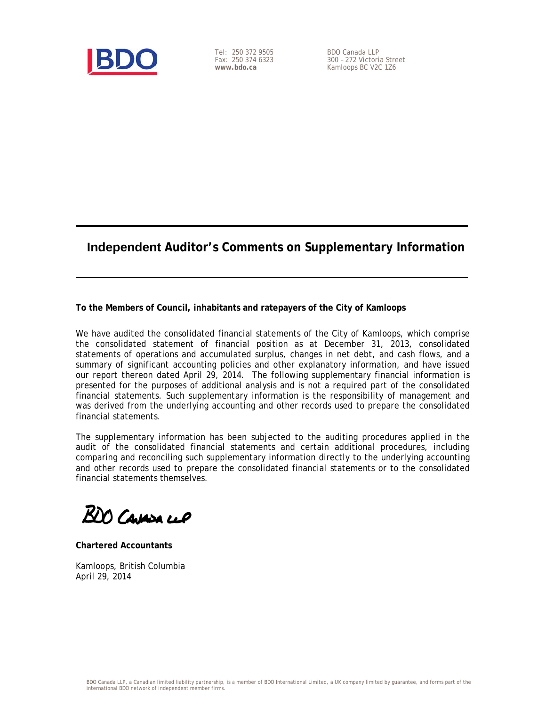

Tel: 250 372 9505 Fax: 250 374 6323 **www.bdo.ca** 

BDO Canada LLP 300 – 272 Victoria Street Kamloops BC V2C 1Z6

### **Independent Auditor's Comments on Supplementary Information**

### **To the Members of Council, inhabitants and ratepayers of the City of Kamloops**

We have audited the consolidated financial statements of the City of Kamloops, which comprise the consolidated statement of financial position as at December 31, 2013, consolidated statements of operations and accumulated surplus, changes in net debt, and cash flows, and a summary of significant accounting policies and other explanatory information, and have issued our report thereon dated April 29, 2014. The following supplementary financial information is presented for the purposes of additional analysis and is not a required part of the consolidated financial statements. Such supplementary information is the responsibility of management and was derived from the underlying accounting and other records used to prepare the consolidated financial statements.

The supplementary information has been subjected to the auditing procedures applied in the audit of the consolidated financial statements and certain additional procedures, including comparing and reconciling such supplementary information directly to the underlying accounting and other records used to prepare the consolidated financial statements or to the consolidated financial statements themselves.

BDO Cavasa ceP

**Chartered Accountants** 

Kamloops, British Columbia April 29, 2014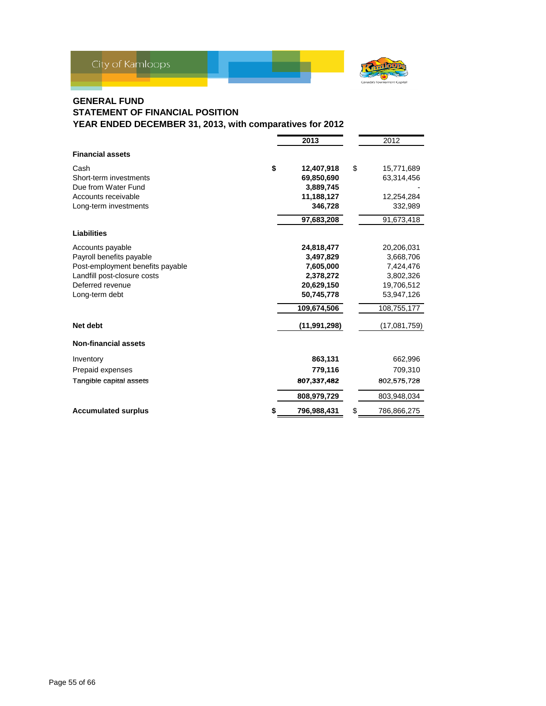

### **GENERAL FUND STATEMENT OF FINANCIAL POSITION YEAR ENDED DECEMBER 31, 2013, with comparatives for 2012**

|                                  | 2013             |    | 2012         |
|----------------------------------|------------------|----|--------------|
| <b>Financial assets</b>          |                  |    |              |
| Cash                             | \$<br>12,407,918 | \$ | 15,771,689   |
| Short-term investments           | 69,850,690       |    | 63,314,456   |
| Due from Water Fund              | 3,889,745        |    |              |
| Accounts receivable              | 11,188,127       |    | 12,254,284   |
| Long-term investments            | 346,728          |    | 332,989      |
|                                  | 97,683,208       |    | 91,673,418   |
| Liabilities                      |                  |    |              |
| Accounts payable                 | 24,818,477       |    | 20,206,031   |
| Payroll benefits payable         | 3,497,829        |    | 3,668,706    |
| Post-employment benefits payable | 7,605,000        |    | 7,424,476    |
| Landfill post-closure costs      | 2,378,272        |    | 3,802,326    |
| Deferred revenue                 | 20,629,150       |    | 19,706,512   |
| Long-term debt                   | 50,745,778       |    | 53,947,126   |
|                                  | 109,674,506      |    | 108,755,177  |
| Net debt                         | (11,991,298)     |    | (17,081,759) |
| <b>Non-financial assets</b>      |                  |    |              |
| Inventory                        | 863,131          |    | 662,996      |
| Prepaid expenses                 | 779,116          |    | 709,310      |
| Tangible capital assets          | 807,337,482      |    | 802,575,728  |
|                                  | 808,979,729      |    | 803,948,034  |
| <b>Accumulated surplus</b>       | 796,988,431      | S  | 786,866,275  |
|                                  |                  |    |              |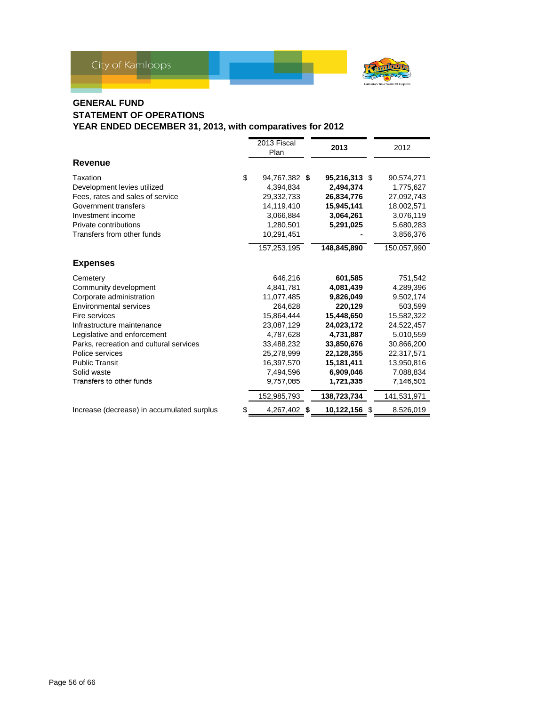

### **GENERAL FUND STATEMENT OF OPERATIONS YEAR ENDED DECEMBER 31, 2013, with comparatives for 2012**

|                                            |    | 2013 Fiscal<br>Plan | 2013          | 2012        |
|--------------------------------------------|----|---------------------|---------------|-------------|
| Revenue                                    |    |                     |               |             |
| Taxation                                   | \$ | 94,767,382 \$       | 95,216,313 \$ | 90,574,271  |
| Development levies utilized                |    | 4.394.834           | 2,494,374     | 1,775,627   |
| Fees, rates and sales of service           |    | 29,332,733          | 26,834,776    | 27,092,743  |
| Government transfers                       |    | 14,119,410          | 15,945,141    | 18,002,571  |
| Investment income                          |    | 3,066,884           | 3,064,261     | 3,076,119   |
| Private contributions                      |    | 1,280,501           | 5,291,025     | 5,680,283   |
| Transfers from other funds                 |    | 10,291,451          |               | 3,856,376   |
|                                            |    | 157,253,195         | 148,845,890   | 150,057,990 |
| <b>Expenses</b>                            |    |                     |               |             |
| Cemetery                                   |    | 646,216             | 601,585       | 751,542     |
| Community development                      |    | 4,841,781           | 4,081,439     | 4,289,396   |
| Corporate administration                   |    | 11,077,485          | 9,826,049     | 9,502,174   |
| <b>Environmental services</b>              |    | 264.628             | 220,129       | 503,599     |
| Fire services                              |    | 15,864,444          | 15,448,650    | 15,582,322  |
| Infrastructure maintenance                 |    | 23,087,129          | 24,023,172    | 24,522,457  |
| Legislative and enforcement                |    | 4,787,628           | 4,731,887     | 5,010,559   |
| Parks, recreation and cultural services    |    | 33,488,232          | 33,850,676    | 30,866,200  |
| Police services                            |    | 25,278,999          | 22,128,355    | 22,317,571  |
| <b>Public Transit</b>                      |    | 16,397,570          | 15,181,411    | 13,950,816  |
| Solid waste                                |    | 7,494,596           | 6,909,046     | 7,088,834   |
| Transfers to other funds                   |    | 9,757,085           | 1,721,335     | 7,146,501   |
|                                            |    | 152,985,793         | 138,723,734   | 141,531,971 |
| Increase (decrease) in accumulated surplus | S  | 4,267,402 \$        | 10,122,156 \$ | 8,526,019   |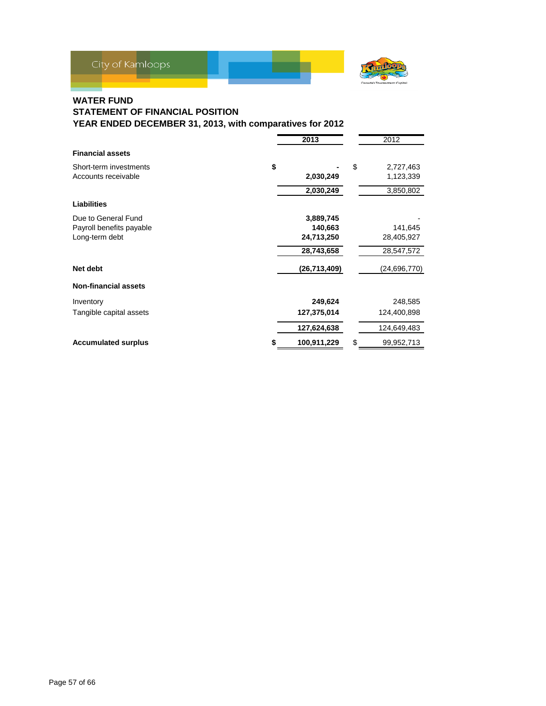

### **WATER FUND**

**STATEMENT OF FINANCIAL POSITION**

|                             | 2013         | 2012             |
|-----------------------------|--------------|------------------|
| <b>Financial assets</b>     |              |                  |
| Short-term investments      | \$           | \$<br>2,727,463  |
| Accounts receivable         | 2,030,249    | 1,123,339        |
|                             | 2,030,249    | 3,850,802        |
| <b>Liabilities</b>          |              |                  |
| Due to General Fund         | 3,889,745    |                  |
| Payroll benefits payable    | 140,663      | 141,645          |
| Long-term debt              | 24,713,250   | 28,405,927       |
|                             | 28,743,658   | 28,547,572       |
| Net debt                    | (26,713,409) | (24, 696, 770)   |
| <b>Non-financial assets</b> |              |                  |
| Inventory                   | 249,624      | 248,585          |
| Tangible capital assets     | 127,375,014  | 124,400,898      |
|                             | 127,624,638  | 124,649,483      |
| <b>Accumulated surplus</b>  | 100,911,229  | \$<br>99,952,713 |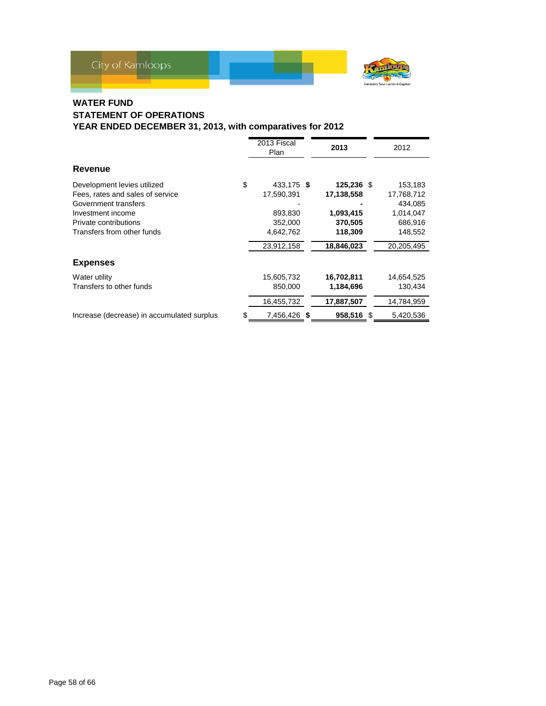

### **WATER FUND STATEMENT OF OPERATIONS YEAR ENDED DECEMBER 31, 2013, with comparatives for 2012**

|                                            | 2013 Fiscal<br>Plan | 2013       |  | 2012       |
|--------------------------------------------|---------------------|------------|--|------------|
| Revenue                                    |                     |            |  |            |
| Development levies utilized                | \$<br>433,175 \$    | 125,236 \$ |  | 153,183    |
| Fees, rates and sales of service           | 17,590,391          | 17,138,558 |  | 17,768,712 |
| Government transfers                       |                     |            |  | 434,085    |
| Investment income                          | 893,830             | 1,093,415  |  | 1,014,047  |
| Private contributions                      | 352,000             | 370,505    |  | 686,916    |
| Transfers from other funds                 | 4,642,762           | 118,309    |  | 148,552    |
|                                            | 23,912,158          | 18,846,023 |  | 20,205,495 |
| <b>Expenses</b>                            |                     |            |  |            |
| Water utility                              | 15,605,732          | 16,702,811 |  | 14,654,525 |
| Transfers to other funds                   | 850,000             | 1,184,696  |  | 130,434    |
|                                            | 16,455,732          | 17,887,507 |  | 14,784,959 |
| Increase (decrease) in accumulated surplus | \$<br>7,456,426 \$  | 958,516 \$ |  | 5,420,536  |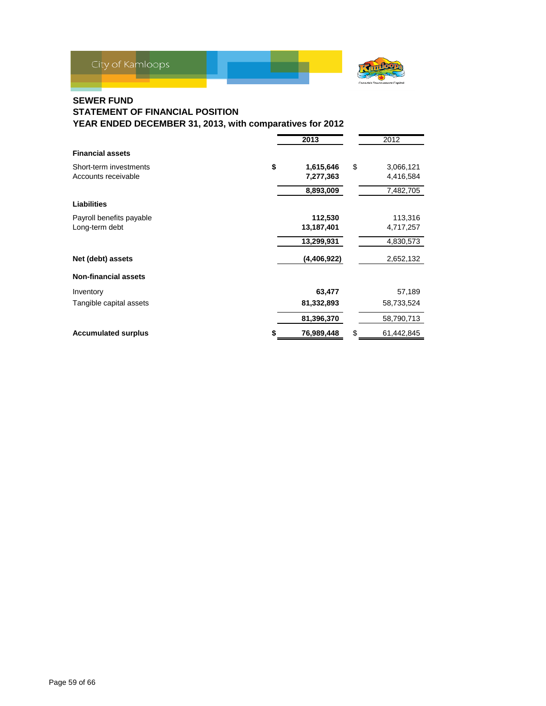

### **SEWER FUND**

**STATEMENT OF FINANCIAL POSITION**

|                             | 2013            |    | 2012       |
|-----------------------------|-----------------|----|------------|
| <b>Financial assets</b>     |                 |    |            |
| Short-term investments      | \$<br>1,615,646 | \$ | 3,066,121  |
| Accounts receivable         | 7,277,363       |    | 4,416,584  |
|                             | 8,893,009       |    | 7,482,705  |
| Liabilities                 |                 |    |            |
| Payroll benefits payable    | 112,530         |    | 113,316    |
| Long-term debt              | 13,187,401      |    | 4,717,257  |
|                             | 13,299,931      |    | 4,830,573  |
| Net (debt) assets           | (4,406,922)     |    | 2,652,132  |
| <b>Non-financial assets</b> |                 |    |            |
| Inventory                   | 63,477          |    | 57,189     |
| Tangible capital assets     | 81,332,893      |    | 58,733,524 |
|                             | 81,396,370      |    | 58,790,713 |
| <b>Accumulated surplus</b>  | 76,989,448      | \$ | 61,442,845 |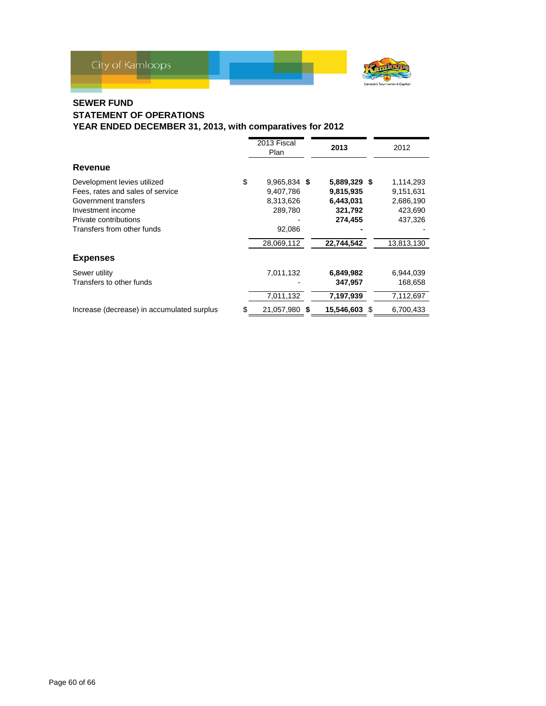

### **SEWER FUND STATEMENT OF OPERATIONS YEAR ENDED DECEMBER 31, 2013, with comparatives for 2012**

|                                            |    | 2013 Fiscal<br>Plan | 2013          | 2012       |
|--------------------------------------------|----|---------------------|---------------|------------|
| Revenue                                    |    |                     |               |            |
| Development levies utilized                | \$ | 9,965,834 \$        | 5,889,329 \$  | 1,114,293  |
| Fees, rates and sales of service           |    | 9,407,786           | 9,815,935     | 9,151,631  |
| Government transfers                       |    | 8,313,626           | 6,443,031     | 2,686,190  |
| Investment income                          |    | 289,780             | 321,792       | 423,690    |
| Private contributions                      |    |                     | 274,455       | 437,326    |
| Transfers from other funds                 |    | 92,086              |               |            |
|                                            |    | 28,069,112          | 22,744,542    | 13,813,130 |
| <b>Expenses</b>                            |    |                     |               |            |
| Sewer utility                              |    | 7,011,132           | 6,849,982     | 6,944,039  |
| Transfers to other funds                   |    |                     | 347,957       | 168,658    |
|                                            |    | 7,011,132           | 7,197,939     | 7,112,697  |
| Increase (decrease) in accumulated surplus | S  | 21,057,980 \$       | 15,546,603 \$ | 6,700,433  |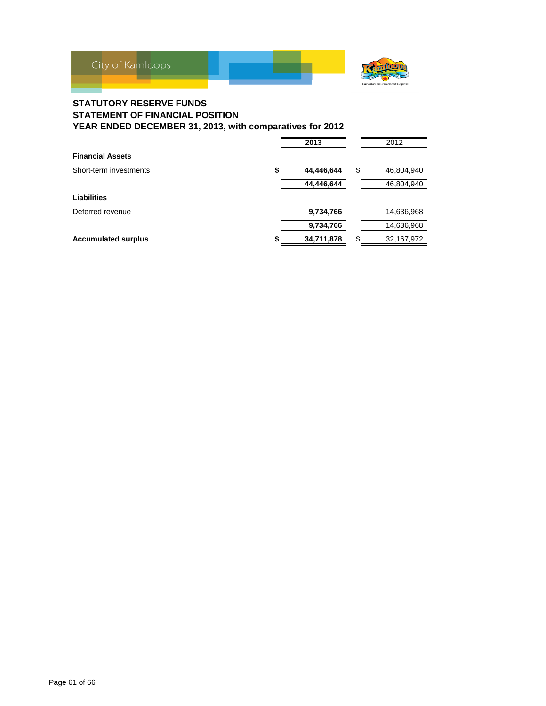

### **STATUTORY RESERVE FUNDS STATEMENT OF FINANCIAL POSITION YEAR ENDED DECEMBER 31, 2013, with comparatives for 2012**

|                            | 2013             | 2012             |
|----------------------------|------------------|------------------|
| <b>Financial Assets</b>    |                  |                  |
| Short-term investments     | \$<br>44,446,644 | \$<br>46,804,940 |
|                            | 44,446,644       | 46,804,940       |
| Liabilities                |                  |                  |
| Deferred revenue           | 9,734,766        | 14,636,968       |
|                            | 9,734,766        | 14,636,968       |
| <b>Accumulated surplus</b> | \$<br>34,711,878 | \$<br>32,167,972 |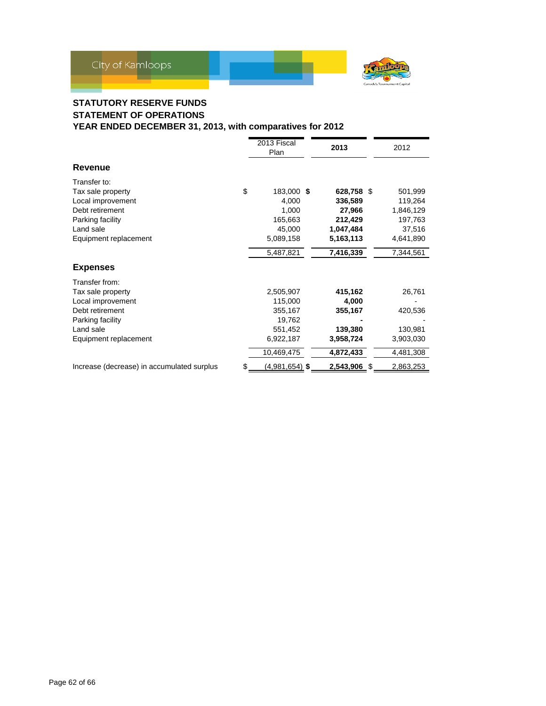

### **STATUTORY RESERVE FUNDS STATEMENT OF OPERATIONS**

|                                            | 2013 Fiscal<br>Plan  | 2013       | 2012            |
|--------------------------------------------|----------------------|------------|-----------------|
| Revenue                                    |                      |            |                 |
| Transfer to:                               |                      |            |                 |
| Tax sale property                          | \$<br>183,000 \$     | 628,758 \$ | 501,999         |
| Local improvement                          | 4,000                | 336,589    | 119,264         |
| Debt retirement                            | 1,000                | 27,966     | 1,846,129       |
| Parking facility                           | 165,663              | 212,429    | 197,763         |
| Land sale                                  | 45,000               | 1,047,484  | 37,516          |
| Equipment replacement                      | 5,089,158            | 5,163,113  | 4,641,890       |
|                                            | 5,487,821            | 7,416,339  | 7,344,561       |
| <b>Expenses</b>                            |                      |            |                 |
| Transfer from:                             |                      |            |                 |
| Tax sale property                          | 2,505,907            | 415,162    | 26,761          |
| Local improvement                          | 115,000              | 4,000      |                 |
| Debt retirement                            | 355,167              | 355,167    | 420,536         |
| Parking facility                           | 19,762               |            |                 |
| Land sale                                  | 551,452              | 139,380    | 130,981         |
| Equipment replacement                      | 6,922,187            | 3,958,724  | 3,903,030       |
|                                            | 10,469,475           | 4,872,433  | 4,481,308       |
| Increase (decrease) in accumulated surplus | \$<br>(4,981,654) \$ | 2,543,906  | \$<br>2,863,253 |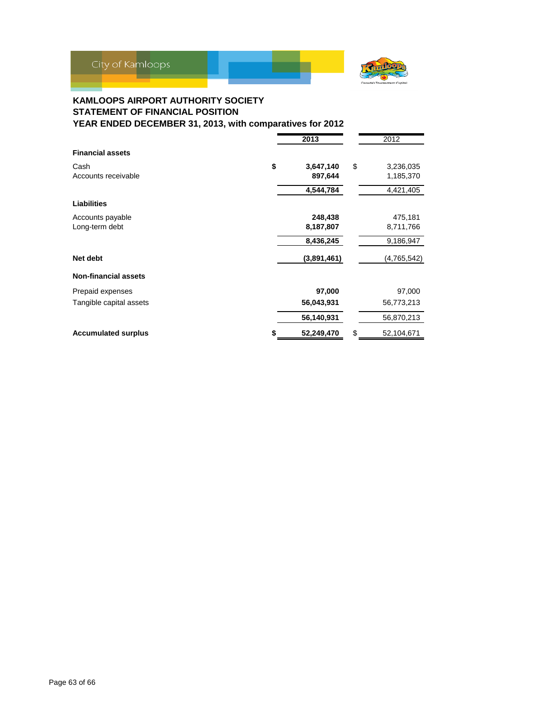

### **KAMLOOPS AIRPORT AUTHORITY SOCIETY STATEMENT OF FINANCIAL POSITION**

|                             | 2013 |             | 2012             |
|-----------------------------|------|-------------|------------------|
| <b>Financial assets</b>     |      |             |                  |
| Cash                        | \$   | 3,647,140   | \$<br>3,236,035  |
| Accounts receivable         |      | 897,644     | 1,185,370        |
|                             |      | 4,544,784   | 4,421,405        |
| <b>Liabilities</b>          |      |             |                  |
| Accounts payable            |      | 248,438     | 475,181          |
| Long-term debt              |      | 8,187,807   | 8,711,766        |
|                             |      | 8,436,245   | 9,186,947        |
| Net debt                    |      | (3,891,461) | (4,765,542)      |
| <b>Non-financial assets</b> |      |             |                  |
| Prepaid expenses            |      | 97,000      | 97,000           |
| Tangible capital assets     |      | 56,043,931  | 56,773,213       |
|                             |      | 56,140,931  | 56,870,213       |
| <b>Accumulated surplus</b>  | S    | 52,249,470  | \$<br>52,104,671 |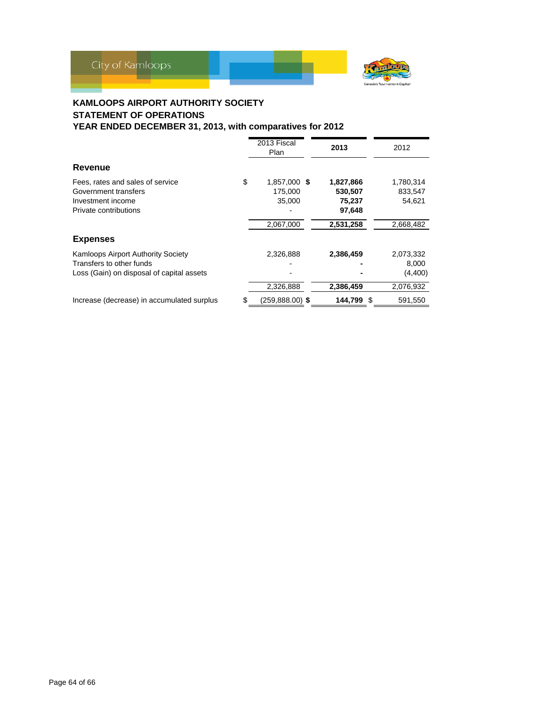

### **KAMLOOPS AIRPORT AUTHORITY SOCIETY STATEMENT OF OPERATIONS**

|                                                                                                                    |    | 2013 Fiscal<br>Plan               | 2013                                     | 2012                           |
|--------------------------------------------------------------------------------------------------------------------|----|-----------------------------------|------------------------------------------|--------------------------------|
| Revenue                                                                                                            |    |                                   |                                          |                                |
| Fees, rates and sales of service<br>Government transfers<br>Investment income<br>Private contributions             | \$ | 1,857,000 \$<br>175,000<br>35,000 | 1,827,866<br>530,507<br>75,237<br>97,648 | 1,780,314<br>833,547<br>54,621 |
|                                                                                                                    |    | 2,067,000                         | 2,531,258                                | 2,668,482                      |
| <b>Expenses</b>                                                                                                    |    |                                   |                                          |                                |
| <b>Kamloops Airport Authority Society</b><br>Transfers to other funds<br>Loss (Gain) on disposal of capital assets |    | 2,326,888                         | 2,386,459                                | 2,073,332<br>8,000<br>(4,400)  |
|                                                                                                                    |    | 2,326,888                         | 2,386,459                                | 2,076,932                      |
| Increase (decrease) in accumulated surplus                                                                         | S  | (259,888.00) \$                   | 144,799 \$                               | 591,550                        |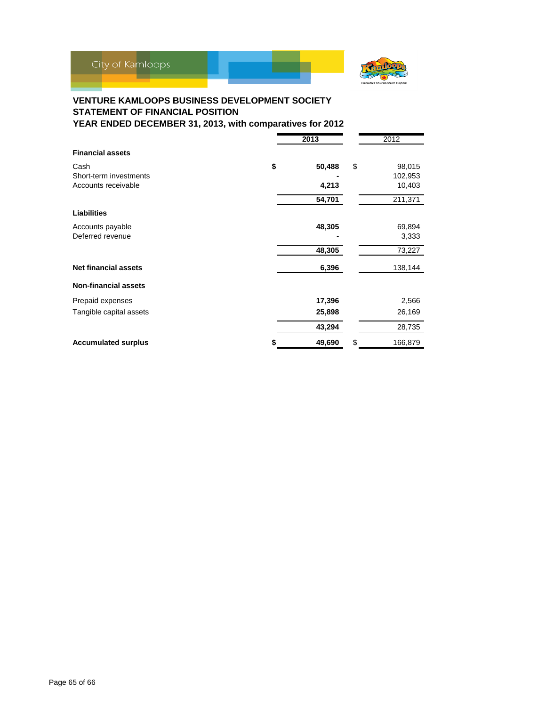

### **VENTURE KAMLOOPS BUSINESS DEVELOPMENT SOCIETY STATEMENT OF FINANCIAL POSITION**

|                             | 2013         | 2012          |  |
|-----------------------------|--------------|---------------|--|
| <b>Financial assets</b>     |              |               |  |
| Cash                        | \$<br>50,488 | \$<br>98,015  |  |
| Short-term investments      |              | 102,953       |  |
| Accounts receivable         | 4,213        | 10,403        |  |
|                             | 54,701       | 211,371       |  |
| <b>Liabilities</b>          |              |               |  |
| Accounts payable            | 48,305       | 69,894        |  |
| Deferred revenue            |              | 3,333         |  |
|                             | 48,305       | 73,227        |  |
| <b>Net financial assets</b> | 6,396        | 138,144       |  |
| <b>Non-financial assets</b> |              |               |  |
| Prepaid expenses            | 17,396       | 2,566         |  |
| Tangible capital assets     | 25,898       | 26,169        |  |
|                             | 43,294       | 28,735        |  |
| <b>Accumulated surplus</b>  | 49,690       | \$<br>166,879 |  |